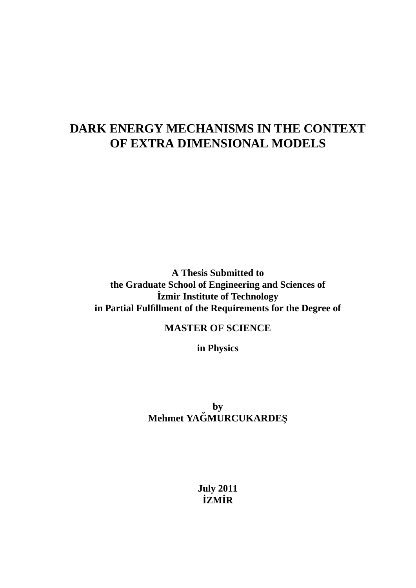# **DARK ENERGY MECHANISMS IN THE CONTEXT OF EXTRA DIMENSIONAL MODELS**

**A Thesis Submitted to the Graduate School of Engineering and Sciences of ˙Izmir Institute of Technology in Partial Fulfillment of the Requirements for the Degree of**

**MASTER OF SCIENCE**

**in Physics**

**by Mehmet YAGMURCUKARDES¸ ˘**

> **July 2011 ˙IZM˙IR**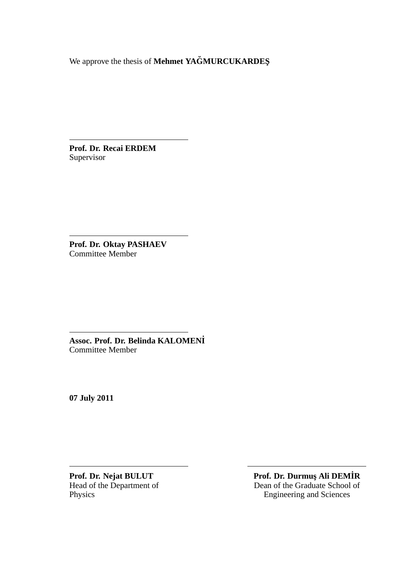We approve the thesis of **Mehmet YAGMURCUKARDES¸ ˘**

**Prof. Dr. Recai ERDEM** Supervisor

**Prof. Dr. Oktay PASHAEV** Committee Member

**Assoc. Prof. Dr. Belinda KALOMEN˙I** Committee Member

**07 July 2011**

**Prof. Dr. Nejat BULUT**<br> **Prof. Dr. Durmus, Ali DEMİR**<br> **Prof. Dr. Durmus, Ali DEMİR**<br> **Prof. Dr. Durmus, Ali DEMİR**<br> **Prof. Dr. Durmus, Ali DEMİR** Head of the Department of Dean of the Graduate School of Physics<br>
Engineering and Sciences **Engineering and Sciences**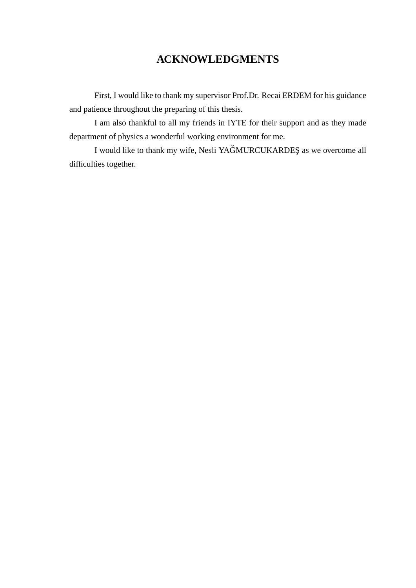# **ACKNOWLEDGMENTS**

First, I would like to thank my supervisor Prof.Dr. Recai ERDEM for his guidance and patience throughout the preparing of this thesis.

I am also thankful to all my friends in IYTE for their support and as they made department of physics a wonderful working environment for me.

I would like to thank my wife, Nesli YAĞMURCUKARDEŞ as we overcome all difficulties together.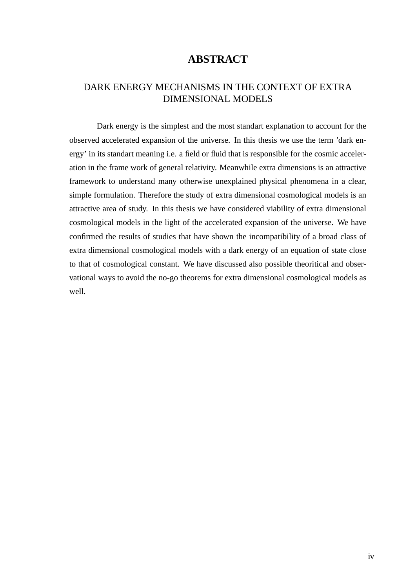## **ABSTRACT**

## DARK ENERGY MECHANISMS IN THE CONTEXT OF EXTRA DIMENSIONAL MODELS

Dark energy is the simplest and the most standart explanation to account for the observed accelerated expansion of the universe. In this thesis we use the term 'dark energy' in its standart meaning i.e. a field or fluid that is responsible for the cosmic acceleration in the frame work of general relativity. Meanwhile extra dimensions is an attractive framework to understand many otherwise unexplained physical phenomena in a clear, simple formulation. Therefore the study of extra dimensional cosmological models is an attractive area of study. In this thesis we have considered viability of extra dimensional cosmological models in the light of the accelerated expansion of the universe. We have confirmed the results of studies that have shown the incompatibility of a broad class of extra dimensional cosmological models with a dark energy of an equation of state close to that of cosmological constant. We have discussed also possible theoritical and observational ways to avoid the no-go theorems for extra dimensional cosmological models as well.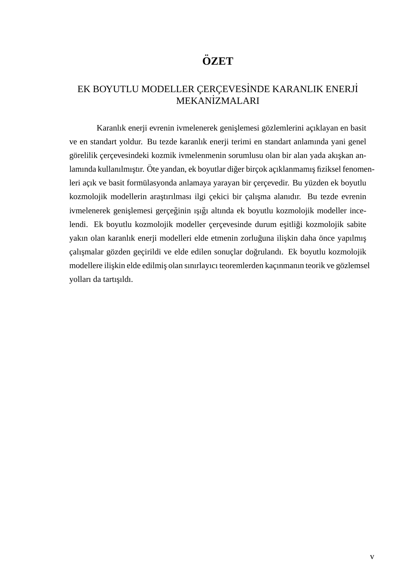# **OZET ¨**

## EK BOYUTLU MODELLER CERCEVESİNDE KARANLIK ENERJİ MEKANİZMALARI

Karanlık enerji evrenin ivmelenerek genişlemesi gözlemlerini açıklayan en basit ve en standart yoldur. Bu tezde karanlık enerji terimi en standart anlamında yani genel görelilik çerçevesindeki kozmik ivmelenmenin sorumlusu olan bir alan yada akışkan anlamında kullanılmıştır. Öte yandan, ek boyutlar diğer birçok açıklanmamış fiziksel fenomenleri açık ve basit formülasyonda anlamaya yarayan bir çerçevedir. Bu yüzden ek boyutlu kozmolojik modellerin araştırılması ilgi çekici bir çalışma alanıdır. Bu tezde evrenin ivmelenerek genislemesi gerçeğinin ısığı altında ek boyutlu kozmolojik modeller incelendi. Ek boyutlu kozmolojik modeller çerçevesinde durum eşitliği kozmolojik sabite yakın olan karanlık enerji modelleri elde etmenin zorluğuna ilişkin daha önce yapılmış çalışmalar gözden geçirildi ve elde edilen sonuçlar doğrulandı. Ek boyutlu kozmolojik modellere ilişkin elde edilmiş olan sınırlayıcı teoremlerden kaçınmanın teorik ve gözlemsel yolları da tartışıldı.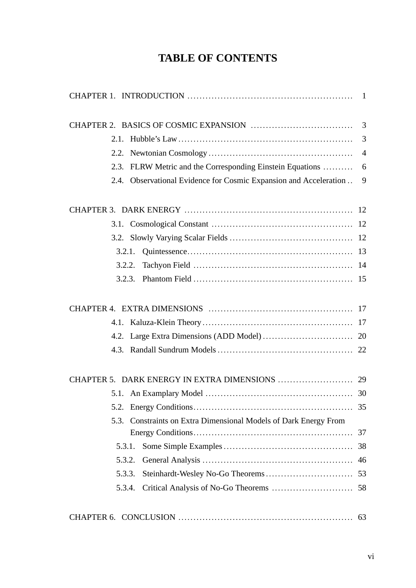# **TABLE OF CONTENTS**

| 2.1.                                                              | 3  |
|-------------------------------------------------------------------|----|
|                                                                   |    |
| 2.3. FLRW Metric and the Corresponding Einstein Equations  6      |    |
| 2.4. Observational Evidence for Cosmic Expansion and Acceleration | 9  |
|                                                                   |    |
|                                                                   |    |
|                                                                   |    |
| 3.2.1.                                                            |    |
| 3.2.2.                                                            |    |
|                                                                   |    |
|                                                                   |    |
|                                                                   |    |
|                                                                   |    |
|                                                                   |    |
|                                                                   |    |
|                                                                   |    |
|                                                                   |    |
| 5.3. Constraints on Extra Dimensional Models of Dark Energy From  |    |
|                                                                   |    |
| 5.3.1.                                                            |    |
| 5.3.2.                                                            |    |
| 5.3.3.                                                            |    |
|                                                                   |    |
|                                                                   | 63 |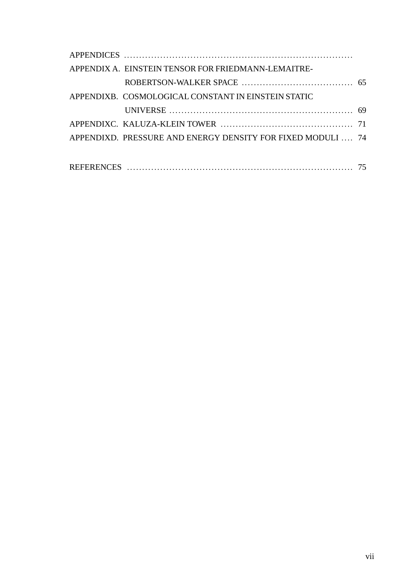| APPENDIX A. EINSTEIN TENSOR FOR FRIEDMANN-LEMAITRE-         |  |
|-------------------------------------------------------------|--|
|                                                             |  |
| APPENDIXB. COSMOLOGICAL CONSTANT IN EINSTEIN STATIC         |  |
|                                                             |  |
|                                                             |  |
| APPENDIXD. PRESSURE AND ENERGY DENSITY FOR FIXED MODULI  74 |  |
|                                                             |  |
|                                                             |  |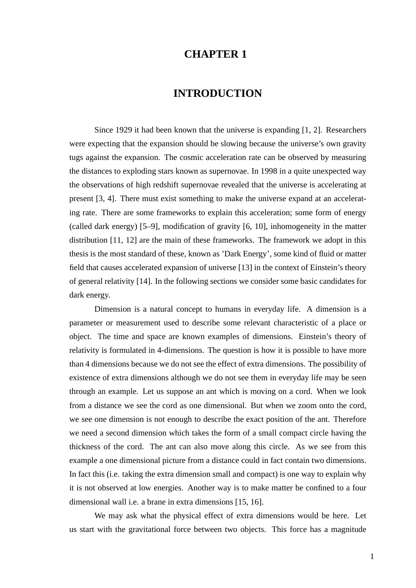## **CHAPTER 1**

## **INTRODUCTION**

Since 1929 it had been known that the universe is expanding [1, 2]. Researchers were expecting that the expansion should be slowing because the universe's own gravity tugs against the expansion. The cosmic acceleration rate can be observed by measuring the distances to exploding stars known as supernovae. In 1998 in a quite unexpected way the observations of high redshift supernovae revealed that the universe is accelerating at present [3, 4]. There must exist something to make the universe expand at an accelerating rate. There are some frameworks to explain this acceleration; some form of energy (called dark energy) [5–9], modification of gravity [6, 10], inhomogeneity in the matter distribution [11, 12] are the main of these frameworks. The framework we adopt in this thesis is the most standard of these, known as 'Dark Energy', some kind of fluid or matter field that causes accelerated expansion of universe [13] in the context of Einstein's theory of general relativity [14]. In the following sections we consider some basic candidates for dark energy.

Dimension is a natural concept to humans in everyday life. A dimension is a parameter or measurement used to describe some relevant characteristic of a place or object. The time and space are known examples of dimensions. Einstein's theory of relativity is formulated in 4-dimensions. The question is how it is possible to have more than 4 dimensions because we do not see the effect of extra dimensions. The possibility of existence of extra dimensions although we do not see them in everyday life may be seen through an example. Let us suppose an ant which is moving on a cord. When we look from a distance we see the cord as one dimensional. But when we zoom onto the cord, we see one dimension is not enough to describe the exact position of the ant. Therefore we need a second dimension which takes the form of a small compact circle having the thickness of the cord. The ant can also move along this circle. As we see from this example a one dimensional picture from a distance could in fact contain two dimensions. In fact this (i.e. taking the extra dimension small and compact) is one way to explain why it is not observed at low energies. Another way is to make matter be confined to a four dimensional wall i.e. a brane in extra dimensions [15, 16].

We may ask what the physical effect of extra dimensions would be here. Let us start with the gravitational force between two objects. This force has a magnitude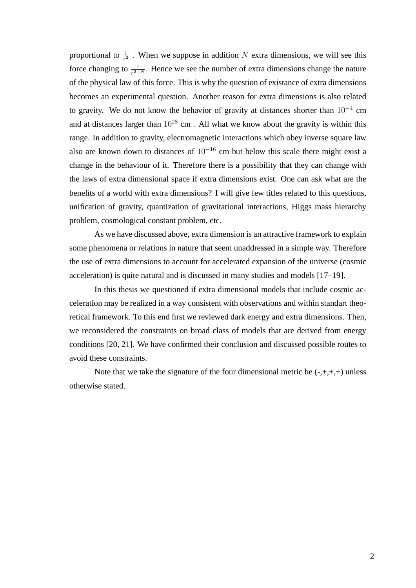proportional to  $\frac{1}{r^2}$ . When we suppose in addition N extra dimensions, we will see this force changing to  $\frac{1}{r^{2+N}}$ . Hence we see the number of extra dimensions change the nature of the physical law of this force. This is why the question of existance of extra dimensions becomes an experimental question. Another reason for extra dimensions is also related to gravity. We do not know the behavior of gravity at distances shorter than  $10^{-4}$  cm and at distances larger than  $10^{28}$  cm. All what we know about the gravity is within this range. In addition to gravity, electromagnetic interactions which obey inverse square law also are known down to distances of  $10^{-16}$  cm but below this scale there might exist a change in the behaviour of it. Therefore there is a possibility that they can change with the laws of extra dimensional space if extra dimensions exist. One can ask what are the benefits of a world with extra dimensions? I will give few titles related to this questions, unification of gravity, quantization of gravitational interactions, Higgs mass hierarchy problem, cosmological constant problem, etc.

As we have discussed above, extra dimension is an attractive framework to explain some phenomena or relations in nature that seem unaddressed in a simple way. Therefore the use of extra dimensions to account for accelerated expansion of the universe (cosmic acceleration) is quite natural and is discussed in many studies and models [17–19].

In this thesis we questioned if extra dimensional models that include cosmic acceleration may be realized in a way consistent with observations and within standart theoretical framework. To this end first we reviewed dark energy and extra dimensions. Then, we reconsidered the constraints on broad class of models that are derived from energy conditions [20, 21]. We have confirmed their conclusion and discussed possible routes to avoid these constraints.

Note that we take the signature of the four dimensional metric be  $(-,+,+,+)$  unless otherwise stated.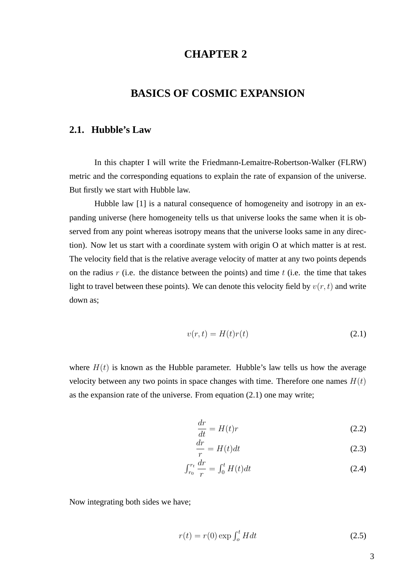## **CHAPTER 2**

## **BASICS OF COSMIC EXPANSION**

### **2.1. Hubble's Law**

In this chapter I will write the Friedmann-Lemaitre-Robertson-Walker (FLRW) metric and the corresponding equations to explain the rate of expansion of the universe. But firstly we start with Hubble law.

Hubble law [1] is a natural consequence of homogeneity and isotropy in an expanding universe (here homogeneity tells us that universe looks the same when it is observed from any point whereas isotropy means that the universe looks same in any direction). Now let us start with a coordinate system with origin O at which matter is at rest. The velocity field that is the relative average velocity of matter at any two points depends on the radius  $r$  (i.e. the distance between the points) and time  $t$  (i.e. the time that takes light to travel between these points). We can denote this velocity field by  $v(r, t)$  and write down as;

$$
v(r,t) = H(t)r(t)
$$
\n(2.1)

where  $H(t)$  is known as the Hubble parameter. Hubble's law tells us how the average velocity between any two points in space changes with time. Therefore one names  $H(t)$ as the expansion rate of the universe. From equation (2.1) one may write;

$$
\frac{dr}{dt} = H(t)r\tag{2.2}
$$

$$
\frac{dr}{r} = H(t)dt\tag{2.3}
$$

$$
\int_{r_0}^{r_t} \frac{dr}{r} = \int_0^t H(t)dt
$$
\n(2.4)

Now integrating both sides we have;

$$
r(t) = r(0) \exp \int_{o}^{t} H dt
$$
\n(2.5)

3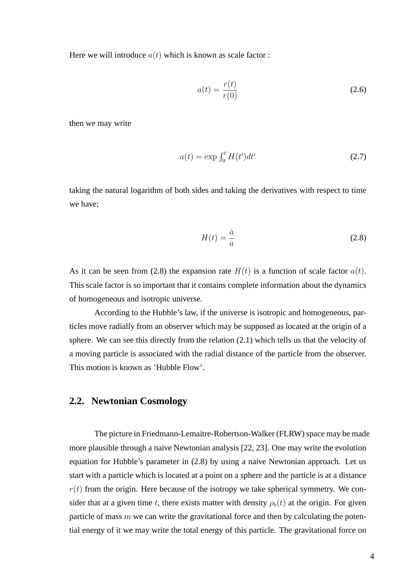Here we will introduce  $a(t)$  which is known as scale factor :

$$
a(t) = \frac{r(t)}{r(0)}\tag{2.6}
$$

then we may write

$$
a(t) = \exp \int_0^t H(t')dt' \tag{2.7}
$$

taking the natural logarithm of both sides and taking the derivatives with respect to time we have;

$$
H(t) = \frac{\dot{a}}{a} \tag{2.8}
$$

As it can be seen from (2.8) the expansion rate  $H(t)$  is a function of scale factor  $a(t)$ . This scale factor is so important that it contains complete information about the dynamics of homogeneous and isotropic universe.

According to the Hubble's law, if the universe is isotropic and homogeneous, particles move radially from an observer which may be supposed as located at the origin of a sphere. We can see this directly from the relation (2.1) which tells us that the velocity of a moving particle is associated with the radial distance of the particle from the observer. This motion is known as 'Hubble Flow'.

#### **2.2. Newtonian Cosmology**

The picture in Friedmann-Lemaitre-Robertson-Walker (FLRW) space may be made more plausible through a naive Newtonian analysis [22, 23]. One may write the evolution equation for Hubble's parameter in (2.8) by using a naive Newtonian approach. Let us start with a particle which is located at a point on a sphere and the particle is at a distance  $r(t)$  from the origin. Here because of the isotropy we take spherical symmetry. We consider that at a given time t, there exists matter with density  $\rho_b(t)$  at the origin. For given particle of mass  $m$  we can write the gravitational force and then by calculating the potential energy of it we may write the total energy of this particle. The gravitational force on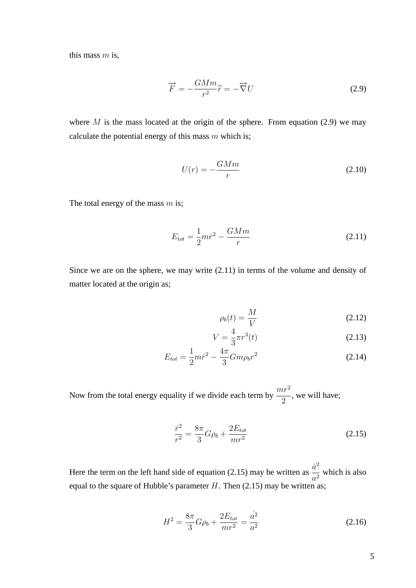this mass  $m$  is,

$$
\vec{F} = -\frac{GMm}{r^2}\hat{r} = -\vec{\nabla}U\tag{2.9}
$$

where  $M$  is the mass located at the origin of the sphere. From equation (2.9) we may calculate the potential energy of this mass  $m$  which is;

$$
U(r) = -\frac{GMm}{r}
$$
\n(2.10)

The total energy of the mass  $m$  is;

$$
E_{tot} = \frac{1}{2} m \dot{r}^2 - \frac{GMm}{r}
$$
 (2.11)

Since we are on the sphere, we may write (2.11) in terms of the volume and density of matter located at the origin as;

$$
\rho_b(t) = \frac{M}{V} \tag{2.12}
$$

$$
V = \frac{4}{3}\pi r^3(t)
$$
 (2.13)

$$
E_{tot} = \frac{1}{2} m \dot{r}^2 - \frac{4\pi}{3} G m \rho_b r^2
$$
 (2.14)

Now from the total energy equality if we divide each term by  $\frac{mr^2}{2}$ 2 , we will have;

$$
\frac{\dot{r}^2}{r^2} = \frac{8\pi}{3}G\rho_b + \frac{2E_{tot}}{mr^2}
$$
\n(2.15)

Here the term on the left hand side of equation (2.15) may be written as  $\frac{\dot{a}^2}{2}$  $\frac{a}{a^2}$  which is also equal to the square of Hubble's parameter  $H$ . Then (2.15) may be written as;

$$
H^{2} = \frac{8\pi}{3}G\rho_{b} + \frac{2E_{tot}}{mr^{2}} = \frac{\dot{a}^{2}}{a^{2}}
$$
 (2.16)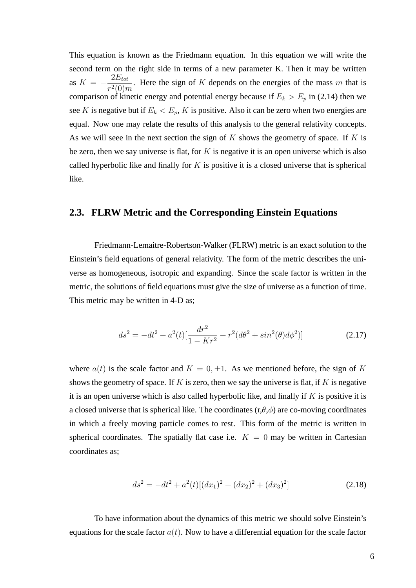This equation is known as the Friedmann equation. In this equation we will write the second term on the right side in terms of a new parameter K. Then it may be written as  $K = -\frac{2E_{tot}}{2(0)}$  $r^2(0)m$ . Here the sign of  $K$  depends on the energies of the mass  $m$  that is comparison of kinetic energy and potential energy because if  $E_k > E_p$  in (2.14) then we see K is negative but if  $E_k < E_p$ , K is positive. Also it can be zero when two energies are equal. Now one may relate the results of this analysis to the general relativity concepts. As we will seee in the next section the sign of  $K$  shows the geometry of space. If  $K$  is be zero, then we say universe is flat, for  $K$  is negative it is an open universe which is also called hyperbolic like and finally for  $K$  is positive it is a closed universe that is spherical like.

### **2.3. FLRW Metric and the Corresponding Einstein Equations**

Friedmann-Lemaitre-Robertson-Walker (FLRW) metric is an exact solution to the Einstein's field equations of general relativity. The form of the metric describes the universe as homogeneous, isotropic and expanding. Since the scale factor is written in the metric, the solutions of field equations must give the size of universe as a function of time. This metric may be written in 4-D as;

$$
ds^{2} = -dt^{2} + a^{2}(t)[\frac{dr^{2}}{1 - Kr^{2}} + r^{2}(d\theta^{2} + sin^{2}(\theta)d\phi^{2})]
$$
\n(2.17)

where  $a(t)$  is the scale factor and  $K = 0, \pm 1$ . As we mentioned before, the sign of K shows the geometry of space. If K is zero, then we say the universe is flat, if K is negative it is an open universe which is also called hyperbolic like, and finally if  $K$  is positive it is a closed universe that is spherical like. The coordinates  $(r, \theta, \phi)$  are co-moving coordinates in which a freely moving particle comes to rest. This form of the metric is written in spherical coordinates. The spatially flat case i.e.  $K = 0$  may be written in Cartesian coordinates as;

$$
ds^{2} = -dt^{2} + a^{2}(t)[(dx_{1})^{2} + (dx_{2})^{2} + (dx_{3})^{2}]
$$
\n(2.18)

To have information about the dynamics of this metric we should solve Einstein's equations for the scale factor  $a(t)$ . Now to have a differential equation for the scale factor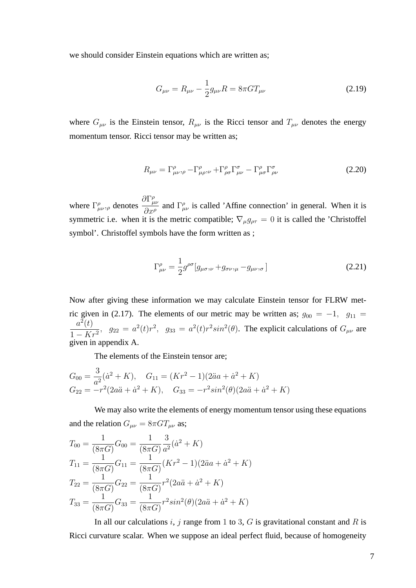we should consider Einstein equations which are written as;

$$
G_{\mu\nu} = R_{\mu\nu} - \frac{1}{2}g_{\mu\nu}R = 8\pi GT_{\mu\nu}
$$
 (2.19)

where  $G_{\mu\nu}$  is the Einstein tensor,  $R_{\mu\nu}$  is the Ricci tensor and  $T_{\mu\nu}$  denotes the energy momentum tensor. Ricci tensor may be written as;

$$
R_{\mu\nu} = \Gamma^{\rho}_{\mu\nu}, \rho - \Gamma^{\rho}_{\mu\rho}, \nu + \Gamma^{\rho}_{\rho\sigma} \Gamma^{\sigma}_{\mu\nu} - \Gamma^{\rho}_{\mu\sigma} \Gamma^{\sigma}_{\rho\nu}
$$
(2.20)

where  $\Gamma^{\rho}_{\mu\nu},_{\rho}$  denotes  $\partial Γ_{\mu\nu}^{\rho}$  $\frac{\partial^2 E_{\mu\nu}}{\partial x^{\rho}}$  and  $\Gamma^{\rho}_{\mu\nu}$  is called 'Affine connection' in general. When it is symmetric i.e. when it is the metric compatible;  $\nabla_{\mu}g_{\rho\tau} = 0$  it is called the 'Christoffel symbol'. Christoffel symbols have the form written as ;

$$
\Gamma^{\rho}_{\mu\nu} = \frac{1}{2} g^{\rho\sigma} [g_{\mu\sigma,\nu} + g_{\sigma\nu,\mu} - g_{\mu\nu,\sigma}]
$$
\n(2.21)

Now after giving these information we may calculate Einstein tensor for FLRW metric given in (2.17). The elements of our metric may be written as;  $g_{00} = -1$ ,  $g_{11} =$  $a^2(t)$  $\frac{a'(t)}{1 - Kr^2}$ ,  $g_{22} = a^2(t) r^2$ ,  $g_{33} = a^2(t) r^2 sin^2(\theta)$ . The explicit calculations of  $G_{\mu\nu}$  are given in appendix A.

The elements of the Einstein tensor are;

$$
G_{00} = \frac{3}{a^2}(\dot{a}^2 + K), \quad G_{11} = (Kr^2 - 1)(2\ddot{a}a + \dot{a}^2 + K)
$$
  
\n
$$
G_{22} = -r^2(2a\ddot{a} + \dot{a}^2 + K), \quad G_{33} = -r^2\sin^2(\theta)(2a\ddot{a} + \dot{a}^2 + K)
$$

We may also write the elements of energy momentum tensor using these equations and the relation  $G_{\mu\nu} = 8\pi G T_{\mu\nu}$  as;

$$
T_{00} = \frac{1}{(8\pi G)} G_{00} = \frac{1}{(8\pi G)} \frac{3}{a^2} (\dot{a}^2 + K)
$$
  
\n
$$
T_{11} = \frac{1}{(8\pi G)} G_{11} = \frac{1}{(8\pi G)} (Kr^2 - 1)(2\ddot{a}a + \dot{a}^2 + K)
$$
  
\n
$$
T_{22} = \frac{1}{(8\pi G)} G_{22} = \frac{1}{(8\pi G)} r^2 (2a\ddot{a} + \dot{a}^2 + K)
$$
  
\n
$$
T_{33} = \frac{1}{(8\pi G)} G_{33} = \frac{1}{(8\pi G)} r^2 \sin^2(\theta) (2a\ddot{a} + \dot{a}^2 + K)
$$

In all our calculations  $i, j$  range from 1 to 3,  $G$  is gravitational constant and  $R$  is Ricci curvature scalar. When we suppose an ideal perfect fluid, because of homogeneity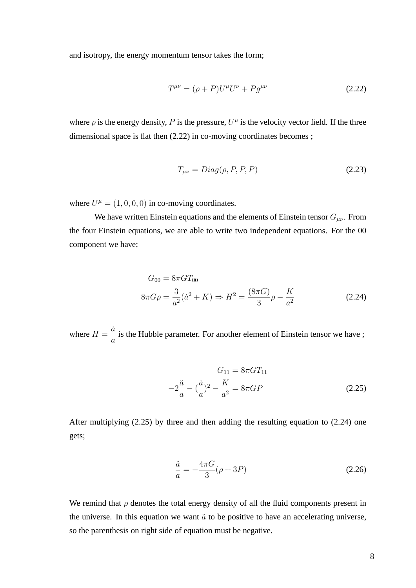and isotropy, the energy momentum tensor takes the form;

$$
T^{\mu\nu} = (\rho + P)U^{\mu}U^{\nu} + Pg^{\mu\nu}
$$
\n(2.22)

where  $\rho$  is the energy density, P is the pressure,  $U^{\mu}$  is the velocity vector field. If the three dimensional space is flat then (2.22) in co-moving coordinates becomes ;

$$
T_{\mu\nu} = Diag(\rho, P, P, P) \tag{2.23}
$$

where  $U^{\mu} = (1, 0, 0, 0)$  in co-moving coordinates.

We have written Einstein equations and the elements of Einstein tensor  $G_{\mu\nu}$ . From the four Einstein equations, we are able to write two independent equations. For the 00 component we have;

$$
G_{00} = 8\pi G T_{00}
$$
  

$$
8\pi G \rho = \frac{3}{a^2} (\dot{a}^2 + K) \Rightarrow H^2 = \frac{(8\pi G)}{3} \rho - \frac{K}{a^2}
$$
 (2.24)

where  $H =$  $\dot{a}$ a is the Hubble parameter. For another element of Einstein tensor we have ;

$$
G_{11} = 8\pi GT_{11}
$$

$$
-2\frac{\ddot{a}}{a} - \left(\frac{\dot{a}}{a}\right)^2 - \frac{K}{a^2} = 8\pi GP
$$
(2.25)

After multiplying (2.25) by three and then adding the resulting equation to (2.24) one gets;

$$
\frac{\ddot{a}}{a} = -\frac{4\pi G}{3}(\rho + 3P) \tag{2.26}
$$

We remind that  $\rho$  denotes the total energy density of all the fluid components present in the universe. In this equation we want  $\ddot{a}$  to be positive to have an accelerating universe, so the parenthesis on right side of equation must be negative.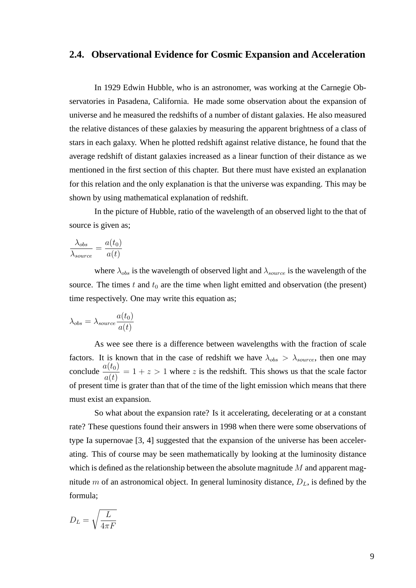#### **2.4. Observational Evidence for Cosmic Expansion and Acceleration**

In 1929 Edwin Hubble, who is an astronomer, was working at the Carnegie Observatories in Pasadena, California. He made some observation about the expansion of universe and he measured the redshifts of a number of distant galaxies. He also measured the relative distances of these galaxies by measuring the apparent brightness of a class of stars in each galaxy. When he plotted redshift against relative distance, he found that the average redshift of distant galaxies increased as a linear function of their distance as we mentioned in the first section of this chapter. But there must have existed an explanation for this relation and the only explanation is that the universe was expanding. This may be shown by using mathematical explanation of redshift.

In the picture of Hubble, ratio of the wavelength of an observed light to the that of source is given as;

$$
\frac{\lambda_{obs}}{\lambda_{source}} = \frac{a(t_0)}{a(t)}
$$

where  $\lambda_{obs}$  is the wavelength of observed light and  $\lambda_{source}$  is the wavelength of the source. The times  $t$  and  $t_0$  are the time when light emitted and observation (the present) time respectively. One may write this equation as;

$$
\lambda_{obs} = \lambda_{source} \frac{a(t_0)}{a(t)}
$$

As wee see there is a difference between wavelengths with the fraction of scale factors. It is known that in the case of redshift we have  $\lambda_{obs} > \lambda_{source}$ , then one may conclude  $\frac{a(t_0)}{a(t)}$  $a(t)$  $= 1 + z > 1$  where z is the redshift. This shows us that the scale factor of present time is grater than that of the time of the light emission which means that there must exist an expansion.

So what about the expansion rate? Is it accelerating, decelerating or at a constant rate? These questions found their answers in 1998 when there were some observations of type Ia supernovae [3, 4] suggested that the expansion of the universe has been accelerating. This of course may be seen mathematically by looking at the luminosity distance which is defined as the relationship between the absolute magnitude  $M$  and apparent magnitude m of an astronomical object. In general luminosity distance,  $D_L$ , is defined by the formula;

$$
D_L = \sqrt{\frac{L}{4\pi F}}
$$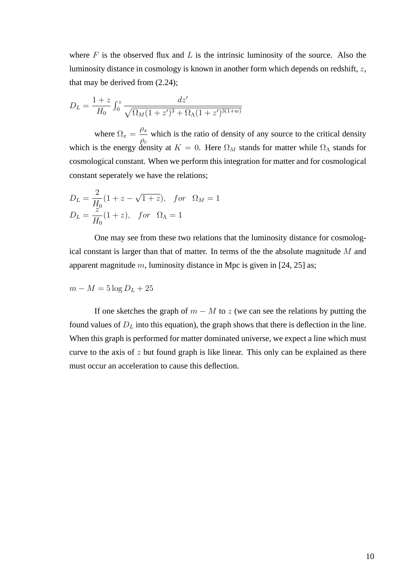where  $F$  is the observed flux and  $L$  is the intrinsic luminosity of the source. Also the luminosity distance in cosmology is known in another form which depends on redshift,  $z$ , that may be derived from (2.24);

$$
D_L = \frac{1+z}{H_0} \int_0^z \frac{dz'}{\sqrt{\Omega_M (1+z')^3 + \Omega_\Lambda (1+z')^{3(1+w)}}}
$$

where  $\Omega_x =$  $\frac{\rho_x}{\rho_y}$  which is the ratio of density of any source to the critical density  $\rho_c$ which is the energy density at  $K = 0$ . Here  $\Omega_M$  stands for matter while  $\Omega_{\Lambda}$  stands for cosmological constant. When we perform this integration for matter and for cosmological constant seperately we have the relations;

$$
D_L = \frac{2}{H_0}(1+z-\sqrt{1+z}), \quad \text{for} \quad \Omega_M = 1
$$
  

$$
D_L = \frac{z}{H_0}(1+z), \quad \text{for} \quad \Omega_\Lambda = 1
$$

One may see from these two relations that the luminosity distance for cosmological constant is larger than that of matter. In terms of the the absolute magnitude  $M$  and apparent magnitude m, luminosity distance in Mpc is given in  $[24, 25]$  as;

$$
m - M = 5\log D_L + 25
$$

If one sketches the graph of  $m - M$  to z (we can see the relations by putting the found values of  $D<sub>L</sub>$  into this equation), the graph shows that there is deflection in the line. When this graph is performed for matter dominated universe, we expect a line which must curve to the axis of  $z$  but found graph is like linear. This only can be explained as there must occur an acceleration to cause this deflection.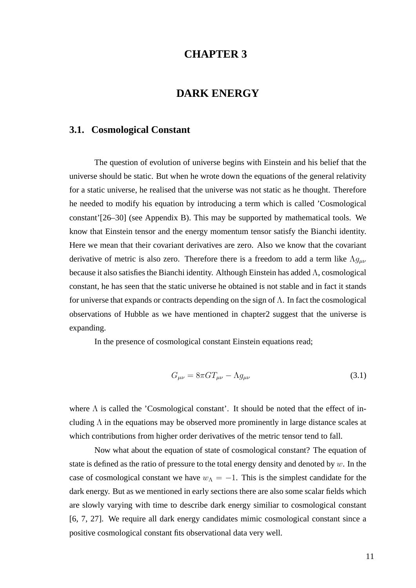## **CHAPTER 3**

## **DARK ENERGY**

### **3.1. Cosmological Constant**

The question of evolution of universe begins with Einstein and his belief that the universe should be static. But when he wrote down the equations of the general relativity for a static universe, he realised that the universe was not static as he thought. Therefore he needed to modify his equation by introducing a term which is called 'Cosmological constant'[26–30] (see Appendix B). This may be supported by mathematical tools. We know that Einstein tensor and the energy momentum tensor satisfy the Bianchi identity. Here we mean that their covariant derivatives are zero. Also we know that the covariant derivative of metric is also zero. Therefore there is a freedom to add a term like  $\Lambda g_{\mu\nu}$ because it also satisfies the Bianchi identity. Although Einstein has added  $\Lambda$ , cosmological constant, he has seen that the static universe he obtained is not stable and in fact it stands for universe that expands or contracts depending on the sign of  $\Lambda$ . In fact the cosmological observations of Hubble as we have mentioned in chapter2 suggest that the universe is expanding.

In the presence of cosmological constant Einstein equations read;

$$
G_{\mu\nu} = 8\pi G T_{\mu\nu} - \Lambda g_{\mu\nu} \tag{3.1}
$$

where  $\Lambda$  is called the 'Cosmological constant'. It should be noted that the effect of including  $\Lambda$  in the equations may be observed more prominently in large distance scales at which contributions from higher order derivatives of the metric tensor tend to fall.

Now what about the equation of state of cosmological constant? The equation of state is defined as the ratio of pressure to the total energy density and denoted by  $w$ . In the case of cosmological constant we have  $w<sub>A</sub> = -1$ . This is the simplest candidate for the dark energy. But as we mentioned in early sections there are also some scalar fields which are slowly varying with time to describe dark energy similiar to cosmological constant [6, 7, 27]. We require all dark energy candidates mimic cosmological constant since a positive cosmological constant fits observational data very well.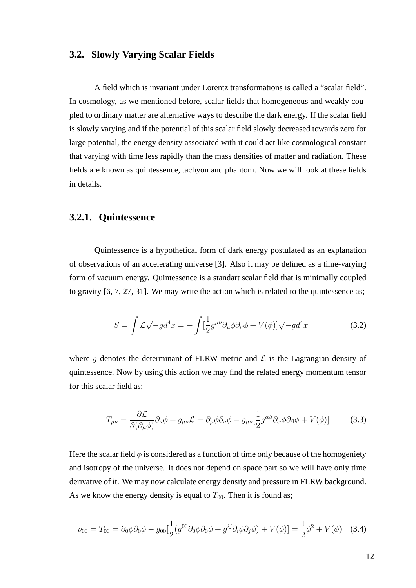#### **3.2. Slowly Varying Scalar Fields**

A field which is invariant under Lorentz transformations is called a "scalar field". In cosmology, as we mentioned before, scalar fields that homogeneous and weakly coupled to ordinary matter are alternative ways to describe the dark energy. If the scalar field is slowly varying and if the potential of this scalar field slowly decreased towards zero for large potential, the energy density associated with it could act like cosmological constant that varying with time less rapidly than the mass densities of matter and radiation. These fields are known as quintessence, tachyon and phantom. Now we will look at these fields in details.

#### **3.2.1. Quintessence**

Quintessence is a hypothetical form of dark energy postulated as an explanation of observations of an accelerating universe [3]. Also it may be defined as a time-varying form of vacuum energy. Quintessence is a standart scalar field that is minimally coupled to gravity [6, 7, 27, 31]. We may write the action which is related to the quintessence as;

$$
S = \int \mathcal{L}\sqrt{-g}d^4x = -\int \left[\frac{1}{2}g^{\mu\nu}\partial_{\mu}\phi\partial_{\nu}\phi + V(\phi)\right]\sqrt{-g}d^4x\tag{3.2}
$$

where g denotes the determinant of FLRW metric and  $\mathcal L$  is the Lagrangian density of quintessence. Now by using this action we may find the related energy momentum tensor for this scalar field as;

$$
T_{\mu\nu} = \frac{\partial \mathcal{L}}{\partial(\partial_{\mu}\phi)}\partial_{\nu}\phi + g_{\mu\nu}\mathcal{L} = \partial_{\mu}\phi\partial_{\nu}\phi - g_{\mu\nu}[\frac{1}{2}g^{\alpha\beta}\partial_{\alpha}\phi\partial_{\beta}\phi + V(\phi)] \tag{3.3}
$$

Here the scalar field  $\phi$  is considered as a function of time only because of the homogeniety and isotropy of the universe. It does not depend on space part so we will have only time derivative of it. We may now calculate energy density and pressure in FLRW background. As we know the energy density is equal to  $T_{00}$ . Then it is found as;

$$
\rho_{00} = T_{00} = \partial_0 \phi \partial_0 \phi - g_{00} \left[ \frac{1}{2} (g^{00} \partial_0 \phi \partial_0 \phi + g^{ij} \partial_i \phi \partial_j \phi) + V(\phi) \right] = \frac{1}{2} \dot{\phi}^2 + V(\phi) \quad (3.4)
$$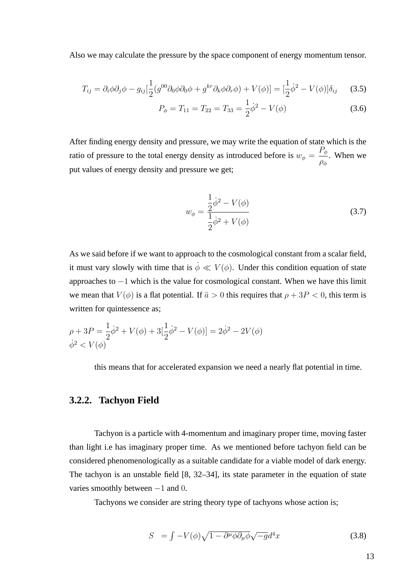Also we may calculate the pressure by the space component of energy momentum tensor.

$$
T_{ij} = \partial_i \phi \partial_j \phi - g_{ij} \left[ \frac{1}{2} (g^{00} \partial_0 \phi \partial_0 \phi + g^{kr} \partial_k \phi \partial_r \phi) + V(\phi) \right] = \left[ \frac{1}{2} \dot{\phi}^2 - V(\phi) \right] \delta_{ij} \tag{3.5}
$$

$$
P_{\phi} = T_{11} = T_{22} = T_{33} = \frac{1}{2}\dot{\phi}^2 - V(\phi)
$$
 (3.6)

After finding energy density and pressure, we may write the equation of state which is the ratio of pressure to the total energy density as introduced before is  $w_{\phi} =$  $P_{\phi}$  $\rho_{\phi}$ . When we put values of energy density and pressure we get;

$$
w_{\phi} = \frac{\frac{1}{2}\dot{\phi}^2 - V(\phi)}{\frac{1}{2}\dot{\phi}^2 + V(\phi)}
$$
(3.7)

As we said before if we want to approach to the cosmological constant from a scalar field, it must vary slowly with time that is  $\dot{\phi} \ll V(\phi)$ . Under this condition equation of state approaches to −1 which is the value for cosmological constant. When we have this limit we mean that  $V(\phi)$  is a flat potential. If  $\ddot{a} > 0$  this requires that  $\rho + 3P < 0$ , this term is written for quintessence as;

$$
\rho + 3P = \frac{1}{2}\dot{\phi}^2 + V(\phi) + 3[\frac{1}{2}\dot{\phi}^2 - V(\phi)] = 2\dot{\phi}^2 - 2V(\phi)
$$
  

$$
\dot{\phi}^2 < V(\phi)
$$

this means that for accelerated expansion we need a nearly flat potential in time.

### **3.2.2. Tachyon Field**

Tachyon is a particle with 4-momentum and imaginary proper time, moving faster than light i.e has imaginary proper time. As we mentioned before tachyon field can be considered phenomenologically as a suitable candidate for a viable model of dark energy. The tachyon is an unstable field [8, 32–34], its state parameter in the equation of state varies smoothly between  $-1$  and 0.

Tachyons we consider are string theory type of tachyons whose action is;

$$
S = \int -V(\phi)\sqrt{1-\partial^{\mu}\phi\partial_{\mu}\phi}\sqrt{-g}d^{4}x
$$
 (3.8)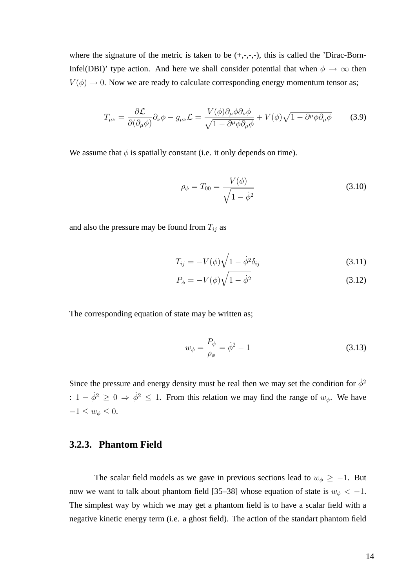where the signature of the metric is taken to be  $(+,-,-)$ , this is called the 'Dirac-Born-Infel(DBI)' type action. And here we shall consider potential that when  $\phi \to \infty$  then  $V(\phi) \rightarrow 0$ . Now we are ready to calculate corresponding energy momentum tensor as;

$$
T_{\mu\nu} = \frac{\partial \mathcal{L}}{\partial(\partial_{\mu}\phi)}\partial_{\nu}\phi - g_{\mu\nu}\mathcal{L} = \frac{V(\phi)\partial_{\mu}\phi\partial_{\nu}\phi}{\sqrt{1 - \partial^{\mu}\phi\partial_{\mu}\phi}} + V(\phi)\sqrt{1 - \partial^{\mu}\phi\partial_{\mu}\phi}
$$
(3.9)

We assume that  $\phi$  is spatially constant (i.e. it only depends on time).

$$
\rho_{\phi} = T_{00} = \frac{V(\phi)}{\sqrt{1 - \dot{\phi}^2}}
$$
(3.10)

and also the pressure may be found from  $T_{ij}$  as

$$
T_{ij} = -V(\phi)\sqrt{1 - \dot{\phi}^2}\delta_{ij}
$$
\n(3.11)

$$
P_{\phi} = -V(\phi)\sqrt{1 - \dot{\phi}^2}
$$
 (3.12)

The corresponding equation of state may be written as;

$$
w_{\phi} = \frac{P_{\phi}}{\rho_{\phi}} = \dot{\phi}^2 - 1
$$
\n(3.13)

Since the pressure and energy density must be real then we may set the condition for  $\dot{\phi}^2$ :  $1 - \dot{\phi}^2 \geq 0 \Rightarrow \dot{\phi}^2 \leq 1$ . From this relation we may find the range of  $w_{\phi}$ . We have  $-1 \leq w_{\phi} \leq 0.$ 

#### **3.2.3. Phantom Field**

The scalar field models as we gave in previous sections lead to  $w_{\phi} \ge -1$ . But now we want to talk about phantom field [35–38] whose equation of state is  $w_{\phi} < -1$ . The simplest way by which we may get a phantom field is to have a scalar field with a negative kinetic energy term (i.e. a ghost field). The action of the standart phantom field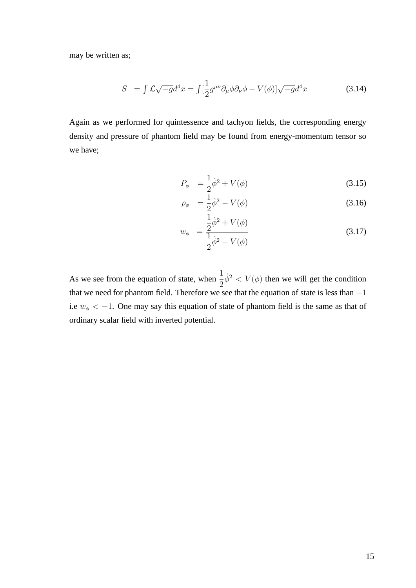may be written as;

$$
S = \int \mathcal{L}\sqrt{-g}d^4x = \int \left[\frac{1}{2}g^{\mu\nu}\partial_{\mu}\phi\partial_{\nu}\phi - V(\phi)\right]\sqrt{-g}d^4x\tag{3.14}
$$

Again as we performed for quintessence and tachyon fields, the corresponding energy density and pressure of phantom field may be found from energy-momentum tensor so we have;

$$
P_{\phi} = \frac{1}{2}\dot{\phi}^2 + V(\phi) \tag{3.15}
$$

$$
\rho_{\phi} = \frac{1}{2}\dot{\phi}^2 - V(\phi) \tag{3.16}
$$

$$
w_{\phi} = \frac{\frac{1}{2}\dot{\phi}^2 + V(\phi)}{\frac{1}{2}\dot{\phi}^2 - V(\phi)}
$$
(3.17)

As we see from the equation of state, when  $\frac{1}{2}$ 2  $\dot{\phi}^2 < V(\phi)$  then we will get the condition that we need for phantom field. Therefore we see that the equation of state is less than  $-1$ i.e  $w_{\phi} < -1$ . One may say this equation of state of phantom field is the same as that of ordinary scalar field with inverted potential.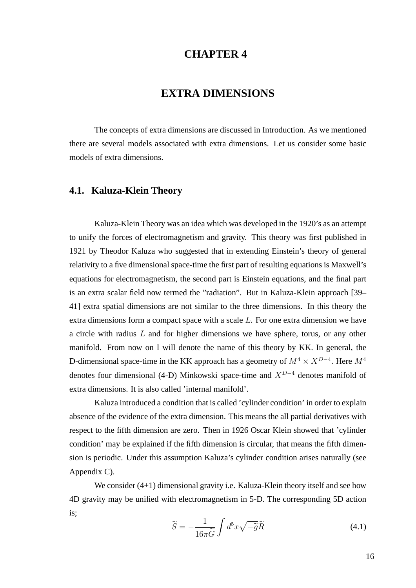## **CHAPTER 4**

## **EXTRA DIMENSIONS**

The concepts of extra dimensions are discussed in Introduction. As we mentioned there are several models associated with extra dimensions. Let us consider some basic models of extra dimensions.

### **4.1. Kaluza-Klein Theory**

Kaluza-Klein Theory was an idea which was developed in the 1920's as an attempt to unify the forces of electromagnetism and gravity. This theory was first published in 1921 by Theodor Kaluza who suggested that in extending Einstein's theory of general relativity to a five dimensional space-time the first part of resulting equations is Maxwell's equations for electromagnetism, the second part is Einstein equations, and the final part is an extra scalar field now termed the "radiation". But in Kaluza-Klein approach [39– 41] extra spatial dimensions are not similar to the three dimensions. In this theory the extra dimensions form a compact space with a scale L. For one extra dimension we have a circle with radius L and for higher dimensions we have sphere, torus, or any other manifold. From now on I will denote the name of this theory by KK. In general, the D-dimensional space-time in the KK approach has a geometry of  $M^4 \times X^{D-4}$ . Here  $M^4$ denotes four dimensional (4-D) Minkowski space-time and  $X^{D-4}$  denotes manifold of extra dimensions. It is also called 'internal manifold'.

Kaluza introduced a condition that is called 'cylinder condition' in order to explain absence of the evidence of the extra dimension. This means the all partial derivatives with respect to the fifth dimension are zero. Then in 1926 Oscar Klein showed that 'cylinder condition' may be explained if the fifth dimension is circular, that means the fifth dimension is periodic. Under this assumption Kaluza's cylinder condition arises naturally (see Appendix C).

We consider (4+1) dimensional gravity i.e. Kaluza-Klein theory itself and see how 4D gravity may be unified with electromagnetism in 5-D. The corresponding 5D action is;

$$
\widetilde{S} = -\frac{1}{16\pi \widetilde{G}} \int d^5 x \sqrt{-\widetilde{g}} \widetilde{R}
$$
\n(4.1)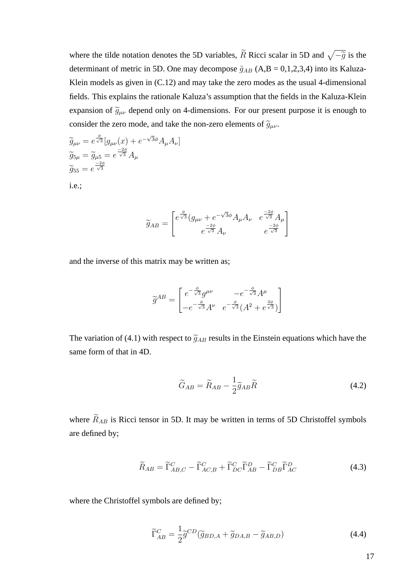where the tilde notation denotes the 5D variables,  $\tilde{R}$  Ricci scalar in 5D and  $\sqrt{-\tilde{g}}$  is the determinant of metric in 5D. One may decompose  $\tilde{g}_{AB}$  (A,B = 0,1,2,3,4) into its Kaluza-Klein models as given in (C.12) and may take the zero modes as the usual 4-dimensional fields. This explains the rationale Kaluza's assumption that the fields in the Kaluza-Klein expansion of  $\tilde{g}_{\mu\nu}$  depend only on 4-dimensions. For our present purpose it is enough to consider the zero mode, and take the non-zero elements of  $\tilde{g}_{\mu\nu}$ .

$$
\widetilde{g}_{\mu\nu} = e^{\frac{\phi}{\sqrt{3}}}[g_{\mu\nu}(x) + e^{-\sqrt{3}\phi}A_{\mu}A_{\nu}]
$$
  
\n
$$
\widetilde{g}_{5\mu} = \widetilde{g}_{\mu 5} = e^{\frac{-2\phi}{\sqrt{3}}}A_{\mu}
$$
  
\n
$$
\widetilde{g}_{55} = e^{\frac{-2\phi}{\sqrt{3}}}
$$

i.e.;

$$
\widetilde{g}_{AB}=\begin{bmatrix} e^{\frac{\phi}{\sqrt{3}}}\bigl(g_{\mu\nu}+e^{-\sqrt{3}\phi}A_\mu A_\nu & e^{\frac{-2\phi}{\sqrt{3}}}\t\tA_\mu \\ e^{\frac{-2\phi}{\sqrt{3}}}\tA_\nu & e^{\frac{-2\phi}{\sqrt{3}}}\end{bmatrix}
$$

and the inverse of this matrix may be written as;

$$
\widetilde{g}^{AB} = \begin{bmatrix} e^{-\frac{\phi}{\sqrt{3}}} g^{\mu\nu} & -e^{-\frac{\phi}{\sqrt{3}}} A^{\mu} \\ -e^{-\frac{\phi}{\sqrt{3}}} A^{\nu} & e^{-\frac{\phi}{\sqrt{3}}} (A^2 + e^{\frac{3\phi}{\sqrt{3}}}) \end{bmatrix}
$$

The variation of (4.1) with respect to  $\tilde{g}_{AB}$  results in the Einstein equations which have the same form of that in 4D.

$$
\widetilde{G}_{AB} = \widetilde{R}_{AB} - \frac{1}{2} \widetilde{g}_{AB} \widetilde{R}
$$
\n(4.2)

where  $\widetilde{R}_{AB}$  is Ricci tensor in 5D. It may be written in terms of 5D Christoffel symbols are defined by;

$$
\widetilde{R}_{AB} = \widetilde{\Gamma}_{AB,C}^{C} - \widetilde{\Gamma}_{AC,B}^{C} + \widetilde{\Gamma}_{DC}^{C} \widetilde{\Gamma}_{AB}^{D} - \widetilde{\Gamma}_{DB}^{C} \widetilde{\Gamma}_{AC}^{D}
$$
\n(4.3)

where the Christoffel symbols are defined by;

$$
\widetilde{\Gamma}_{AB}^C = \frac{1}{2} \widetilde{g}^{CD} (\widetilde{g}_{BD,A} + \widetilde{g}_{DA,B} - \widetilde{g}_{AB,D})
$$
\n(4.4)

17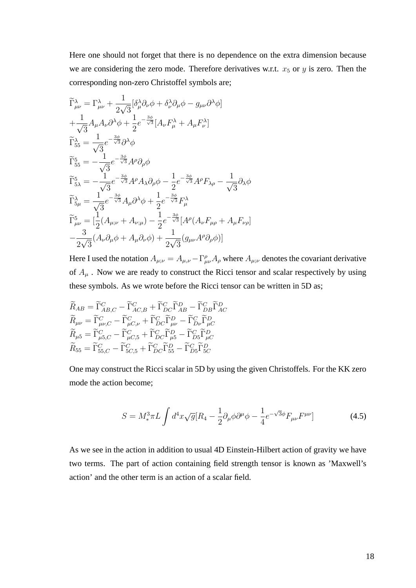Here one should not forget that there is no dependence on the extra dimension because we are considering the zero mode. Therefore derivatives w.r.t.  $x_5$  or  $y$  is zero. Then the corresponding non-zero Christoffel symbols are;

$$
\begin{split}\n\widetilde{\Gamma}^{\lambda}_{\mu\nu} &= \Gamma^{\lambda}_{\mu\nu} + \frac{1}{2\sqrt{3}} [\delta^{\lambda}_{\mu}\partial_{\nu}\phi + \delta^{\lambda}_{\nu}\partial_{\mu}\phi - g_{\mu\nu}\partial^{\lambda}\phi] \\
&+ \frac{1}{\sqrt{3}} A_{\mu}A_{\nu}\partial^{\lambda}\phi + \frac{1}{2}e^{-\frac{3\phi}{\sqrt{3}}}[A_{\nu}F^{\lambda}_{\mu} + A_{\mu}F^{\lambda}_{\nu}] \\
\widetilde{\Gamma}^{\lambda}_{55} &= \frac{1}{\sqrt{3}}e^{-\frac{3\phi}{\sqrt{3}}}\partial^{\lambda}\phi \\
\widetilde{\Gamma}^{5}_{55} &= -\frac{1}{\sqrt{3}}e^{-\frac{3\phi}{\sqrt{3}}}A^{\rho}\partial_{\rho}\phi \\
\widetilde{\Gamma}^{5}_{5\lambda} &= -\frac{1}{\sqrt{3}}e^{-\frac{3\phi}{\sqrt{3}}}A^{\rho}A_{\lambda}\partial_{\rho}\phi - \frac{1}{2}e^{-\frac{3\phi}{\sqrt{3}}}A^{\rho}F_{\lambda\rho} - \frac{1}{\sqrt{3}}\partial_{\lambda}\phi \\
\widetilde{\Gamma}^{\lambda}_{5\mu} &= \frac{1}{\sqrt{3}}e^{-\frac{3\phi}{\sqrt{3}}}A_{\mu}\partial^{\lambda}\phi + \frac{1}{2}e^{-\frac{3\phi}{\sqrt{3}}}F^{\lambda}_{\mu} \\
\widetilde{\Gamma}^{5}_{\mu\nu} &= \left[\frac{1}{2}(A_{\mu;\nu} + A_{\nu;\mu}) - \frac{1}{2}e^{-\frac{3\phi}{\sqrt{3}}}[A^{\rho}(A_{\nu}F_{\mu\rho} + A_{\mu}F_{\nu\rho}] \right. \\
&- \frac{3}{2\sqrt{3}}(A_{\nu}\partial_{\mu}\phi + A_{\mu}\partial_{\nu}\phi) + \frac{1}{2\sqrt{3}}(g_{\mu\nu}A^{\rho}\partial_{\rho}\phi)]\n\end{split}
$$

Here I used the notation  $A_{\mu;\nu} = A_{\mu;\nu} - \Gamma^{\rho}_{\mu\nu} A_{\rho}$  where  $A_{\mu;\nu}$  denotes the covariant derivative of  $A_{\mu}$ . Now we are ready to construct the Ricci tensor and scalar respectively by using these symbols. As we wrote before the Ricci tensor can be written in 5D as;

$$
\begin{split} \widetilde{R}_{AB} &= \widetilde{\Gamma}^C_{AB,C} - \widetilde{\Gamma}^C_{AC,B} + \widetilde{\Gamma}^C_{DC}\widetilde{\Gamma}^D_{AB} - \widetilde{\Gamma}^C_{DB}\widetilde{\Gamma}^D_{AC} \\ \widetilde{R}_{\mu\nu} &= \widetilde{\Gamma}^C_{\mu\nu,C} - \widetilde{\Gamma}^C_{\mu C,\nu} + \widetilde{\Gamma}^C_{DC}\widetilde{\Gamma}^D_{\mu\nu} - \widetilde{\Gamma}^C_{D\nu}\widetilde{\Gamma}^D_{\mu C} \\ \widetilde{R}_{\mu 5} &= \widetilde{\Gamma}^C_{\mu 5,C} - \widetilde{\Gamma}^C_{\mu C,5} + \widetilde{\Gamma}^C_{DC}\widetilde{\Gamma}^D_{\mu 5} - \widetilde{\Gamma}^C_{D5}\widetilde{\Gamma}^D_{\mu C} \\ \widetilde{R}_{55} &= \widetilde{\Gamma}^C_{55,C} - \widetilde{\Gamma}^C_{5C,5} + \widetilde{\Gamma}^C_{DC}\widetilde{\Gamma}^D_{55} - \widetilde{\Gamma}^C_{D5}\widetilde{\Gamma}^D_{5C} \end{split}
$$

One may construct the Ricci scalar in 5D by using the given Christoffels. For the KK zero mode the action become;

$$
S = M_{*}^{3} \pi L \int d^{4}x \sqrt{g} [R_{4} - \frac{1}{2} \partial_{\mu} \phi \partial^{\mu} \phi - \frac{1}{4} e^{-\sqrt{3}\phi} F_{\mu\nu} F^{\mu\nu}]
$$
(4.5)

As we see in the action in addition to usual 4D Einstein-Hilbert action of gravity we have two terms. The part of action containing field strength tensor is known as 'Maxwell's action' and the other term is an action of a scalar field.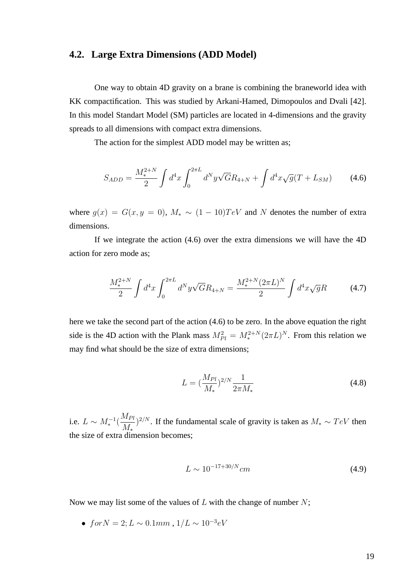#### **4.2. Large Extra Dimensions (ADD Model)**

One way to obtain 4D gravity on a brane is combining the braneworld idea with KK compactification. This was studied by Arkani-Hamed, Dimopoulos and Dvali [42]. In this model Standart Model (SM) particles are located in 4-dimensions and the gravity spreads to all dimensions with compact extra dimensions.

The action for the simplest ADD model may be written as;

$$
S_{ADD} = \frac{M_*^{2+N}}{2} \int d^4x \int_0^{2\pi L} d^N y \sqrt{G} R_{4+N} + \int d^4x \sqrt{g} (T + L_{SM}) \tag{4.6}
$$

where  $g(x) = G(x, y = 0)$ ,  $M_* \sim (1 - 10) TeV$  and N denotes the number of extra dimensions.

If we integrate the action (4.6) over the extra dimensions we will have the 4D action for zero mode as;

$$
\frac{M_*^{2+N}}{2} \int d^4x \int_0^{2\pi L} d^N y \sqrt{G} R_{4+N} = \frac{M_*^{2+N} (2\pi L)^N}{2} \int d^4x \sqrt{g} R \tag{4.7}
$$

here we take the second part of the action (4.6) to be zero. In the above equation the right side is the 4D action with the Plank mass  $M_{Pl}^2 = M_*^{2+N} (2\pi L)^N$ . From this relation we may find what should be the size of extra dimensions;

$$
L = \left(\frac{M_{Pl}}{M_*}\right)^{2/N} \frac{1}{2\pi M_*} \tag{4.8}
$$

i.e.  $L \sim M_*^{-1}(\frac{M_{Pl}}{M})$  $M_*$  $(2^{2/N})$ . If the fundamental scale of gravity is taken as  $M_* \sim TeV$  then the size of extra dimension becomes;

$$
L \sim 10^{-17+30/N} cm \tag{4.9}
$$

Now we may list some of the values of  $L$  with the change of number  $N$ ;

• for  $N = 2; L \sim 0.1$ mm,  $1/L \sim 10^{-3} eV$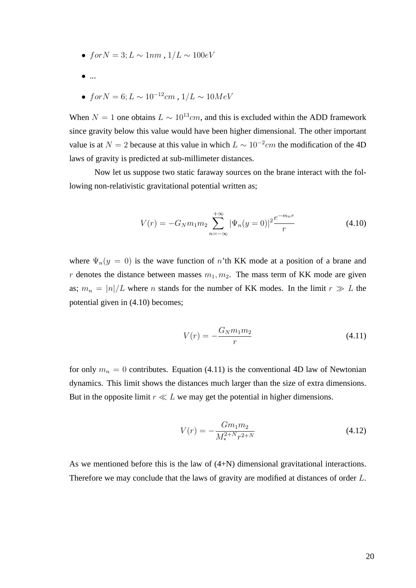- for  $N = 3$ :  $L \sim 1$ nm,  $1/L \sim 100$ eV
- $\bullet$  ...
- for  $N = 6$ ;  $L \sim 10^{-12}$ cm,  $1/L \sim 10MeV$

When  $N = 1$  one obtains  $L \sim 10^{13}$ cm, and this is excluded within the ADD framework since gravity below this value would have been higher dimensional. The other important value is at  $N = 2$  because at this value in which  $L \sim 10^{-2}$ cm the modification of the 4D laws of gravity is predicted at sub-millimeter distances.

Now let us suppose two static faraway sources on the brane interact with the following non-relativistic gravitational potential written as;

$$
V(r) = -G_N m_1 m_2 \sum_{n=-\infty}^{+\infty} |\Psi_n(y=0)|^2 \frac{e^{-m_n r}}{r}
$$
(4.10)

where  $\Psi_n(y = 0)$  is the wave function of n'th KK mode at a position of a brane and r denotes the distance between masses  $m_1, m_2$ . The mass term of KK mode are given as;  $m_n = |n|/L$  where n stands for the number of KK modes. In the limit  $r \gg L$  the potential given in (4.10) becomes;

$$
V(r) = -\frac{G_N m_1 m_2}{r}
$$
\n(4.11)

for only  $m_n = 0$  contributes. Equation (4.11) is the conventional 4D law of Newtonian dynamics. This limit shows the distances much larger than the size of extra dimensions. But in the opposite limit  $r \ll L$  we may get the potential in higher dimensions.

$$
V(r) = -\frac{Gm_1m_2}{M_*^{2+N}r^{2+N}}
$$
\n(4.12)

As we mentioned before this is the law of  $(4+N)$  dimensional gravitational interactions. Therefore we may conclude that the laws of gravity are modified at distances of order L.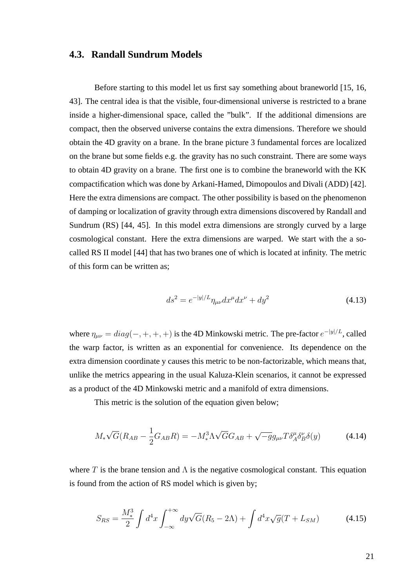#### **4.3. Randall Sundrum Models**

Before starting to this model let us first say something about braneworld [15, 16, 43]. The central idea is that the visible, four-dimensional universe is restricted to a brane inside a higher-dimensional space, called the "bulk". If the additional dimensions are compact, then the observed universe contains the extra dimensions. Therefore we should obtain the 4D gravity on a brane. In the brane picture 3 fundamental forces are localized on the brane but some fields e.g. the gravity has no such constraint. There are some ways to obtain 4D gravity on a brane. The first one is to combine the braneworld with the KK compactification which was done by Arkani-Hamed, Dimopoulos and Divali (ADD) [42]. Here the extra dimensions are compact. The other possibility is based on the phenomenon of damping or localization of gravity through extra dimensions discovered by Randall and Sundrum (RS) [44, 45]. In this model extra dimensions are strongly curved by a large cosmological constant. Here the extra dimensions are warped. We start with the a socalled RS II model [44] that has two branes one of which is located at infinity. The metric of this form can be written as;

$$
ds^{2} = e^{-|y|/L} \eta_{\mu\nu} dx^{\mu} dx^{\nu} + dy^{2}
$$
 (4.13)

where  $\eta_{\mu\nu} = diag(-, +, +, +)$  is the 4D Minkowski metric. The pre-factor  $e^{-|y|/L}$ , called the warp factor, is written as an exponential for convenience. Its dependence on the extra dimension coordinate y causes this metric to be non-factorizable, which means that, unlike the metrics appearing in the usual Kaluza-Klein scenarios, it cannot be expressed as a product of the 4D Minkowski metric and a manifold of extra dimensions.

This metric is the solution of the equation given below;

$$
M_*\sqrt{G}(R_{AB} - \frac{1}{2}G_{AB}R) = -M_*^3 \Lambda \sqrt{G}G_{AB} + \sqrt{-g}g_{\mu\nu}T\delta_A^{\mu}\delta_B^{\nu}\delta(y)
$$
(4.14)

where T is the brane tension and  $\Lambda$  is the negative cosmological constant. This equation is found from the action of RS model which is given by;

$$
S_{RS} = \frac{M_*^3}{2} \int d^4x \int_{-\infty}^{+\infty} dy \sqrt{G} (R_5 - 2\Lambda) + \int d^4x \sqrt{g} (T + L_{SM}) \tag{4.15}
$$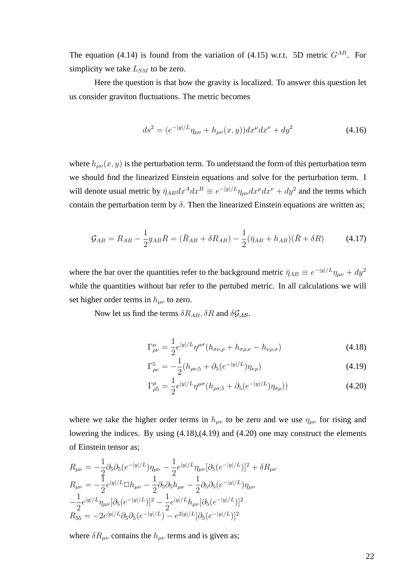The equation (4.14) is found from the variation of (4.15) w.r.t. 5D metric  $G^{AB}$ . For simplicity we take  $L_{SM}$  to be zero.

Here the question is that how the gravity is localized. To answer this question let us consider graviton fluctuations. The metric becomes

$$
ds^{2} = (e^{-|y|/L}\eta_{\mu\nu} + h_{\mu\nu}(x, y))dx^{\mu}dx^{\nu} + dy^{2}
$$
\n(4.16)

where  $h_{\mu\nu}(x, y)$  is the perturbation term. To understand the form of this perturbation term we should find the linearized Einstein equations and solve for the perturbation term. I will denote usual metric by  $\bar{\eta}_{AB}dx^A dx^B \equiv e^{-|y|/L} \eta_{\mu\nu} dx^\mu dx^\nu + dy^2$  and the terms which contain the perturbation term by  $\delta$ . Then the linearized Einstein equations are written as;

$$
\mathcal{G}_{AB} = R_{AB} - \frac{1}{2}g_{AB}R = (\bar{R}_{AB} + \delta R_{AB}) - \frac{1}{2}(\bar{\eta}_{AB} + h_{AB})(\bar{R} + \delta R) \tag{4.17}
$$

where the bar over the quantities refer to the background metric  $\bar{\eta}_{AB} \equiv e^{-|y|/L} \eta_{\mu\nu} + dy^2$ while the quantities without bar refer to the pertubed metric. In all calculations we will set higher order terms in  $h_{\mu\nu}$  to zero.

Now let us find the terms  $\delta R_{AB}$ ,  $\delta R$  and  $\delta \mathcal{G}_{AB}$ .

$$
\Gamma^{\mu}_{\rho\nu} = \frac{1}{2} e^{|y|/L} \eta^{\mu\sigma} (h_{\sigma\nu,\rho} + h_{\sigma\rho,\nu} - h_{\nu\rho,\sigma}) \tag{4.18}
$$

$$
\Gamma_{\rho\nu}^5 = -\frac{1}{2} (h_{\rho\nu,5} + \partial_5 (e^{-|y|/L}) \eta_{\nu\rho})
$$
\n(4.19)

$$
\Gamma^{\mu}_{\rho 5} = \frac{1}{2} e^{|y|/L} \eta^{\mu \sigma} (h_{\rho \sigma, 5} + \partial_5 (e^{-|y|/L}) \eta_{\sigma \rho})) \tag{4.20}
$$

where we take the higher order terms in  $h_{\mu\nu}$  to be zero and we use  $\eta_{\mu\nu}$  for rising and lowering the indices. By using (4.18),(4.19) and (4.20) one may construct the elements of Einstein tensor as;

$$
R_{\mu\nu} = -\frac{1}{2}\partial_5 \partial_5 (e^{-|y|/L}) \eta_{\mu\nu} - \frac{1}{2}e^{|y|/L} \eta_{\mu\nu} [\partial_5 (e^{-|y|/L})]^2 + \delta R_{\mu\nu}
$$
  
\n
$$
R_{\mu\nu} = -\frac{1}{2}e^{|y|/L} \Box h_{\mu\nu} - \frac{1}{2}\partial_5 \partial_5 h_{\mu\nu} - \frac{1}{2}\partial_5 \partial_5 (e^{-|y|/L}) \eta_{\mu\nu}
$$
  
\n
$$
-\frac{1}{2}e^{|y|/L} \eta_{\mu\nu} [\partial_5 (e^{-|y|/L})]^2 - \frac{1}{2}e^{|y|/L} h_{\mu\nu} [\partial_5 (e^{-|y|/L})]^2
$$
  
\n
$$
R_{55} = -2e^{|y|/L} \partial_5 \partial_5 (e^{-|y|/L}) - e^{2|y|/L} [\partial_5 (e^{-|y|/L})]^2
$$

where  $\delta R_{\mu\nu}$  contains the  $h_{\mu\nu}$  terms and is given as;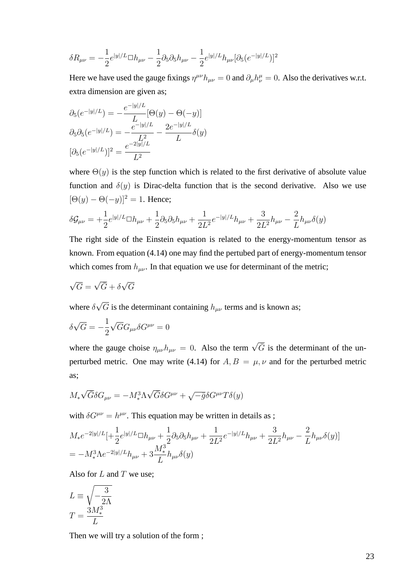$$
\delta R_{\mu\nu} = -\frac{1}{2}e^{|y|/L} \Box h_{\mu\nu} - \frac{1}{2}\partial_5\partial_5 h_{\mu\nu} - \frac{1}{2}e^{|y|/L}h_{\mu\nu}[\partial_5(e^{-|y|/L})]^2
$$

Here we have used the gauge fixings  $\eta^{\mu\nu}h_{\mu\nu} = 0$  and  $\partial_{\mu}h^{\mu}_{\nu} = 0$ . Also the derivatives w.r.t. extra dimension are given as;

$$
\partial_5(e^{-|y|/L}) = -\frac{e^{-|y|/L}}{L}[\Theta(y) - \Theta(-y)]
$$

$$
\partial_5 \partial_5(e^{-|y|/L}) = -\frac{e^{-|y|/L}}{L^2} - \frac{2e^{-|y|/L}}{L} \delta(y)
$$

$$
[\partial_5(e^{-|y|/L})]^2 = \frac{e^{-2|y|/L}}{L^2}
$$

where  $\Theta(y)$  is the step function which is related to the first derivative of absolute value function and  $\delta(y)$  is Dirac-delta function that is the second derivative. Also we use  $[\Theta(y) - \Theta(-y)]^2 = 1$ . Hence;

$$
\delta \mathcal{G}_{\mu\nu} = +\frac{1}{2} e^{|y|/L} \Box h_{\mu\nu} + \frac{1}{2} \partial_5 \partial_5 h_{\mu\nu} + \frac{1}{2L^2} e^{-|y|/L} h_{\mu\nu} + \frac{3}{2L^2} h_{\mu\nu} - \frac{2}{L} h_{\mu\nu} \delta(y)
$$

The right side of the Einstein equation is related to the energy-momentum tensor as known. From equation (4.14) one may find the pertubed part of energy-momentum tensor which comes from  $h_{\mu\nu}$ . In that equation we use for determinant of the metric;

$$
\sqrt{G} = \sqrt{\bar{G}} + \delta\sqrt{G}
$$

where  $\delta$ √ G is the determinant containing  $h_{\mu\nu}$  terms and is known as;

$$
\delta\sqrt{G}=-\frac{1}{2}\sqrt{G}G_{\mu\nu}\delta G^{\mu\nu}=0
$$

where the gauge choise  $\eta_{\mu\nu}h_{\mu\nu} = 0$ . Also the term  $\sqrt{\bar{G}}$  is the determinant of the unperturbed metric. One may write (4.14) for  $A, B = \mu, \nu$  and for the perturbed metric as;

$$
M_*\sqrt{\bar{G}}\delta G_{\mu\nu} = -M_*^3 \Lambda \sqrt{\bar{G}}\delta G^{\mu\nu} + \sqrt{-\bar{g}}\delta G^{\mu\nu}T\delta(y)
$$

with  $\delta G^{\mu\nu} = h^{\mu\nu}$ . This equation may be written in details as ;

$$
M_{*}e^{-2|y|/L}[\pm\frac{1}{2}e^{|y|/L}\Box h_{\mu\nu} + \frac{1}{2}\partial_{5}\partial_{5}h_{\mu\nu} + \frac{1}{2L^{2}}e^{-|y|/L}h_{\mu\nu} + \frac{3}{2L^{2}}h_{\mu\nu} - \frac{2}{L}h_{\mu\nu}\delta(y)]
$$
  
=  $-M_{*}^{3}\Lambda e^{-2|y|/L}h_{\mu\nu} + 3\frac{M_{*}^{3}}{L}h_{\mu\nu}\delta(y)$ 

Also for  $L$  and  $T$  we use;

$$
L \equiv \sqrt{-\frac{3}{2\Lambda}}
$$

$$
T = \frac{3M_*^3}{L}
$$

Then we will try a solution of the form ;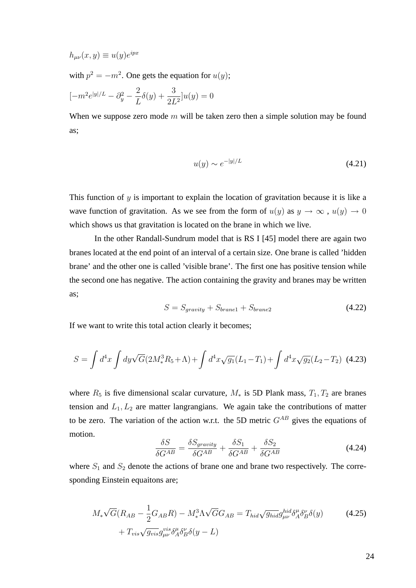$$
h_{\mu\nu}(x,y) \equiv u(y)e^{ipx}
$$

with  $p^2 = -m^2$ . One gets the equation for  $u(y)$ ;

$$
[-m^2 e^{|y|/L} - \partial_y^2 - \frac{2}{L} \delta(y) + \frac{3}{2L^2}]u(y) = 0
$$

When we suppose zero mode  $m$  will be taken zero then a simple solution may be found as;

$$
u(y) \sim e^{-|y|/L} \tag{4.21}
$$

This function of  $y$  is important to explain the location of gravitation because it is like a wave function of gravitation. As we see from the form of  $u(y)$  as  $y \to \infty$ ,  $u(y) \to 0$ which shows us that gravitation is located on the brane in which we live.

In the other Randall-Sundrum model that is RS I [45] model there are again two branes located at the end point of an interval of a certain size. One brane is called 'hidden brane' and the other one is called 'visible brane'. The first one has positive tension while the second one has negative. The action containing the gravity and branes may be written as;

$$
S = S_{gravity} + S_{brane1} + S_{brane2}
$$
\n(4.22)

If we want to write this total action clearly it becomes;

$$
S = \int d^4x \int dy \sqrt{G} (2M_*^3 R_5 + \Lambda) + \int d^4x \sqrt{g_1} (L_1 - T_1) + \int d^4x \sqrt{g_2} (L_2 - T_2)
$$
 (4.23)

where  $R_5$  is five dimensional scalar curvature,  $M_*$  is 5D Plank mass,  $T_1, T_2$  are branes tension and  $L_1, L_2$  are matter langrangians. We again take the contributions of matter to be zero. The variation of the action w.r.t. the 5D metric  $G^{AB}$  gives the equations of motion.

$$
\frac{\delta S}{\delta G^{AB}} = \frac{\delta S_{gravity}}{\delta G^{AB}} + \frac{\delta S_1}{\delta G^{AB}} + \frac{\delta S_2}{\delta G^{AB}}
$$
(4.24)

where  $S_1$  and  $S_2$  denote the actions of brane one and brane two respectively. The corresponding Einstein equaitons are;

$$
M_*\sqrt{G}(R_{AB} - \frac{1}{2}G_{AB}R) - M_*^3 \Lambda \sqrt{G}G_{AB} = T_{hid}\sqrt{g_{hid}}g_{\mu\nu}^{hid}\delta_A^{\mu}\delta_B^{\nu}\delta(y)
$$
(4.25)  
+  $T_{vis}\sqrt{g_{vis}}g_{\mu\nu}^{vis}\delta_A^{\mu}\delta_B^{\nu}\delta(y - L)$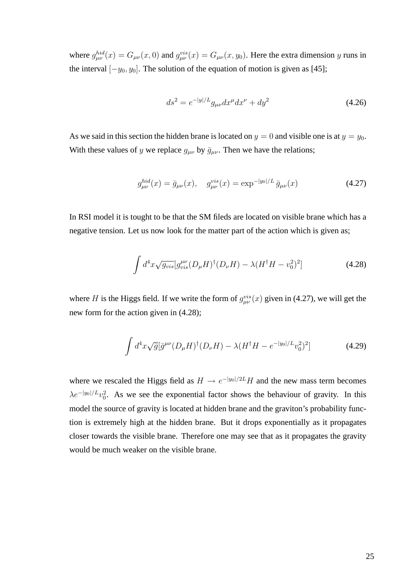where  $g_{\mu\nu}^{hid}(x) = G_{\mu\nu}(x,0)$  and  $g_{\mu\nu}^{vis}(x) = G_{\mu\nu}(x,y_0)$ . Here the extra dimension y runs in the interval  $[-y_0, y_0]$ . The solution of the equation of motion is given as [45];

$$
ds^{2} = e^{-|y|/L} g_{\mu\nu} dx^{\mu} dx^{\nu} + dy^{2}
$$
\n(4.26)

As we said in this section the hidden brane is located on  $y = 0$  and visible one is at  $y = y_0$ . With these values of y we replace  $g_{\mu\nu}$  by  $\bar{g}_{\mu\nu}$ . Then we have the relations;

$$
g_{\mu\nu}^{hid}(x) = \bar{g}_{\mu\nu}(x), \quad g_{\mu\nu}^{vis}(x) = \exp^{-|y_0|/L} \bar{g}_{\mu\nu}(x) \tag{4.27}
$$

In RSI model it is tought to be that the SM fileds are located on visible brane which has a negative tension. Let us now look for the matter part of the action which is given as;

$$
\int d^4x \sqrt{g_{vis}} [g_{vis}^{\mu\nu} (D_\mu H)^\dagger (D_\nu H) - \lambda (H^\dagger H - v_0^2)^2]
$$
\n(4.28)

where H is the Higgs field. If we write the form of  $g_{\mu\nu}^{vis}(x)$  given in (4.27), we will get the new form for the action given in (4.28);

$$
\int d^4x \sqrt{\bar{g}} [\bar{g}^{\mu\nu} (D_{\mu} H)^{\dagger} (D_{\nu} H) - \lambda (H^{\dagger} H - e^{-|y_0|/L} v_0^2)^2]
$$
(4.29)

where we rescaled the Higgs field as  $H \rightarrow e^{-|y_0|/2L}H$  and the new mass term becomes  $\lambda e^{-|y_0|/L}v_0^2$ . As we see the exponential factor shows the behaviour of gravity. In this model the source of gravity is located at hidden brane and the graviton's probability function is extremely high at the hidden brane. But it drops exponentially as it propagates closer towards the visible brane. Therefore one may see that as it propagates the gravity would be much weaker on the visible brane.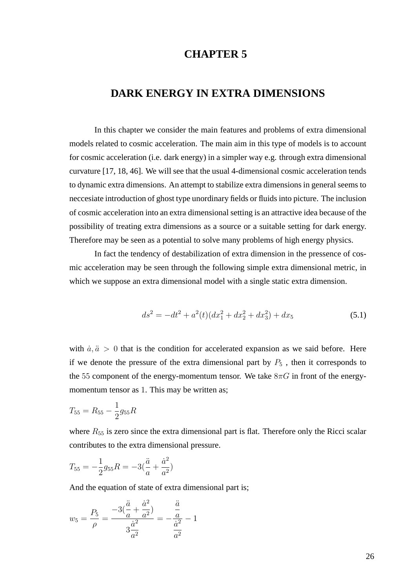# **CHAPTER 5**

## **DARK ENERGY IN EXTRA DIMENSIONS**

In this chapter we consider the main features and problems of extra dimensional models related to cosmic acceleration. The main aim in this type of models is to account for cosmic acceleration (i.e. dark energy) in a simpler way e.g. through extra dimensional curvature [17, 18, 46]. We will see that the usual 4-dimensional cosmic acceleration tends to dynamic extra dimensions. An attempt to stabilize extra dimensions in general seems to neccesiate introduction of ghost type unordinary fields or fluids into picture. The inclusion of cosmic acceleration into an extra dimensional setting is an attractive idea because of the possibility of treating extra dimensions as a source or a suitable setting for dark energy. Therefore may be seen as a potential to solve many problems of high energy physics.

In fact the tendency of destabilization of extra dimension in the pressence of cosmic acceleration may be seen through the following simple extra dimensional metric, in which we suppose an extra dimensional model with a single static extra dimension.

$$
ds^{2} = -dt^{2} + a^{2}(t)(dx_{1}^{2} + dx_{2}^{2} + dx_{3}^{2}) + dx_{5}
$$
\n(5.1)

with  $\dot{a}, \ddot{a} > 0$  that is the condition for accelerated expansion as we said before. Here if we denote the pressure of the extra dimensional part by  $P_5$ , then it corresponds to the 55 component of the energy-momentum tensor. We take  $8\pi G$  in front of the energymomentum tensor as 1. This may be written as;

$$
T_{55} = R_{55} - \frac{1}{2}g_{55}R
$$

where  $R_{55}$  is zero since the extra dimensional part is flat. Therefore only the Ricci scalar contributes to the extra dimensional pressure.

$$
T_{55} = -\frac{1}{2}g_{55}R = -3(\frac{\ddot{a}}{a} + \frac{\dot{a}^2}{a^2})
$$

And the equation of state of extra dimensional part is;

$$
w_5 = \frac{P_5}{\rho} = \frac{-3(\frac{\ddot{a}}{a} + \frac{\dot{a}^2}{a^2})}{3\frac{\dot{a}^2}{a^2}} = -\frac{\frac{\ddot{a}}{a}}{\frac{\dot{a}^2}{a^2}} - 1
$$

26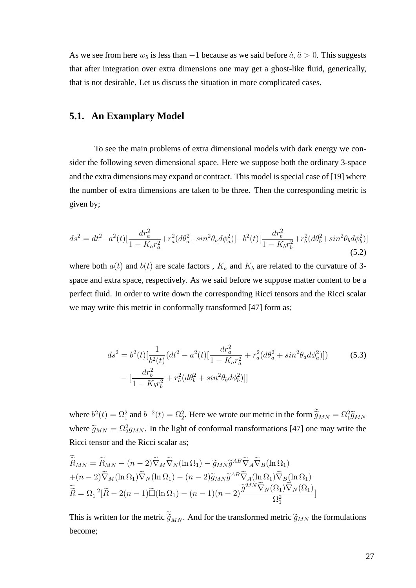As we see from here  $w_5$  is less than  $-1$  because as we said before  $\dot{a}, \ddot{a} > 0$ . This suggests that after integration over extra dimensions one may get a ghost-like fluid, generically, that is not desirable. Let us discuss the situation in more complicated cases.

#### **5.1. An Examplary Model**

To see the main problems of extra dimensional models with dark energy we consider the following seven dimensional space. Here we suppose both the ordinary 3-space and the extra dimensions may expand or contract. This model is special case of [19] where the number of extra dimensions are taken to be three. Then the corresponding metric is given by;

$$
ds^{2} = dt^{2} - a^{2}(t) \left[ \frac{dr_{a}^{2}}{1 - K_{a}r_{a}^{2}} + r_{a}^{2}(d\theta_{a}^{2} + sin^{2}\theta_{a}d\phi_{a}^{2}) \right] - b^{2}(t) \left[ \frac{dr_{b}^{2}}{1 - K_{b}r_{b}^{2}} + r_{b}^{2}(d\theta_{b}^{2} + sin^{2}\theta_{b}d\phi_{b}^{2}) \right]
$$
\n(5.2)

where both  $a(t)$  and  $b(t)$  are scale factors,  $K_a$  and  $K_b$  are related to the curvature of 3space and extra space, respectively. As we said before we suppose matter content to be a perfect fluid. In order to write down the corresponding Ricci tensors and the Ricci scalar we may write this metric in conformally transformed [47] form as;

$$
ds^{2} = b^{2}(t)[\frac{1}{b^{2}(t)}(dt^{2} - a^{2}(t)[\frac{dr_{a}^{2}}{1 - K_{a}r_{a}^{2}} + r_{a}^{2}(d\theta_{a}^{2} + sin^{2}\theta_{a}d\phi_{a}^{2})])
$$
(5.3)  

$$
-[\frac{dr_{b}^{2}}{1 - K_{b}r_{b}^{2}} + r_{b}^{2}(d\theta_{b}^{2} + sin^{2}\theta_{b}d\phi_{b}^{2})]]
$$

where  $b^2(t) = \Omega_1^2$  and  $b^{-2}(t) = \Omega_2^2$ . Here we wrote our metric in the form  $\tilde{g}_{MN} = \Omega_1^2 \tilde{g}_{MN}$ where  $\tilde{g}_{MN} = \Omega_2^2 g_{MN}$ . In the light of conformal transformations [47] one may write the Ricci tensor and the Ricci scalar as;

$$
\widetilde{R}_{MN} = \widetilde{R}_{MN} - (n-2)\widetilde{\nabla}_M \widetilde{\nabla}_N (\ln \Omega_1) - \widetilde{g}_{MN} \widetilde{g}^{AB} \widetilde{\nabla}_A \widetilde{\nabla}_B (\ln \Omega_1) \n+ (n-2)\widetilde{\nabla}_M (\ln \Omega_1) \widetilde{\nabla}_N (\ln \Omega_1) - (n-2)\widetilde{g}_{MN} \widetilde{g}^{AB} \widetilde{\nabla}_A (\ln \Omega_1) \widetilde{\nabla}_B (\ln \Omega_1) \n\widetilde{\widetilde{R}} = \Omega_1^{-2} [\widetilde{R} - 2(n-1) \widetilde{\Box} (\ln \Omega_1) - (n-1)(n-2) \frac{\widetilde{g}^{MN} \widetilde{\nabla}_N (\Omega_1) \widetilde{\nabla}_N (\Omega_1)}{\Omega_1^2}]
$$

This is written for the metric  $\tilde{\tilde{g}}_{MN}$ . And for the transformed metric  $\tilde{g}_{MN}$  the formulations become;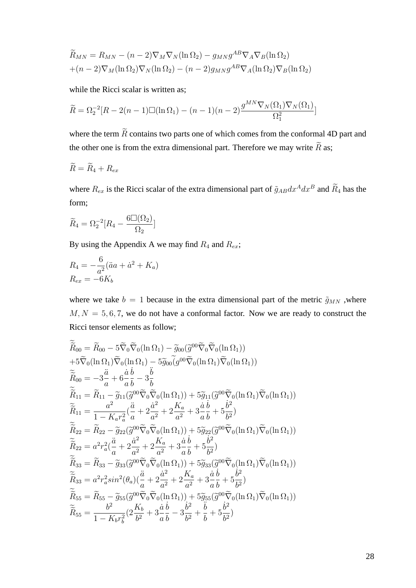$$
\widetilde{R}_{MN} = R_{MN} - (n-2)\nabla_M \nabla_N (\ln \Omega_2) - g_{MN} g^{AB} \nabla_A \nabla_B (\ln \Omega_2)
$$

$$
+ (n-2)\nabla_M (\ln \Omega_2) \nabla_N (\ln \Omega_2) - (n-2) g_{MN} g^{AB} \nabla_A (\ln \Omega_2) \nabla_B (\ln \Omega_2)
$$

while the Ricci scalar is written as:

$$
\widetilde{R} = \Omega_2^{-2} [R - 2(n-1) \square (\ln \Omega_1) - (n-1)(n-2) \frac{g^{MN} \nabla_N(\Omega_1) \nabla_N(\Omega_1)}{\Omega_1^2}]
$$

where the term  $\widetilde{R}$  contains two parts one of which comes from the conformal 4D part and the other one is from the extra dimensional part. Therefore we may write  $\widetilde{R}$  as;

$$
\widetilde{R} = \widetilde{R}_4 + R_{ex}
$$

where  $R_{ex}$  is the Ricci scalar of the extra dimensional part of  $\tilde{g}_{AB}dx^A dx^B$  and  $\tilde{R}_4$  has the form;

$$
\widetilde{R}_4 = \Omega_2^{-2} [R_4 - \frac{6 \square (\Omega_2)}{\Omega_2}]
$$

By using the Appendix A we may find  $R_4$  and  $R_{ex}$ ;

$$
R_4 = -\frac{6}{a^2}(\ddot{a}a + \dot{a}^2 + K_a) R_{ex} = -6K_b
$$

where we take  $b = 1$  because in the extra dimensional part of the metric  $\tilde{g}_{MN}$ , where  $M, N = 5, 6, 7$ , we do not have a conformal factor. Now we are ready to construct the Ricci tensor elements as follow;

$$
\tilde{R}_{00} = \tilde{R}_{00} - 5\tilde{\nabla}_0 \tilde{\nabla}_0 (\ln \Omega_1) - \tilde{g}_{00} (\tilde{g}^{00} \tilde{\nabla}_0 \tilde{\nabla}_0 (\ln \Omega_1)) \n+ 5\tilde{\nabla}_0 (\ln \Omega_1) \tilde{\nabla}_0 (\ln \Omega_1) - 5\tilde{g}_{00} (\tilde{g}^{00} \tilde{\nabla}_0 (\ln \Omega_1) \tilde{\nabla}_0 (\ln \Omega_1)) \n\tilde{R}_{00} = -3\frac{\ddot{a}}{a} + 6\frac{\dot{a}}{a} \frac{\dot{b}}{b} - 3\frac{\ddot{b}}{b} \n\tilde{R}_{11} = \tilde{R}_{11} - \tilde{g}_{11} (\tilde{g}^{00} \tilde{\nabla}_0 \tilde{\nabla}_0 (\ln \Omega_1)) + 5\tilde{g}_{11} (\tilde{g}^{00} \tilde{\nabla}_0 (\ln \Omega_1) \tilde{\nabla}_0 (\ln \Omega_1)) \n\tilde{R}_{11} = \frac{a^2}{1 - K_a r_a^2} (\frac{\ddot{a}}{a} + 2\frac{\dot{a}^2}{a^2} + 2\frac{K_a}{a^2} + 3\frac{\dot{a}}{a} \frac{\dot{b}}{b} + 5\frac{\dot{b}^2}{b^2}) \n\tilde{R}_{22} = \tilde{R}_{22} - \tilde{g}_{22} (\tilde{g}^{00} \tilde{\nabla}_0 \tilde{\nabla}_0 (\ln \Omega_1)) + 5\tilde{g}_{22} (\tilde{g}^{00} \tilde{\nabla}_0 (\ln \Omega_1) \tilde{\nabla}_0 (\ln \Omega_1)) \n\tilde{R}_{22} = a^2 r_a^2 (\frac{\ddot{a}}{a} + 2\frac{\dot{a}^2}{a^2} + 2\frac{K_a}{a^2} + 3\frac{\dot{a}}{a} \dot{b} + 5\frac{\dot{b}^2}{b^2}) \n\tilde{R}_{33} = \tilde{R}_{33} - \tilde{g}_{33} (\tilde{g}^{00} \tilde{\nabla}_0 (\ln \Omega_1))
$$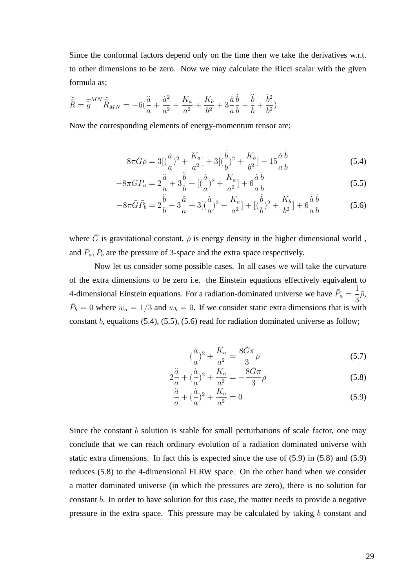Since the conformal factors depend only on the time then we take the derivatives w.r.t. to other dimensions to be zero. Now we may calculate the Ricci scalar with the given formula as;

$$
\widetilde{\widetilde{R}}=\widetilde{\widetilde{g}}^{MN}\widetilde{\widetilde{R}}_{MN}=-6(\frac{\ddot{a}}{a}+\frac{\dot{a}^{2}}{a^{2}}+\frac{K_{a}}{a^{2}}+\frac{K_{b}}{b^{2}}+3\frac{\dot{a}}{a}\frac{\dot{b}}{b}+\frac{\ddot{b}}{b}+\frac{\dot{b}^{2}}{b^{2}})
$$

Now the corresponding elements of energy-momentum tensor are;

$$
8\pi\bar{G}\bar{\rho} = 3\left[\left(\frac{\dot{a}}{a}\right)^2 + \frac{K_a}{a^2}\right] + 3\left[\left(\frac{\dot{b}}{b}\right)^2 + \frac{K_b}{b^2}\right] + 15\frac{\dot{a}}{a}\frac{\dot{b}}{b}
$$
(5.4)

$$
-8\pi\bar{G}\bar{P}_a = 2\frac{\ddot{a}}{a} + 3\frac{\ddot{b}}{b} + \left[ (\frac{\dot{a}}{a})^2 + \frac{K_a}{a^2} \right] + 6\frac{\dot{a}}{a}\frac{\dot{b}}{b}
$$
(5.5)

$$
-8\pi\bar{G}\bar{P}_b = 2\frac{\ddot{b}}{b} + 3\frac{\ddot{a}}{a} + 3[(\frac{\dot{a}}{a})^2 + \frac{K_a}{a^2}] + [(\frac{\dot{b}}{b})^2 + \frac{K_b}{b^2}] + 6\frac{\dot{a}}{a}\frac{\dot{b}}{b}
$$
(5.6)

where  $\bar{G}$  is gravitational constant,  $\bar{\rho}$  is energy density in the higher dimensional world, and  $\bar{P}_a$ ,  $\bar{P}_b$  are the pressure of 3-space and the extra space respectively.

Now let us consider some possible cases. In all cases we will take the curvature of the extra dimensions to be zero i.e. the Einstein equations effectively equivalent to 4-dimensional Einstein equations. For a radiation-dominated universe we have  $\bar{P}_a =$ 1 3  $\bar{\rho}$ ,  $\bar{P}_b = 0$  where  $w_a = 1/3$  and  $w_b = 0$ . If we consider static extra dimensions that is with constant  $b$ , equaitons (5.4), (5.5), (5.6) read for radiation dominated universe as follow;

$$
\left(\frac{\dot{a}}{a}\right)^2 + \frac{K_a}{a^2} = \frac{8\bar{G}\pi}{3}\bar{\rho} \tag{5.7}
$$

$$
2\frac{\ddot{a}}{a} + \left(\frac{\dot{a}}{a}\right)^2 + \frac{K_a}{a^2} = -\frac{8\bar{G}\pi}{3}\bar{\rho}
$$
\n(5.8)

$$
\frac{\ddot{a}}{a} + \left(\frac{\dot{a}}{a}\right)^2 + \frac{K_a}{a^2} = 0\tag{5.9}
$$

Since the constant  $b$  solution is stable for small perturbations of scale factor, one may conclude that we can reach ordinary evolution of a radiation dominated universe with static extra dimensions. In fact this is expected since the use of (5.9) in (5.8) and (5.9) reduces (5.8) to the 4-dimensional FLRW space. On the other hand when we consider a matter dominated universe (in which the pressures are zero), there is no solution for constant b. In order to have solution for this case, the matter needs to provide a negative pressure in the extra space. This pressure may be calculated by taking b constant and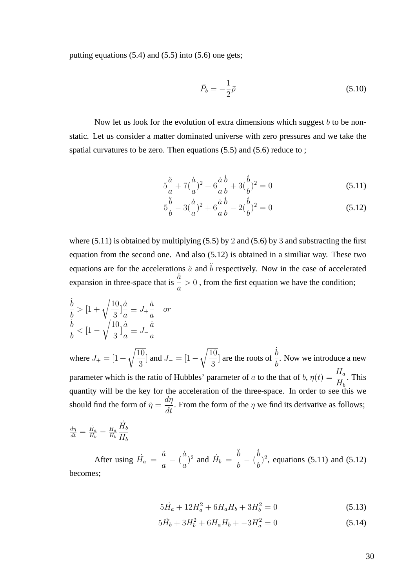putting equations  $(5.4)$  and  $(5.5)$  into  $(5.6)$  one gets;

$$
\bar{P}_b = -\frac{1}{2}\bar{\rho} \tag{5.10}
$$

Now let us look for the evolution of extra dimensions which suggest  $b$  to be nonstatic. Let us consider a matter dominated universe with zero pressures and we take the spatial curvatures to be zero. Then equations (5.5) and (5.6) reduce to ;

$$
5\frac{\ddot{a}}{a} + 7(\frac{\dot{a}}{a})^2 + 6\frac{\dot{a}}{a}\frac{\dot{b}}{b} + 3(\frac{\dot{b}}{b})^2 = 0
$$
 (5.11)

$$
5\frac{\ddot{b}}{b} - 3(\frac{\dot{a}}{a})^2 + 6\frac{\dot{a}}{a}\frac{\dot{b}}{b} - 2(\frac{\dot{b}}{b})^2 = 0
$$
\n(5.12)

where  $(5.11)$  is obtained by multiplying  $(5.5)$  by 2 and  $(5.6)$  by 3 and substracting the first equation from the second one. And also (5.12) is obtained in a similiar way. These two equations are for the accelerations  $\ddot{a}$  and  $\ddot{b}$  respectively. Now in the case of accelerated expansion in three-space that is  $\ddot{a}$ a  $> 0$ , from the first equation we have the condition;

$$
\frac{\dot{b}}{\dot{b}} > [1 + \sqrt{\frac{10}{3}}] \frac{\dot{a}}{a} \equiv J_{+} \frac{\dot{a}}{a}
$$
 or  
\n
$$
\frac{\dot{b}}{\dot{b}} < [1 - \sqrt{\frac{10}{3}}] \frac{\dot{a}}{a} \equiv J_{-} \frac{\dot{a}}{a}
$$
\nwhere  $J_{+} = [1 + \sqrt{\frac{10}{3}}]$  and  $J_{-} = [1 - \sqrt{\frac{10}{3}}]$  are the roots of  $\frac{\dot{b}}{\dot{b}}$ . Now we introduce a new  
\nparameter which is the ratio of Hubble's parameter of *a* to the that of *b*,  $\eta(t) = \frac{H_{a}}{H_{b}}$ . This  
\nquantity will be the key for the acceleration of the three-space. In order to see this we  
\nshould find the form of  $\dot{\eta} = \frac{d\eta}{dt}$ . From the form of the  $\eta$  we find its derivative as follows;  
\n $\dot{H}$ .

$$
\tfrac{d\eta}{dt} = \tfrac{\dot{H}_a}{H_b} - \tfrac{H_a}{H_b}\frac{\dot{H}_b}{H_b}
$$

After using  $\dot{H}_a =$ a¨ a  $-\left(\frac{\dot{a}}{\dot{a}}\right)$ a  $)^2$  and  $\dot{H}_b =$ ¨b b − ( ˙b b  $)^{2}$ , equations (5.11) and (5.12) becomes;

$$
5\dot{H}_a + 12H_a^2 + 6H_aH_b + 3H_b^2 = 0\tag{5.13}
$$

$$
5\dot{H}_b + 3H_b^2 + 6H_aH_b + -3H_a^2 = 0\tag{5.14}
$$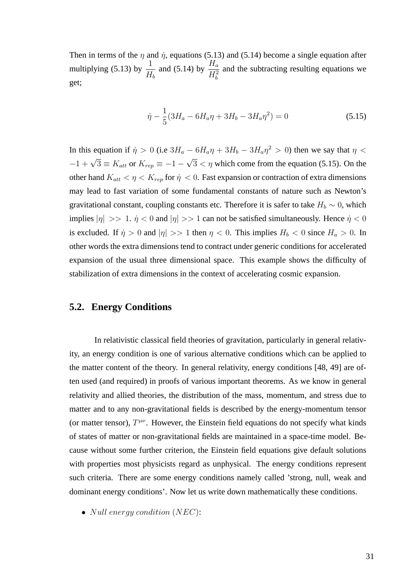Then in terms of the  $\eta$  and  $\dot{\eta}$ , equations (5.13) and (5.14) become a single equation after multiplying (5.13) by  $\frac{1}{\sqrt{2}}$  $H_b$ and (5.14) by  $\frac{H_a}{H_a}$  $H_b^2$ and the subtracting resulting equations we get;

$$
\dot{\eta} - \frac{1}{5}(3H_a - 6H_a\eta + 3H_b - 3H_a\eta^2) = 0
$$
\n(5.15)

In this equation if  $\dot{\eta} > 0$  (i.e  $3H_a - 6H_a \eta + 3H_b - 3H_a \eta^2 > 0$ ) then we say that  $\eta <$  $-1 + \sqrt{3} \equiv K_{att}$  or  $K_{rep} \equiv -1 -$ √  $3 < \eta$  which come from the equation (5.15). On the other hand  $K_{att} < \eta < K_{rep}$  for  $\dot{\eta} < 0$ . Fast expansion or contraction of extra dimensions may lead to fast variation of some fundamental constants of nature such as Newton's gravitational constant, coupling constants etc. Therefore it is safer to take  $H_b \sim 0$ , which implies  $|\eta| >> 1$ .  $\dot{\eta} < 0$  and  $|\eta| >> 1$  can not be satisfied simultaneously. Hence  $\dot{\eta} < 0$ is excluded. If  $\eta > 0$  and  $|\eta| >> 1$  then  $\eta < 0$ . This implies  $H_b < 0$  since  $H_a > 0$ . In other words the extra dimensions tend to contract under generic conditions for accelerated expansion of the usual three dimensional space. This example shows the difficulty of stabilization of extra dimensions in the context of accelerating cosmic expansion.

#### **5.2. Energy Conditions**

In relativistic classical field theories of gravitation, particularly in general relativity, an energy condition is one of various alternative conditions which can be applied to the matter content of the theory. In general relativity, energy conditions [48, 49] are often used (and required) in proofs of various important theorems. As we know in general relativity and allied theories, the distribution of the mass, momentum, and stress due to matter and to any non-gravitational fields is described by the energy-momentum tensor (or matter tensor),  $T^{\mu\nu}$ . However, the Einstein field equations do not specify what kinds of states of matter or non-gravitational fields are maintained in a space-time model. Because without some further criterion, the Einstein field equations give default solutions with properties most physicists regard as unphysical. The energy conditions represent such criteria. There are some energy conditions namely called 'strong, null, weak and dominant energy conditions'. Now let us write down mathematically these conditions.

• *Null energy condition* (*NEC*):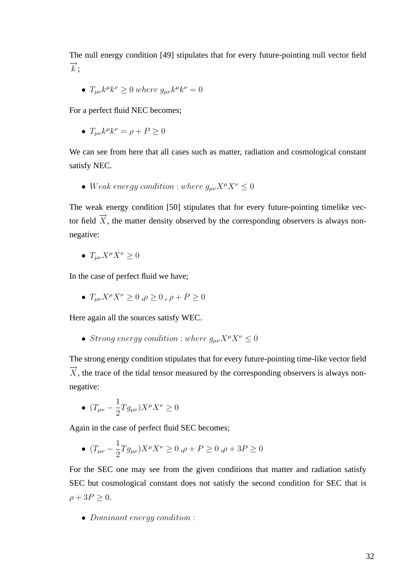The null energy condition [49] stipulates that for every future-pointing null vector field  $\overrightarrow{k}$ :

•  $T_{\mu\nu}k^{\mu}k^{\nu} \geq 0$  where  $g_{\mu\nu}k^{\mu}k^{\nu} = 0$ 

For a perfect fluid NEC becomes;

•  $T_{\mu\nu}k^{\mu}k^{\nu} = \rho + P \ge 0$ 

We can see from here that all cases such as matter, radiation and cosmological constant satisfy NEC.

• Weak energy condition : where  $g_{\mu\nu}X^{\mu}X^{\nu} \leq 0$ 

The weak energy condition [50] stipulates that for every future-pointing timelike vector field  $\overrightarrow{X}$ , the matter density observed by the corresponding observers is always nonnegative:

•  $T_{\mu\nu}X^{\mu}X^{\nu} > 0$ 

In the case of perfect fluid we have;

•  $T_{\mu\nu}X^{\mu}X^{\nu} > 0$ ,  $\rho > 0$ ,  $\rho + P > 0$ 

Here again all the sources satisfy WEC.

• Strong energy condition : where  $g_{\mu\nu}X^{\mu}X^{\nu} \leq 0$ 

The strong energy condition stipulates that for every future-pointing time-like vector field  $\overrightarrow{X}$ , the trace of the tidal tensor measured by the corresponding observers is always nonnegative:

$$
\bullet \ (T_{\mu\nu} - \frac{1}{2}Tg_{\mu\nu})X^{\mu}X^{\nu} \ge 0
$$

Again in the case of perfect fluid SEC becomes;

•  $(T_{\mu\nu} - \frac{1}{2})$  $\frac{1}{2}Tg_{\mu\nu}$ ) $X^{\mu}X^{\nu} \ge 0$ ,  $\rho + P \ge 0$ ,  $\rho + 3P \ge 0$ 

For the SEC one may see from the given conditions that matter and radiation satisfy SEC but cosmological constant does not satisfy the second condition for SEC that is  $\rho + 3P \geq 0.$ 

• Dominant energy condition :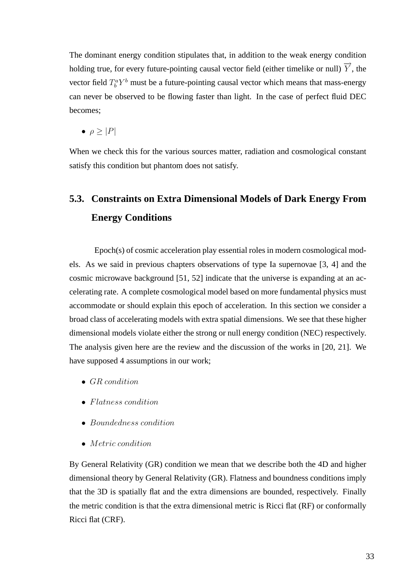The dominant energy condition stipulates that, in addition to the weak energy condition holding true, for every future-pointing causal vector field (either timelike or null)  $\overrightarrow{Y}$ , the vector field  $T_b^a Y^b$  must be a future-pointing causal vector which means that mass-energy can never be observed to be flowing faster than light. In the case of perfect fluid DEC becomes;

 $\rho > |P|$ 

When we check this for the various sources matter, radiation and cosmological constant satisfy this condition but phantom does not satisfy.

# **5.3. Constraints on Extra Dimensional Models of Dark Energy From Energy Conditions**

Epoch(s) of cosmic acceleration play essential roles in modern cosmological models. As we said in previous chapters observations of type Ia supernovae [3, 4] and the cosmic microwave background [51, 52] indicate that the universe is expanding at an accelerating rate. A complete cosmological model based on more fundamental physics must accommodate or should explain this epoch of acceleration. In this section we consider a broad class of accelerating models with extra spatial dimensions. We see that these higher dimensional models violate either the strong or null energy condition (NEC) respectively. The analysis given here are the review and the discussion of the works in [20, 21]. We have supposed 4 assumptions in our work;

- GR condition
- Flatness condition
- Boundedness condition
- Metric condition

By General Relativity (GR) condition we mean that we describe both the 4D and higher dimensional theory by General Relativity (GR). Flatness and boundness conditions imply that the 3D is spatially flat and the extra dimensions are bounded, respectively. Finally the metric condition is that the extra dimensional metric is Ricci flat (RF) or conformally Ricci flat (CRF).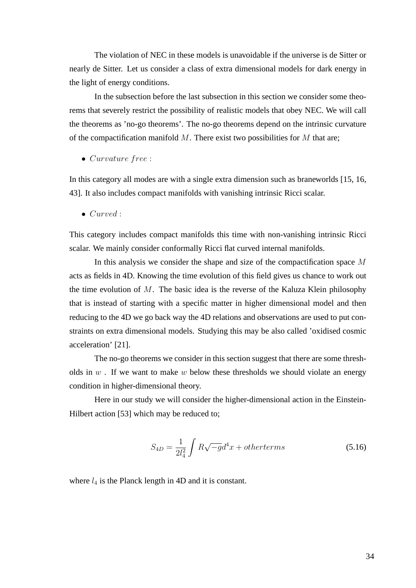The violation of NEC in these models is unavoidable if the universe is de Sitter or nearly de Sitter. Let us consider a class of extra dimensional models for dark energy in the light of energy conditions.

In the subsection before the last subsection in this section we consider some theorems that severely restrict the possibility of realistic models that obey NEC. We will call the theorems as 'no-go theorems'. The no-go theorems depend on the intrinsic curvature of the compactification manifold  $M$ . There exist two possibilities for  $M$  that are;

• Curvature free :

In this category all modes are with a single extra dimension such as braneworlds [15, 16, 43]. It also includes compact manifolds with vanishing intrinsic Ricci scalar.

 $\bullet$  Curved:

This category includes compact manifolds this time with non-vanishing intrinsic Ricci scalar. We mainly consider conformally Ricci flat curved internal manifolds.

In this analysis we consider the shape and size of the compactification space M acts as fields in 4D. Knowing the time evolution of this field gives us chance to work out the time evolution of  $M$ . The basic idea is the reverse of the Kaluza Klein philosophy that is instead of starting with a specific matter in higher dimensional model and then reducing to the 4D we go back way the 4D relations and observations are used to put constraints on extra dimensional models. Studying this may be also called 'oxidised cosmic acceleration' [21].

The no-go theorems we consider in this section suggest that there are some thresholds in  $w$ . If we want to make  $w$  below these thresholds we should violate an energy condition in higher-dimensional theory.

Here in our study we will consider the higher-dimensional action in the Einstein-Hilbert action [53] which may be reduced to;

$$
S_{4D} = \frac{1}{2l_4^2} \int R\sqrt{-g}d^4x + \text{otherterms}
$$
\n
$$
\tag{5.16}
$$

where  $l_4$  is the Planck length in 4D and it is constant.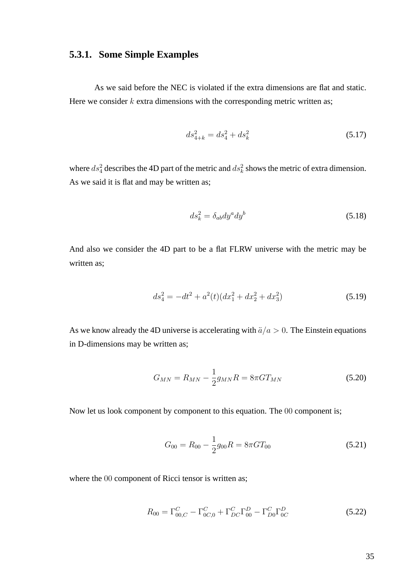## **5.3.1. Some Simple Examples**

As we said before the NEC is violated if the extra dimensions are flat and static. Here we consider  $k$  extra dimensions with the corresponding metric written as;

$$
ds_{4+k}^2 = ds_4^2 + ds_k^2 \tag{5.17}
$$

where  $ds_4^2$  describes the 4D part of the metric and  $ds_k^2$  shows the metric of extra dimension. As we said it is flat and may be written as;

$$
ds_k^2 = \delta_{ab} dy^a dy^b \tag{5.18}
$$

And also we consider the 4D part to be a flat FLRW universe with the metric may be written as;

$$
ds_4^2 = -dt^2 + a^2(t)(dx_1^2 + dx_2^2 + dx_3^2)
$$
\n(5.19)

As we know already the 4D universe is accelerating with  $\ddot{a}/a > 0$ . The Einstein equations in D-dimensions may be written as;

$$
G_{MN} = R_{MN} - \frac{1}{2}g_{MN}R = 8\pi GT_{MN}
$$
\n(5.20)

Now let us look component by component to this equation. The 00 component is;

$$
G_{00} = R_{00} - \frac{1}{2}g_{00}R = 8\pi GT_{00}
$$
\n(5.21)

where the 00 component of Ricci tensor is written as;

$$
R_{00} = \Gamma_{00,C}^{C} - \Gamma_{0C,0}^{C} + \Gamma_{DC}^{C} \Gamma_{00}^{D} - \Gamma_{D0}^{C} \Gamma_{0C}^{D}
$$
 (5.22)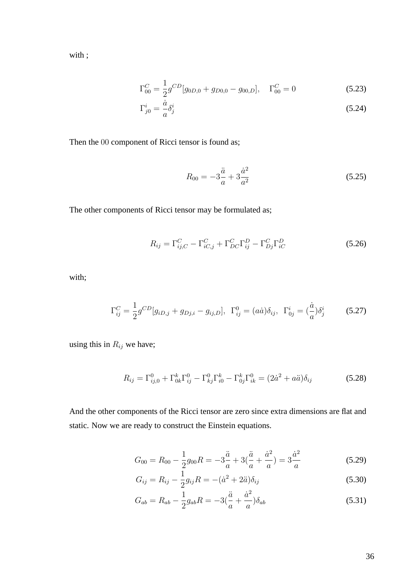with ;

$$
\Gamma_{00}^C = \frac{1}{2} g^{CD} [g_{0D,0} + g_{D0,0} - g_{00,D}], \quad \Gamma_{00}^C = 0 \tag{5.23}
$$

$$
\Gamma_{j0}^{i} = \frac{\dot{a}}{a} \delta_j^{i} \tag{5.24}
$$

Then the 00 component of Ricci tensor is found as;

$$
R_{00} = -3\frac{\ddot{a}}{a} + 3\frac{\dot{a}^2}{a^2} \tag{5.25}
$$

The other components of Ricci tensor may be formulated as;

$$
R_{ij} = \Gamma_{ij,C}^C - \Gamma_{iC,j}^C + \Gamma_{DC}^C \Gamma_{ij}^D - \Gamma_{Dj}^C \Gamma_{iC}^D
$$
\n
$$
(5.26)
$$

with;

$$
\Gamma_{ij}^C = \frac{1}{2} g^{CD} [g_{iD,j} + g_{Dj,i} - g_{ij,D}], \ \ \Gamma_{ij}^0 = (a\dot{a}) \delta_{ij}, \ \ \Gamma_{0j}^i = (\frac{\dot{a}}{a}) \delta_j^i \tag{5.27}
$$

using this in  $R_{ij}$  we have;

$$
R_{ij} = \Gamma^0_{ij,0} + \Gamma^k_{0k}\Gamma^0_{ij} - \Gamma^0_{kj}\Gamma^k_{i0} - \Gamma^k_{0j}\Gamma^0_{ik} = (2\dot{a}^2 + a\ddot{a})\delta_{ij}
$$
 (5.28)

And the other components of the Ricci tensor are zero since extra dimensions are flat and static. Now we are ready to construct the Einstein equations.

$$
G_{00} = R_{00} - \frac{1}{2}g_{00}R = -3\frac{\ddot{a}}{a} + 3(\frac{\ddot{a}}{a} + \frac{\dot{a}^2}{a}) = 3\frac{\dot{a}^2}{a}
$$
(5.29)

$$
G_{ij} = R_{ij} - \frac{1}{2}g_{ij}R = -(\dot{a}^2 + 2\ddot{a})\delta_{ij}
$$
 (5.30)

$$
G_{ab} = R_{ab} - \frac{1}{2}g_{ab}R = -3(\frac{\ddot{a}}{a} + \frac{\dot{a}^2}{a})\delta_{ab}
$$
 (5.31)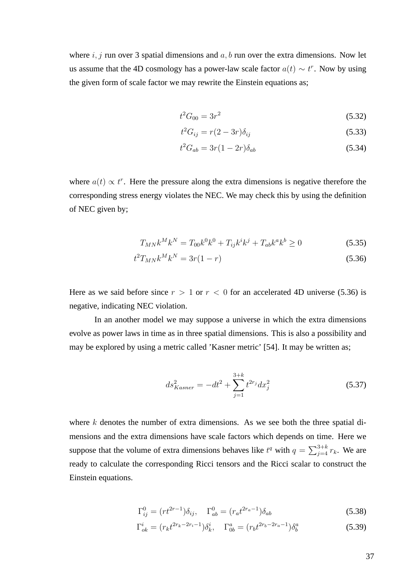where  $i, j$  run over 3 spatial dimensions and  $a, b$  run over the extra dimensions. Now let us assume that the 4D cosmology has a power-law scale factor  $a(t) \sim t^r$ . Now by using the given form of scale factor we may rewrite the Einstein equations as;

$$
t^2 G_{00} = 3r^2 \tag{5.32}
$$

$$
t^2 G_{ij} = r(2 - 3r)\delta_{ij} \tag{5.33}
$$

$$
t^2 G_{ab} = 3r(1 - 2r)\delta_{ab} \tag{5.34}
$$

where  $a(t) \propto t^r$ . Here the pressure along the extra dimensions is negative therefore the corresponding stress energy violates the NEC. We may check this by using the definition of NEC given by;

$$
T_{MN}k^Mk^N = T_{00}k^0k^0 + T_{ij}k^ik^j + T_{ab}k^ak^b \ge 0
$$
\n(5.35)

$$
t^2 T_{MN} k^M k^N = 3r(1 - r)
$$
\n(5.36)

Here as we said before since  $r > 1$  or  $r < 0$  for an accelerated 4D universe (5.36) is negative, indicating NEC violation.

In an another model we may suppose a universe in which the extra dimensions evolve as power laws in time as in three spatial dimensions. This is also a possibility and may be explored by using a metric called 'Kasner metric' [54]. It may be written as;

$$
ds_{Kaser}^2 = -dt^2 + \sum_{j=1}^{3+k} t^{2r_j} dx_j^2
$$
\n(5.37)

where  $k$  denotes the number of extra dimensions. As we see both the three spatial dimensions and the extra dimensions have scale factors which depends on time. Here we suppose that the volume of extra dimensions behaves like  $t^q$  with  $q = \sum_{j=4}^{3+k} r_k$ . We are ready to calculate the corresponding Ricci tensors and the Ricci scalar to construct the Einstein equations.

$$
\Gamma_{ij}^{0} = (rt^{2r-1})\delta_{ij}, \quad \Gamma_{ab}^{0} = (r_a t^{2r_a-1})\delta_{ab}
$$
\n(5.38)

$$
\Gamma_{ok}^{i} = (r_{k}t^{2r_{k}-2r_{i}-1})\delta_{k}^{i}, \quad \Gamma_{0b}^{a} = (r_{b}t^{2r_{b}-2r_{a}-1})\delta_{b}^{a}
$$
\n(5.39)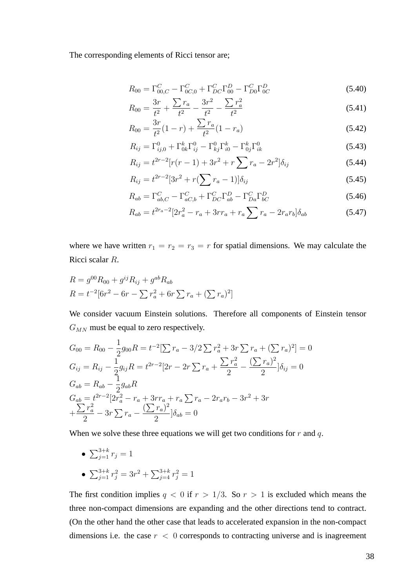The corresponding elements of Ricci tensor are;

$$
R_{00} = \Gamma_{00,C}^{C} - \Gamma_{0C,0}^{C} + \Gamma_{DC}^{C} \Gamma_{00}^{D} - \Gamma_{D0}^{C} \Gamma_{0C}^{D}
$$
 (5.40)

$$
R_{00} = \frac{3r}{t^2} + \frac{\sum r_a}{t^2} - \frac{3r^2}{t^2} - \frac{\sum r_a^2}{t^2}
$$
 (5.41)

$$
R_{00} = \frac{3r}{t^2}(1-r) + \frac{\sum r_a}{t^2}(1-r_a)
$$
\n(5.42)

$$
R_{ij} = \Gamma^0_{ij,0} + \Gamma^k_{0k}\Gamma^0_{ij} - \Gamma^0_{kj}\Gamma^k_{i0} - \Gamma^k_{0j}\Gamma^0_{ik}
$$
 (5.43)

$$
R_{ij} = t^{2r-2} [r(r-1) + 3r^2 + r \sum r_a - 2r^2] \delta_{ij}
$$
 (5.44)

$$
R_{ij} = t^{2r-2} [3r^2 + r(\sum r_a - 1)] \delta_{ij}
$$
\n(5.45)

$$
R_{ab} = \Gamma_{ab,C}^C - \Gamma_{aC,b}^C + \Gamma_{DC}^C \Gamma_{ab}^D - \Gamma_{Da}^C \Gamma_{bC}^D
$$
\n(5.46)

$$
R_{ab} = t^{2r_a - 2} [2r_a^2 - r_a + 3rr_a + r_a \sum r_a - 2r_a r_b] \delta_{ab}
$$
 (5.47)

where we have written  $r_1 = r_2 = r_3 = r$  for spatial dimensions. We may calculate the Ricci scalar R.

$$
R = g^{00} R_{00} + g^{ij} R_{ij} + g^{ab} R_{ab}
$$
  

$$
R = t^{-2} [6r^2 - 6r - \sum r_a^2 + 6r \sum r_a + (\sum r_a)^2]
$$

We consider vacuum Einstein solutions. Therefore all components of Einstein tensor  $G_{MN}$  must be equal to zero respectively.

$$
G_{00} = R_{00} - \frac{1}{2}g_{00}R = t^{-2}[\sum r_a - 3/2\sum r_a^2 + 3r\sum r_a + (\sum r_a)^2] = 0
$$
  
\n
$$
G_{ij} = R_{ij} - \frac{1}{2}g_{ij}R = t^{2r-2}[2r - 2r\sum r_a + \frac{\sum r_a^2}{2} - \frac{(\sum r_a)^2}{2}]\delta_{ij} = 0
$$
  
\n
$$
G_{ab} = R_{ab} - \frac{1}{2}g_{ab}R
$$
  
\n
$$
G_{ab} = t^{2r-2}[2r_a^2 - r_a + 3rr_a + r_a\sum r_a - 2r_a r_b - 3r^2 + 3r
$$
  
\n
$$
+ \frac{\sum r_a^2}{2} - 3r\sum r_a - \frac{(\sum r_a)^2}{2}]\delta_{ab} = 0
$$

When we solve these three equations we will get two conditions for  $r$  and  $q$ .

•  $\sum_{j=1}^{3+k} r_j = 1$ 

• 
$$
\sum_{j=1}^{3+k} r_j^2 = 3r^2 + \sum_{j=4}^{3+k} r_j^2 = 1
$$

The first condition implies  $q < 0$  if  $r > 1/3$ . So  $r > 1$  is excluded which means the three non-compact dimensions are expanding and the other directions tend to contract. (On the other hand the other case that leads to accelerated expansion in the non-compact dimensions i.e. the case  $r < 0$  corresponds to contracting universe and is inagreement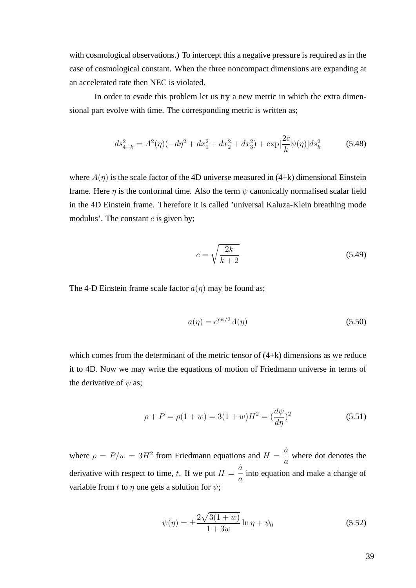with cosmological observations.) To intercept this a negative pressure is required as in the case of cosmological constant. When the three noncompact dimensions are expanding at an accelerated rate then NEC is violated.

In order to evade this problem let us try a new metric in which the extra dimensional part evolve with time. The corresponding metric is written as;

$$
ds_{4+k}^2 = A^2(\eta)(-d\eta^2 + dx_1^2 + dx_2^2 + dx_3^2) + \exp\left[\frac{2c}{k}\psi(\eta)\right]ds_k^2\tag{5.48}
$$

where  $A(\eta)$  is the scale factor of the 4D universe measured in (4+k) dimensional Einstein frame. Here  $\eta$  is the conformal time. Also the term  $\psi$  canonically normalised scalar field in the 4D Einstein frame. Therefore it is called 'universal Kaluza-Klein breathing mode modulus'. The constant  $c$  is given by;

$$
c = \sqrt{\frac{2k}{k+2}}\tag{5.49}
$$

The 4-D Einstein frame scale factor  $a(\eta)$  may be found as;

$$
a(\eta) = e^{c\psi/2} A(\eta) \tag{5.50}
$$

which comes from the determinant of the metric tensor of  $(4+k)$  dimensions as we reduce it to 4D. Now we may write the equations of motion of Friedmann universe in terms of the derivative of  $\psi$  as;

$$
\rho + P = \rho(1+w) = 3(1+w)H^2 = \left(\frac{d\psi}{d\eta}\right)^2 \tag{5.51}
$$

where  $\rho = P/w = 3H^2$  from Friedmann equations and  $H =$  $\dot{a}$ a where dot denotes the derivative with respect to time, t. If we put  $H =$  $\dot{a}$ a into equation and make a change of variable from t to *n* one gets a solution for  $\psi$ :

$$
\psi(\eta) = \pm \frac{2\sqrt{3(1+w)}}{1+3w} \ln \eta + \psi_0 \tag{5.52}
$$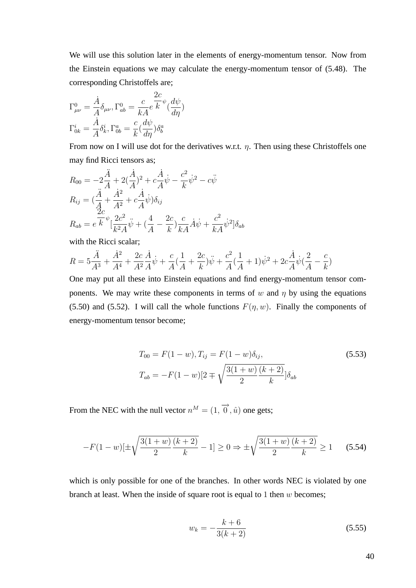We will use this solution later in the elements of energy-momentum tensor. Now from the Einstein equations we may calculate the energy-momentum tensor of (5.48). The corresponding Christoffels are;

$$
\Gamma^0_{\mu\nu} = \frac{\dot{A}}{A} \delta_{\mu\nu}, \Gamma^0_{ab} = \frac{c}{kA} e^{\frac{2c}{k} \psi} \left(\frac{d\psi}{d\eta}\right)
$$

$$
\Gamma^i_{0k} = \frac{\dot{A}}{A} \delta^i_k, \Gamma^a_{0b} = \frac{c}{k} \left(\frac{d\psi}{d\eta}\right) \delta^a_b
$$

From now on I will use dot for the derivatives w.r.t.  $\eta$ . Then using these Christoffels one may find Ricci tensors as;

$$
R_{00} = -2\frac{\ddot{A}}{A} + 2(\frac{\dot{A}}{A})^2 + c\frac{\dot{A}}{A}\dot{\psi} - \frac{c^2}{k}\dot{\psi}^2 - c\ddot{\psi}
$$
  
\n
$$
R_{ij} = (\frac{\ddot{A}}{A} + \frac{\dot{A}^2}{A^2} + c\frac{\dot{A}}{A}\dot{\psi})\delta_{ij}
$$
  
\n
$$
R_{ab} = e^{\frac{\dot{A}}{k}\psi}[\frac{2c^2}{k^2}\ddot{\psi} + (\frac{4}{A} - \frac{2c}{k})\frac{c}{kA}\dot{A}\dot{\psi} + \frac{c^2}{kA}\dot{\psi}^2]\delta_{ab}
$$

with the Ricci scalar;

$$
R = 5\frac{\ddot{A}}{A^3} + \frac{\dot{A}^2}{A^4} + \frac{2c}{A^2}\frac{\dot{A}}{A}\dot{\psi} + \frac{c}{A}\left(\frac{1}{A} + \frac{2c}{k}\right)\ddot{\psi} + \frac{c^2}{A}\left(\frac{1}{A} + 1\right)\dot{\psi}^2 + 2c\frac{\dot{A}}{A}\dot{\psi}\left(\frac{2}{A} - \frac{c}{k}\right)
$$

One may put all these into Einstein equations and find energy-momentum tensor components. We may write these components in terms of w and  $\eta$  by using the equations (5.50) and (5.52). I will call the whole functions  $F(\eta, w)$ . Finally the components of energy-momentum tensor become;

$$
T_{00} = F(1 - w), T_{ij} = F(1 - w)\delta_{ij},
$$
\n
$$
T_{ab} = -F(1 - w)[2 \mp \sqrt{\frac{3(1 + w)(k + 2)}{2}}] \delta_{ab}
$$
\n(5.53)

From the NEC with the null vector  $n^M = (1, \overrightarrow{0}, \hat{u})$  one gets;

$$
-F(1-w)[\pm\sqrt{\frac{3(1+w)}{2}\frac{(k+2)}{k}}-1] \ge 0 \Rightarrow \pm\sqrt{\frac{3(1+w)}{2}\frac{(k+2)}{k}} \ge 1 \qquad (5.54)
$$

which is only possible for one of the branches. In other words NEC is violated by one branch at least. When the inside of square root is equal to 1 then  $w$  becomes;

$$
w_k = -\frac{k+6}{3(k+2)}
$$
\n(5.55)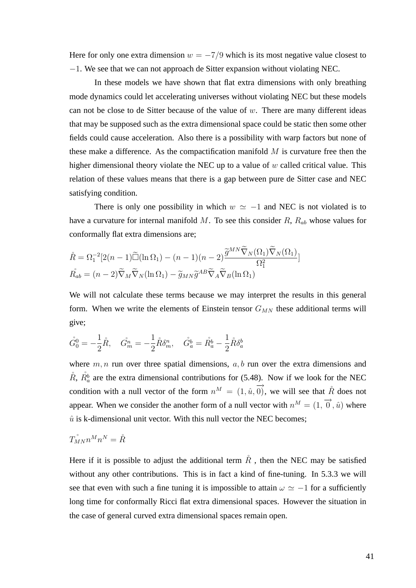Here for only one extra dimension  $w = -7/9$  which is its most negative value closest to −1. We see that we can not approach de Sitter expansion without violating NEC.

In these models we have shown that flat extra dimensions with only breathing mode dynamics could let accelerating universes without violating NEC but these models can not be close to de Sitter because of the value of  $w$ . There are many different ideas that may be supposed such as the extra dimensional space could be static then some other fields could cause acceleration. Also there is a possibility with warp factors but none of these make a difference. As the compactification manifold  $M$  is curvature free then the higher dimensional theory violate the NEC up to a value of  $w$  called critical value. This relation of these values means that there is a gap between pure de Sitter case and NEC satisfying condition.

There is only one possibility in which  $w \approx -1$  and NEC is not violated is to have a curvature for internal manifold  $M$ . To see this consider  $R$ ,  $R_{ab}$  whose values for conformally flat extra dimensions are;

$$
\mathring{R} = \Omega_1^{-2} [2(n-1)\widetilde{\Box}(\ln \Omega_1) - (n-1)(n-2)\frac{\widetilde{g}^{MN}\widetilde{\nabla}_N(\Omega_1)\widetilde{\nabla}_N(\Omega_1)}{\Omega_1^2}]
$$
  

$$
\mathring{R_{ab}} = (n-2)\widetilde{\nabla}_M \widetilde{\nabla}_N(\ln \Omega_1) - \widetilde{g}_{MN}\widetilde{g}^{AB}\widetilde{\nabla}_A \widetilde{\nabla}_B(\ln \Omega_1)
$$

We will not calculate these terms because we may interpret the results in this general form. When we write the elements of Einstein tensor  $G_{MN}$  these additional terms will give;

$$
\mathring{G}_0^0 = -\frac{1}{2}\mathring{R}, \quad \mathring{G}_m^i = -\frac{1}{2}\mathring{R}\delta_m^n, \quad \mathring{G}_a^b = \mathring{R}_a^b - \frac{1}{2}\mathring{R}\delta_a^b
$$

where  $m, n$  run over three spatial dimensions,  $a, b$  run over the extra dimensions and  $\mathring{R}$ ,  $\mathring{R}_a^b$  are the extra dimensional contributions for (5.48). Now if we look for the NEC condition with a null vector of the form  $n^M = (1, \hat{u}, \overrightarrow{0})$ , we will see that  $\hat{R}$  does not appear. When we consider the another form of a null vector with  $n^M = (1, \overrightarrow{0}, \hat{u})$  where  $\hat{u}$  is k-dimensional unit vector. With this null vector the NEC becomes:

 $T_{MN}^{\rceil n} n^M n^N = \mathring{R}$ 

Here if it is possible to adjust the additional term  $\mathring{R}$ , then the NEC may be satisfied without any other contributions. This is in fact a kind of fine-tuning. In 5.3.3 we will see that even with such a fine tuning it is impossible to attain  $\omega \simeq -1$  for a sufficiently long time for conformally Ricci flat extra dimensional spaces. However the situation in the case of general curved extra dimensional spaces remain open.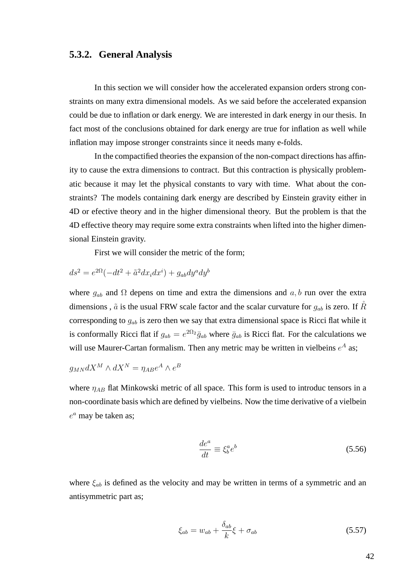#### **5.3.2. General Analysis**

In this section we will consider how the accelerated expansion orders strong constraints on many extra dimensional models. As we said before the accelerated expansion could be due to inflation or dark energy. We are interested in dark energy in our thesis. In fact most of the conclusions obtained for dark energy are true for inflation as well while inflation may impose stronger constraints since it needs many e-folds.

In the compactified theories the expansion of the non-compact directions has affinity to cause the extra dimensions to contract. But this contraction is physically problematic because it may let the physical constants to vary with time. What about the constraints? The models containing dark energy are described by Einstein gravity either in 4D or efective theory and in the higher dimensional theory. But the problem is that the 4D effective theory may require some extra constraints when lifted into the higher dimensional Einstein gravity.

First we will consider the metric of the form;

$$
ds^2 = e^{2\Omega}(-dt^2 + \tilde{a}^2 dx_i dx^i) + g_{ab} dy^a dy^b
$$

where  $g_{ab}$  and  $\Omega$  depens on time and extra the dimensions and  $a, b$  run over the extra dimensions,  $\tilde{a}$  is the usual FRW scale factor and the scalar curvature for  $g_{ab}$  is zero. If  $\tilde{R}$ corresponding to  $g_{ab}$  is zero then we say that extra dimensional space is Ricci flat while it is conformally Ricci flat if  $g_{ab} = e^{2\Omega_2} \bar{g}_{ab}$  where  $\bar{g}_{ab}$  is Ricci flat. For the calculations we will use Maurer-Cartan formalism. Then any metric may be written in vielbeins  $e^A$  as;

$$
g_{MN}dX^M\wedge dX^N=\eta_{AB}e^A\wedge e^B
$$

where  $\eta_{AB}$  flat Minkowski metric of all space. This form is used to introduc tensors in a non-coordinate basis which are defined by vielbeins. Now the time derivative of a vielbein  $e^a$  may be taken as;

$$
\frac{de^a}{dt} \equiv \xi^a_b e^b \tag{5.56}
$$

where  $\xi_{ab}$  is defined as the velocity and may be written in terms of a symmetric and an antisymmetric part as;

$$
\xi_{ab} = w_{ab} + \frac{\delta_{ab}}{k} \xi + \sigma_{ab} \tag{5.57}
$$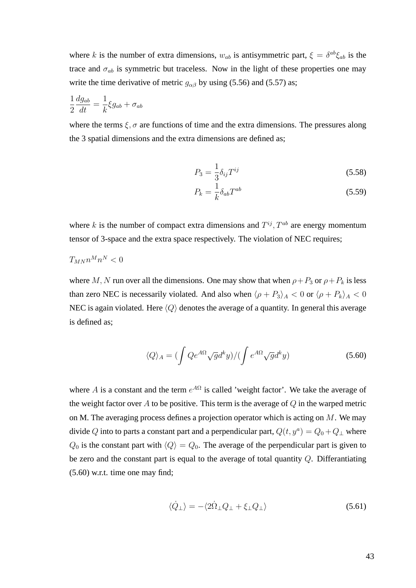where k is the number of extra dimensions,  $w_{ab}$  is antisymmetric part,  $\xi = \delta^{ab}\xi_{ab}$  is the trace and  $\sigma_{ab}$  is symmetric but traceless. Now in the light of these properties one may write the time derivative of metric  $g_{\alpha\beta}$  by using (5.56) and (5.57) as;

$$
\frac{1}{2}\frac{dg_{ab}}{dt} = \frac{1}{k}\xi g_{ab} + \sigma_{ab}
$$

where the terms  $\xi$ ,  $\sigma$  are functions of time and the extra dimensions. The pressures along the 3 spatial dimensions and the extra dimensions are defined as;

$$
P_3 = \frac{1}{3} \delta_{ij} T^{ij} \tag{5.58}
$$

$$
P_k = \frac{1}{k} \delta_{ab} T^{ab} \tag{5.59}
$$

where k is the number of compact extra dimensions and  $T^{ij}$ ,  $T^{ab}$  are energy momentum tensor of 3-space and the extra space respectively. The violation of NEC requires;

$$
T_{MN}n^M n^N < 0
$$

where M, N run over all the dimensions. One may show that when  $\rho + P_3$  or  $\rho + P_k$  is less than zero NEC is necessarily violated. And also when  $\langle \rho + P_3 \rangle_A < 0$  or  $\langle \rho + P_k \rangle_A < 0$ NEC is again violated. Here  $\langle Q \rangle$  denotes the average of a quantity. In general this average is defined as;

$$
\langle Q \rangle_A = \left( \int Q e^{A\Omega} \sqrt{g} d^k y \right) / \left( \int e^{A\Omega} \sqrt{g} d^k y \right) \tag{5.60}
$$

where A is a constant and the term  $e^{A\Omega}$  is called 'weight factor'. We take the average of the weight factor over A to be positive. This term is the average of  $Q$  in the warped metric on M. The averaging process defines a projection operator which is acting on  $M$ . We may divide Q into to parts a constant part and a perpendicular part,  $Q(t, y^a) = Q_0 + Q_1$  where  $Q_0$  is the constant part with  $\langle Q \rangle = Q_0$ . The average of the perpendicular part is given to be zero and the constant part is equal to the average of total quantity  $Q$ . Differantiating (5.60) w.r.t. time one may find;

$$
\langle \dot{Q}_{\perp} \rangle = -\langle 2\dot{\Omega}_{\perp} Q_{\perp} + \xi_{\perp} Q_{\perp} \rangle \tag{5.61}
$$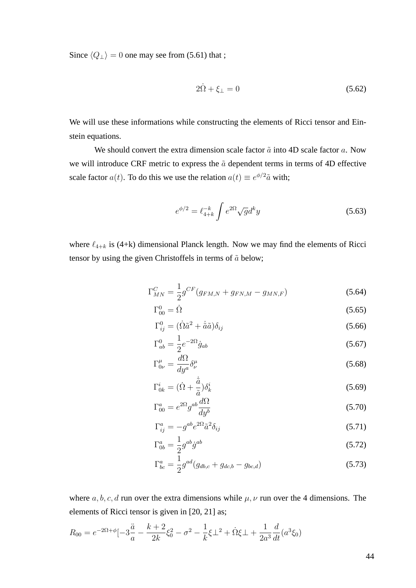Since  $\langle Q_{\perp} \rangle = 0$  one may see from (5.61) that ;

$$
2\dot{\Omega} + \xi_{\perp} = 0 \tag{5.62}
$$

We will use these informations while constructing the elements of Ricci tensor and Einstein equations.

We should convert the extra dimension scale factor  $\tilde{a}$  into 4D scale factor  $a$ . Now we will introduce CRF metric to express the  $\tilde{a}$  dependent terms in terms of 4D effective scale factor  $a(t)$ . To do this we use the relation  $a(t) \equiv e^{\phi/2} \tilde{a}$  with;

$$
e^{\phi/2} = \ell_{4+k}^{-k} \int e^{2\Omega} \sqrt{g} d^k y \tag{5.63}
$$

where  $\ell_{4+k}$  is (4+k) dimensional Planck length. Now we may find the elements of Ricci tensor by using the given Christoffels in terms of  $\tilde{a}$  below;

$$
\Gamma_{MN}^C = \frac{1}{2} g^{CF} (g_{FM,N} + g_{FN,M} - g_{MN,F})
$$
\n(5.64)

$$
\Gamma^0_{00} = \dot{\Omega} \tag{5.65}
$$

$$
\Gamma_{ij}^0 = (\dot{\Omega}\tilde{a}^2 + \dot{\tilde{a}}\tilde{a})\delta_{ij} \tag{5.66}
$$

$$
\Gamma^0_{ab} = \frac{1}{2} e^{-2\Omega} \dot{g}_{ab} \tag{5.67}
$$

$$
\Gamma^{\mu}_{0\nu} = \frac{d\Omega}{dy^a} \delta^{\mu}_{\nu} \tag{5.68}
$$

$$
\Gamma^i_{0k} = (\dot{\Omega} + \frac{\dot{a}}{\tilde{a}})\delta^i_k
$$
\n(5.69)

$$
\Gamma^a_{00} = e^{2\Omega} g^{ab} \frac{d\Omega}{dy^b} \tag{5.70}
$$

$$
\Gamma_{ij}^a = -g^{ab}e^{2\Omega}\tilde{a}^2\delta_{ij} \tag{5.71}
$$

$$
\Gamma^a_{0b} = \frac{1}{2} g^{ab} \dot{g}^{ab} \tag{5.72}
$$

$$
\Gamma_{bc}^{a} = \frac{1}{2} g^{ad} (g_{db,c} + g_{dc,b} - g_{bc,d})
$$
\n(5.73)

where  $a, b, c, d$  run over the extra dimensions while  $\mu, \nu$  run over the 4 dimensions. The elements of Ricci tensor is given in [20, 21] as;

$$
R_{00} = e^{-2\Omega + \phi} \left[ -3\frac{\ddot{a}}{a} - \frac{k+2}{2k}\xi_0^2 - \sigma^2 - \frac{1}{k}\xi \perp^2 + \dot{\Omega}\xi \perp + \frac{1}{2a^3}\frac{d}{dt}(a^3\xi_0) \right]
$$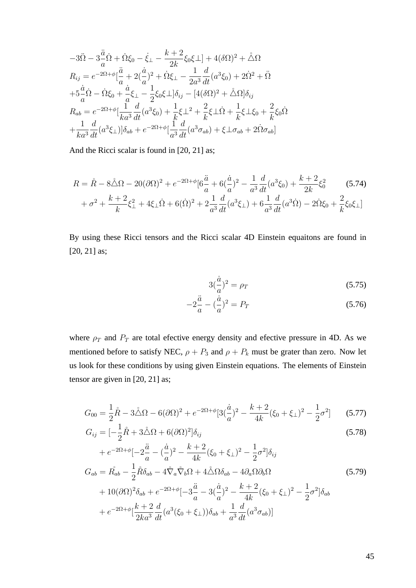$$
-3\ddot{\Omega} - 3\frac{\ddot{a}}{a}\dot{\Omega} + \dot{\Omega}\xi_{0} - \dot{\xi}_{\perp} - \frac{k+2}{2k}\xi_{0}\xi_{\perp} + 4(\delta\Omega)^{2} + \dot{\triangle}\Omega
$$
  
\n
$$
R_{ij} = e^{-2\Omega + \phi}[\frac{\ddot{a}}{a} + 2(\frac{\dot{a}}{a})^{2} + \dot{\Omega}\xi_{\perp} - \frac{1}{2a^{3}}\frac{d}{dt}(a^{3}\xi_{0}) + 2\dot{\Omega}^{2} + \ddot{\Omega}
$$
  
\n
$$
+5\frac{\dot{a}}{a}\dot{\Omega} - \dot{\Omega}\xi_{0} + \frac{\dot{a}}{a}\xi_{\perp} - \frac{1}{2}\xi_{0}\xi_{\perp}]\delta_{ij} - [4(\delta\Omega)^{2} + \dot{\triangle}\Omega]\delta_{ij}
$$
  
\n
$$
R_{ab} = e^{-2\Omega + \phi}[\frac{1}{ka^{3}}\frac{d}{dt}(a^{3}\xi_{0}) + \frac{1}{k}\xi_{\perp}^{2} + \frac{2}{k}\xi_{\perp}\dot{\Omega} + \frac{1}{k}\xi_{\perp}\xi_{0} + \frac{2}{k}\xi_{0}\dot{\Omega}
$$
  
\n
$$
+ \frac{1}{ka^{3}}\frac{d}{dt}(a^{3}\xi_{\perp})]\delta_{ab} + e^{-2\Omega + \phi}[\frac{1}{a^{3}}\frac{d}{dt}(a^{3}\sigma_{ab}) + \xi_{\perp}\sigma_{ab} + 2\dot{\Omega}\sigma_{ab}]
$$

And the Ricci scalar is found in [20, 21] as;

$$
R = \mathring{R} - 8\mathring{\triangle}\Omega - 20(\partial\Omega)^2 + e^{-2\Omega + \phi} \left[ 6\frac{\ddot{a}}{a} + 6(\frac{\dot{a}}{a})^2 - \frac{1}{a^3}\frac{d}{dt}(a^3\xi_0) + \frac{k+2}{2k}\xi_0^2 \right]
$$
(5.74)  
+ 
$$
\sigma^2 + \frac{k+2}{k}\xi_{\perp}^2 + 4\xi_{\perp}\dot{\Omega} + 6(\dot{\Omega})^2 + 2\frac{1}{a^3}\frac{d}{dt}(a^3\xi_{\perp}) + 6\frac{1}{a^3}\frac{d}{dt}(a^3\dot{\Omega}) - 2\dot{\Omega}\xi_0 + \frac{2}{k}\xi_0\xi_{\perp}
$$

By using these Ricci tensors and the Ricci scalar 4D Einstein equaitons are found in [20, 21] as;

$$
3\left(\frac{\dot{a}}{a}\right)^2 = \rho_T \tag{5.75}
$$

$$
-2\frac{\ddot{a}}{a} - \left(\frac{\dot{a}}{a}\right)^2 = P_T \tag{5.76}
$$

where  $\rho_T$  and  $P_T$  are total efective energy density and efective pressure in 4D. As we mentioned before to satisfy NEC,  $\rho + P_3$  and  $\rho + P_k$  must be grater than zero. Now let us look for these conditions by using given Einstein equations. The elements of Einstein tensor are given in [20, 21] as;

$$
G_{00} = \frac{1}{2}\mathring{R} - 3\mathring{\triangle}\Omega - 6(\partial\Omega)^2 + e^{-2\Omega + \phi}[3(\frac{\mathring{a}}{a})^2 - \frac{k+2}{4k}(\xi_0 + \xi_\perp)^2 - \frac{1}{2}\sigma^2]
$$
(5.77)

$$
G_{ij} = \left[-\frac{1}{2}\mathring{R} + 3\mathring{\triangle}\Omega + 6(\partial\Omega)^2\right]\delta_{ij}
$$
\n(5.78)

$$
+ e^{-2\Omega + \phi} \left[ -2\frac{\ddot{a}}{a} - \left(\frac{\dot{a}}{a}\right)^2 - \frac{k+2}{4k} (\xi_0 + \xi_\perp)^2 - \frac{1}{2} \sigma^2 \right] \delta_{ij}
$$
  
\n
$$
G_{ab} = \mathring{R_{ab}} - \frac{1}{2} \mathring{R} \delta_{ab} - 4 \mathring{\nabla}_a \mathring{\nabla}_b \Omega + 4 \mathring{\triangle} \Omega \delta_{ab} - 4 \partial_a \Omega \partial_b \Omega
$$
  
\n
$$
+ 10 (\partial \Omega)^2 \delta_{ab} + e^{-2\Omega + \phi} \left[ -3\frac{\ddot{a}}{a} - 3\left(\frac{\dot{a}}{a}\right)^2 - \frac{k+2}{4k} (\xi_0 + \xi_\perp)^2 - \frac{1}{2} \sigma^2 \right] \delta_{ab}
$$
  
\n
$$
+ e^{-2\Omega + \phi} \left[ \frac{k+2}{2ka^3} \frac{d}{dt} (a^3 (\xi_0 + \xi_\perp)) \delta_{ab} + \frac{1}{a^3} \frac{d}{dt} (a^3 \sigma_{ab}) \right]
$$
\n(5.79)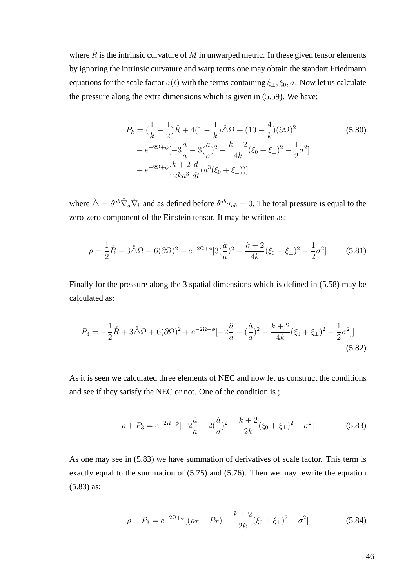where  $\mathring{R}$  is the intrinsic curvature of M in unwarped metric. In these given tensor elements by ignoring the intrinsic curvature and warp terms one may obtain the standart Friedmann equations for the scale factor  $a(t)$  with the terms containing  $\xi_{\perp}, \xi_0, \sigma$ . Now let us calculate the pressure along the extra dimensions which is given in (5.59). We have;

$$
P_k = \left(\frac{1}{k} - \frac{1}{2}\right)\mathring{R} + 4\left(1 - \frac{1}{k}\right)\mathring{\triangle}\Omega + \left(10 - \frac{4}{k}\right)(\partial\Omega)^2
$$
  
+  $e^{-2\Omega + \phi}[-3\frac{\ddot{a}}{a} - 3(\frac{\dot{a}}{a})^2 - \frac{k+2}{4k}(\xi_0 + \xi_\perp)^2 - \frac{1}{2}\sigma^2]$   
+  $e^{-2\Omega + \phi}[\frac{k+2}{2ka^3}\frac{d}{dt}(a^3(\xi_0 + \xi_\perp))]$  (5.80)

where  $\mathring{\triangle} = \delta^{ab} \mathring{\nabla}_a \mathring{\nabla}_b$  and as defined before  $\delta^{ab} \sigma_{ab} = 0$ . The total pressure is equal to the zero-zero component of the Einstein tensor. It may be written as;

$$
\rho = \frac{1}{2}\mathring{R} - 3\mathring{\triangle}\Omega - 6(\partial\Omega)^2 + e^{-2\Omega + \phi}[3(\frac{\mathring{a}}{a})^2 - \frac{k+2}{4k}(\xi_0 + \xi_\perp)^2 - \frac{1}{2}\sigma^2]
$$
(5.81)

Finally for the pressure along the 3 spatial dimensions which is defined in (5.58) may be calculated as;

$$
P_3 = -\frac{1}{2}\mathring{R} + 3\mathring{\triangle}\Omega + 6(\partial\Omega)^2 + e^{-2\Omega + \phi}[-2\frac{\ddot{a}}{a} - (\frac{\dot{a}}{a})^2 - \frac{k+2}{4k}(\xi_0 + \xi_\perp)^2 - \frac{1}{2}\sigma^2]]
$$
\n(5.82)

As it is seen we calculated three elements of NEC and now let us construct the conditions and see if they satisfy the NEC or not. One of the condition is ;

$$
\rho + P_3 = e^{-2\Omega + \phi} \left[ -2\frac{\ddot{a}}{a} + 2\left(\frac{\dot{a}}{a}\right)^2 - \frac{k+2}{2k} (\xi_0 + \xi_\perp)^2 - \sigma^2 \right] \tag{5.83}
$$

As one may see in (5.83) we have summation of derivatives of scale factor. This term is exactly equal to the summation of (5.75) and (5.76). Then we may rewrite the equation (5.83) as;

$$
\rho + P_3 = e^{-2\Omega + \phi} [(\rho_T + P_T) - \frac{k+2}{2k} (\xi_0 + \xi_\perp)^2 - \sigma^2]
$$
(5.84)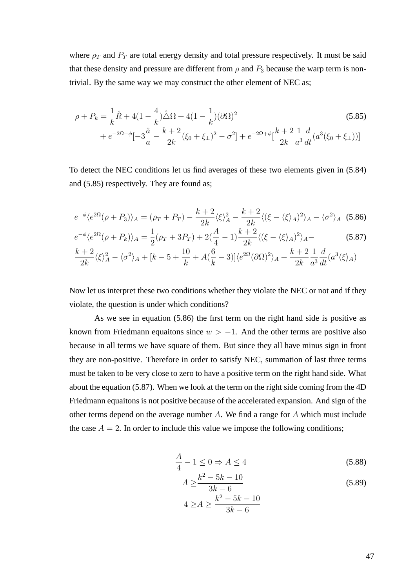where  $\rho_T$  and  $P_T$  are total energy density and total pressure respectively. It must be said that these density and pressure are different from  $\rho$  and  $P_3$  because the warp term is nontrivial. By the same way we may construct the other element of NEC as;

$$
\rho + P_k = \frac{1}{k}\mathring{R} + 4(1 - \frac{4}{k})\mathring{\triangle}\Omega + 4(1 - \frac{1}{k})(\partial\Omega)^2
$$
\n
$$
+ e^{-2\Omega + \phi}[-3\frac{\ddot{a}}{a} - \frac{k+2}{2k}(\xi_0 + \xi_\perp)^2 - \sigma^2] + e^{-2\Omega + \phi}[\frac{k+2}{2k}\frac{1}{a^3}\frac{d}{dt}(a^3(\xi_0 + \xi_\perp))]
$$
\n(5.85)

To detect the NEC conditions let us find averages of these two elements given in (5.84) and (5.85) respectively. They are found as;

$$
e^{-\phi}\langle e^{2\Omega}(\rho+P_3)\rangle_A = (\rho_T+P_T) - \frac{k+2}{2k}\langle \xi \rangle_A^2 - \frac{k+2}{2k}\langle (\xi-\langle \xi \rangle_A)^2 \rangle_A - \langle \sigma^2 \rangle_A
$$
 (5.86)

$$
e^{-\phi} \langle e^{2\Omega}(\rho + P_k) \rangle_A = \frac{1}{2} (\rho_T + 3P_T) + 2(\frac{A}{4} - 1) \frac{k+2}{2k} \langle (\xi - \langle \xi \rangle_A)^2 \rangle_A -
$$
\n
$$
\frac{k+2}{2k} \langle \xi \rangle_A^2 - \langle \sigma^2 \rangle_A + [k - 5 + \frac{10}{k} + A(\frac{6}{k} - 3)] \langle e^{2\Omega} (\partial \Omega)^2 \rangle_A + \frac{k+2}{2k} \frac{1}{a^3} \frac{d}{dt} (a^3 \langle \xi \rangle_A)
$$
\n(5.87)

Now let us interpret these two conditions whether they violate the NEC or not and if they violate, the question is under which conditions?

As we see in equation (5.86) the first term on the right hand side is positive as known from Friedmann equaitons since  $w > -1$ . And the other terms are positive also because in all terms we have square of them. But since they all have minus sign in front they are non-positive. Therefore in order to satisfy NEC, summation of last three terms must be taken to be very close to zero to have a positive term on the right hand side. What about the equation (5.87). When we look at the term on the right side coming from the 4D Friedmann equaitons is not positive because of the accelerated expansion. And sign of the other terms depend on the average number A. We find a range for A which must include the case  $A = 2$ . In order to include this value we impose the following conditions;

$$
\frac{A}{4} - 1 \le 0 \Rightarrow A \le 4 \tag{5.88}
$$

$$
A \ge \frac{k^2 - 5k - 10}{3k - 6}
$$
  
 
$$
4 \ge A \ge \frac{k^2 - 5k - 10}{3k - 6}
$$
 (5.89)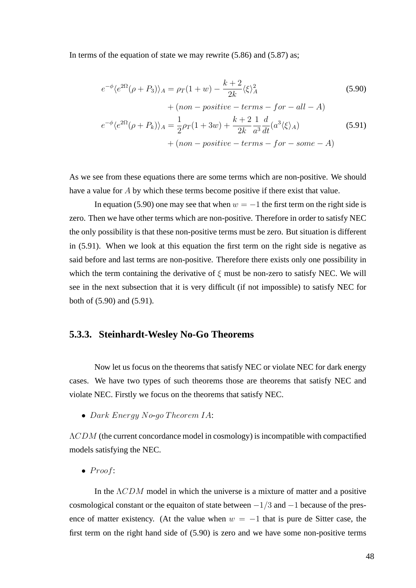In terms of the equation of state we may rewrite (5.86) and (5.87) as;

$$
e^{-\phi}\langle e^{2\Omega}(\rho + P_3)\rangle_A = \rho_T(1+w) - \frac{k+2}{2k}\langle \xi \rangle_A^2
$$
(5.90)  
+  $(non-positive - terms - for - all - A)$   

$$
e^{-\phi}\langle e^{2\Omega}(\rho + P_k)\rangle_A = \frac{1}{2}\rho_T(1+3w) + \frac{k+2}{2k}\frac{1}{a^3}\frac{d}{dt}(a^3\langle \xi \rangle_A)
$$
(5.91)  
+  $(non-positive - terms - for - some - A)$ 

As we see from these equations there are some terms which are non-positive. We should have a value for A by which these terms become positive if there exist that value.

In equation (5.90) one may see that when  $w = -1$  the first term on the right side is zero. Then we have other terms which are non-positive. Therefore in order to satisfy NEC the only possibility is that these non-positive terms must be zero. But situation is different in (5.91). When we look at this equation the first term on the right side is negative as said before and last terms are non-positive. Therefore there exists only one possibility in which the term containing the derivative of  $\xi$  must be non-zero to satisfy NEC. We will see in the next subsection that it is very difficult (if not impossible) to satisfy NEC for both of (5.90) and (5.91).

#### **5.3.3. Steinhardt-Wesley No-Go Theorems**

Now let us focus on the theorems that satisfy NEC or violate NEC for dark energy cases. We have two types of such theorems those are theorems that satisfy NEC and violate NEC. Firstly we focus on the theorems that satisfy NEC.

• Dark Energy No-go Theorem  $IA:$ 

ΛCDM (the current concordance model in cosmology) is incompatible with compactified models satisfying the NEC.

 $\bullet$  Proof:

In the  $\Lambda CDM$  model in which the universe is a mixture of matter and a positive cosmological constant or the equaiton of state between  $-1/3$  and  $-1$  because of the presence of matter existency. (At the value when  $w = -1$  that is pure de Sitter case, the first term on the right hand side of (5.90) is zero and we have some non-positive terms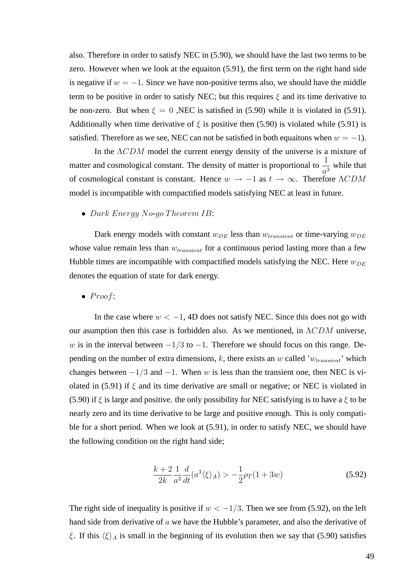also. Therefore in order to satisfy NEC in (5.90), we should have the last two terms to be zero. However when we look at the equaiton (5.91), the first term on the right hand side is negative if  $w = -1$ . Since we have non-positive terms also, we should have the middle term to be positive in order to satisfy NEC; but this requires  $\xi$  and its time derivative to be non-zero. But when  $\xi = 0$ , NEC is satisfied in (5.90) while it is violated in (5.91). Additionally when time derivative of  $\xi$  is positive then (5.90) is violated while (5.91) is satisfied. Therefore as we see, NEC can not be satisfied in both equaitons when  $w = -1$ ).

In the ΛCDM model the current energy density of the universe is a mixture of matter and cosmological constant. The density of matter is proportional to  $\frac{1}{1}$  $\frac{1}{a^3}$  while that of cosmological constant is constant. Hence  $w \to -1$  as  $t \to \infty$ . Therefore  $\Lambda CDM$ model is incompatible with compactified models satisfying NEC at least in future.

• Dark Energy No-go Theorem  $IB:$ 

Dark energy models with constant  $w_{DE}$  less than  $w_{transient}$  or time-varying  $w_{DE}$ whose value remain less than  $w_{transient}$  for a continuous period lasting more than a few Hubble times are incompatible with compactified models satisfying the NEC. Here  $w_{DE}$ denotes the equation of state for dark energy.

 $\bullet$  Proof:

In the case where  $w < -1$ , 4D does not satisfy NEC. Since this does not go with our asumption then this case is forbidden also. As we mentioned, in  $\Lambda CDM$  universe, w is in the interval between  $-1/3$  to  $-1$ . Therefore we should focus on this range. Depending on the number of extra dimensions, k, there exists an w called ' $w_{transient}$ ' which changes between  $-1/3$  and  $-1$ . When w is less than the transient one, then NEC is violated in (5.91) if  $\xi$  and its time derivative are small or negative; or NEC is violated in (5.90) if  $\xi$  is large and positive. the only possibility for NEC satisfying is to have a  $\xi$  to be nearly zero and its time derivative to be large and positive enough. This is only compatible for a short period. When we look at (5.91), in order to satisfy NEC, we should have the following condition on the right hand side;

$$
\frac{k+2}{2k} \frac{1}{a^3} \frac{d}{dt} (a^3 \langle \xi \rangle_A) > -\frac{1}{2} \rho_T (1+3w) \tag{5.92}
$$

The right side of inequality is positive if  $w < -1/3$ . Then we see from (5.92), on the left hand side from derivative of a we have the Hubble's parameter, and also the derivative of ξ. If this  $\langle \xi \rangle_A$  is small in the beginning of its evolution then we say that (5.90) satisfies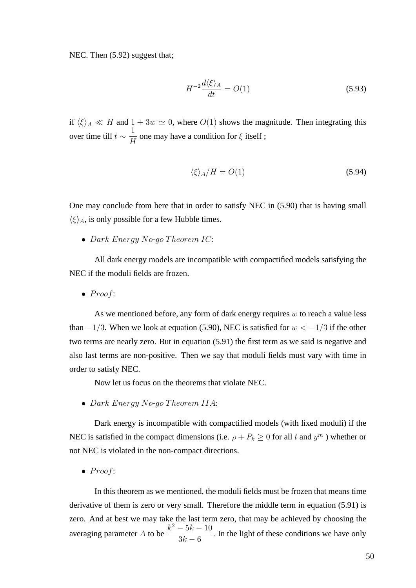NEC. Then  $(5.92)$  suggest that;

$$
H^{-2}\frac{d\langle \xi \rangle_A}{dt} = O(1) \tag{5.93}
$$

if  $\langle \xi \rangle_A \ll H$  and  $1 + 3w \simeq 0$ , where  $O(1)$  shows the magnitude. Then integrating this over time till  $t \sim \frac{1}{11}$ H one may have a condition for  $\xi$  itself;

$$
\langle \xi \rangle_A / H = O(1) \tag{5.94}
$$

One may conclude from here that in order to satisfy NEC in (5.90) that is having small  $\langle \xi \rangle_A$ , is only possible for a few Hubble times.

• Dark Energy No-go Theorem  $IC:$ 

All dark energy models are incompatible with compactified models satisfying the NEC if the moduli fields are frozen.

 $\bullet$  Proof:

As we mentioned before, any form of dark energy requires  $w$  to reach a value less than  $-1/3$ . When we look at equation (5.90), NEC is satisfied for  $w < -1/3$  if the other two terms are nearly zero. But in equation (5.91) the first term as we said is negative and also last terms are non-positive. Then we say that moduli fields must vary with time in order to satisfy NEC.

Now let us focus on the theorems that violate NEC.

• Dark Energy No-go Theorem IIA:

Dark energy is incompatible with compactified models (with fixed moduli) if the NEC is satisfied in the compact dimensions (i.e.  $\rho + P_k \geq 0$  for all t and  $y^m$ ) whether or not NEC is violated in the non-compact directions.

 $\bullet$  Proof:

In this theorem as we mentioned, the moduli fields must be frozen that means time derivative of them is zero or very small. Therefore the middle term in equation (5.91) is zero. And at best we may take the last term zero, that may be achieved by choosing the averaging parameter A to be  $\frac{k^2 - 5k - 10}{8k^2 - 5}$  $3k-6$ . In the light of these conditions we have only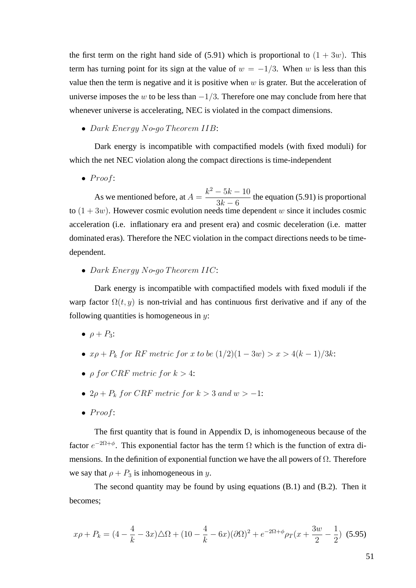the first term on the right hand side of (5.91) which is proportional to  $(1 + 3w)$ . This term has turning point for its sign at the value of  $w = -1/3$ . When w is less than this value then the term is negative and it is positive when  $w$  is grater. But the acceleration of universe imposes the w to be less than  $-1/3$ . Therefore one may conclude from here that whenever universe is accelerating, NEC is violated in the compact dimensions.

• Dark Energy No-go Theorem  $IIB$ :

Dark energy is incompatible with compactified models (with fixed moduli) for which the net NEC violation along the compact directions is time-independent

 $\bullet$  Proof:

As we mentioned before, at  $A =$  $k^2 - 5k - 10$  $3k-6$ the equation (5.91) is proportional to  $(1+3w)$ . However cosmic evolution needs time dependent w since it includes cosmic acceleration (i.e. inflationary era and present era) and cosmic deceleration (i.e. matter dominated eras). Therefore the NEC violation in the compact directions needs to be timedependent.

• Dark Energy No-go Theorem  $\text{HC}:$ 

Dark energy is incompatible with compactified models with fixed moduli if the warp factor  $\Omega(t, y)$  is non-trivial and has continuous first derivative and if any of the following quantities is homogeneous in  $y$ :

- $\bullet$   $\rho + P_3$ :
- $x \rho + P_k$  for RF metric for x to be  $(1/2)(1 3w) > x > 4(k 1)/3k$ :
- ρ for CRF metric for  $k > 4$ :
- $2\rho + P_k$  for CRF metric for  $k > 3$  and  $w > -1$ :
- $\bullet$  Proof:

The first quantity that is found in Appendix D, is inhomogeneous because of the factor  $e^{-2\Omega+\phi}$ . This exponential factor has the term  $\Omega$  which is the function of extra dimensions. In the definition of exponential function we have the all powers of  $\Omega$ . Therefore we say that  $\rho + P_3$  is inhomogeneous in y.

The second quantity may be found by using equations (B.1) and (B.2). Then it becomes;

$$
x\rho + P_k = (4 - \frac{4}{k} - 3x)\triangle\Omega + (10 - \frac{4}{k} - 6x)(\partial\Omega)^2 + e^{-2\Omega + \phi}\rho_T(x + \frac{3w}{2} - \frac{1}{2})
$$
 (5.95)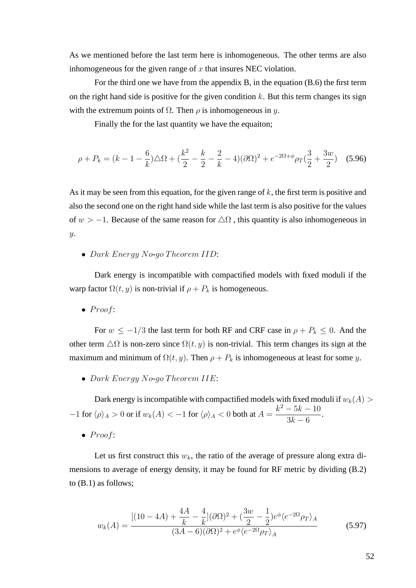As we mentioned before the last term here is inhomogeneous. The other terms are also inhomogeneous for the given range of  $x$  that insures NEC violation.

For the third one we have from the appendix B, in the equation (B.6) the first term on the right hand side is positive for the given condition  $k$ . But this term changes its sign with the extremum points of  $\Omega$ . Then  $\rho$  is inhomogeneous in y.

Finally the for the last quantity we have the equaiton;

$$
\rho + P_k = (k - 1 - \frac{6}{k})\triangle\Omega + (\frac{k^2}{2} - \frac{k}{2} - \frac{2}{k} - 4)(\partial\Omega)^2 + e^{-2\Omega + \phi}\rho_T(\frac{3}{2} + \frac{3w}{2})
$$
 (5.96)

As it may be seen from this equation, for the given range of  $k$ , the first term is positive and also the second one on the right hand side while the last term is also positive for the values of  $w > -1$ . Because of the same reason for  $\Delta\Omega$ , this quantity is also inhomogeneous in  $y$ .

#### • Dark Energy No-go Theorem  $ID:$

Dark energy is incompatible with compactified models with fixed moduli if the warp factor  $\Omega(t, y)$  is non-trivial if  $\rho + P_k$  is homogeneous.

 $\bullet$  Proof:

For  $w \le -1/3$  the last term for both RF and CRF case in  $\rho + P_k \le 0$ . And the other term  $\Delta\Omega$  is non-zero since  $\Omega(t, y)$  is non-trivial. This term changes its sign at the maximum and minimum of  $\Omega(t, y)$ . Then  $\rho + P_k$  is inhomogeneous at least for some y.

• Dark Energy No-go Theorem  $IIE$ :

Dark energy is incompatible with compactified models with fixed moduli if  $w_k(A) >$  $-1$  for  $\langle \rho \rangle_A > 0$  or if  $w_k(A) < -1$  for  $\langle \rho \rangle_A < 0$  both at  $A = \frac{k^2 - 5k - 10}{3! \epsilon}$  $3k-6$ .

 $\bullet$  Proof:

Let us first construct this  $w_k$ , the ratio of the average of pressure along extra dimensions to average of energy density, it may be found for RF metric by dividing (B.2) to (B.1) as follows;

$$
w_k(A) = \frac{[(10 - 4A) + \frac{4A}{k} - \frac{4}{k}](\partial \Omega)^2 + (\frac{3w}{2} - \frac{1}{2})e^{\phi}\langle e^{-2\Omega}\rho_T\rangle_A}{(3A - 6)(\partial \Omega)^2 + e^{\phi}\langle e^{-2\Omega}\rho_T\rangle_A}
$$
(5.97)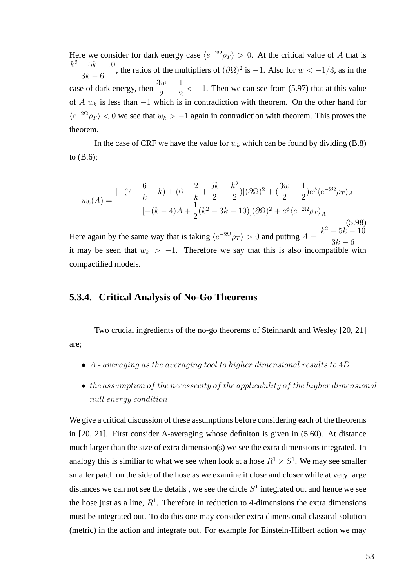Here we consider for dark energy case  $\langle e^{-2\Omega} \rho_T \rangle > 0$ . At the critical value of A that is  $k^2 - 5k - 10$  $3k-6$ , the ratios of the multipliers of  $(\partial \Omega)^2$  is  $-1$ . Also for  $w < -1/3$ , as in the case of dark energy, then  $\frac{3w}{2}$ 2  $-\frac{1}{2}$ 2  $<-1$ . Then we can see from (5.97) that at this value of A  $w_k$  is less than  $-1$  which is in contradiction with theorem. On the other hand for  $\langle e^{-2\Omega} \rho_T \rangle$  < 0 we see that  $w_k > -1$  again in contradiction with theorem. This proves the theorem.

In the case of CRF we have the value for  $w_k$  which can be found by dividing (B.8) to (B.6);

$$
w_k(A) = \frac{\left[ -(7 - \frac{6}{k} - k) + (6 - \frac{2}{k} + \frac{5k}{2} - \frac{k^2}{2}) \right] (\partial \Omega)^2 + (\frac{3w}{2} - \frac{1}{2}) e^{\phi} \langle e^{-2\Omega} \rho_T \rangle_A}{[-(k - 4)A + \frac{1}{2}(k^2 - 3k - 10)] (\partial \Omega)^2 + e^{\phi} \langle e^{-2\Omega} \rho_T \rangle_A}
$$
\n(5.98)

Here again by the same way that is taking  $\langle e^{-2\Omega} \rho_T \rangle > 0$  and putting  $A = \frac{k^2 - 5k - 10}{3k - 6}$  $3k-6$ it may be seen that  $w_k$  > −1. Therefore we say that this is also incompatible with compactified models.

#### **5.3.4. Critical Analysis of No-Go Theorems**

Two crucial ingredients of the no-go theorems of Steinhardt and Wesley [20, 21] are;

- A averaging as the averaging tool to higher dimensional results to 4D
- the assumption of the necessecity of the applicability of the higher dimensional null energy condition

We give a critical discussion of these assumptions before considering each of the theorems in [20, 21]. First consider A-averaging whose definiton is given in (5.60). At distance much larger than the size of extra dimension(s) we see the extra dimensions integrated. In analogy this is similiar to what we see when look at a hose  $R^1 \times S^1$ . We may see smaller smaller patch on the side of the hose as we examine it close and closer while at very large distances we can not see the details, we see the circle  $S<sup>1</sup>$  integrated out and hence we see the hose just as a line,  $R<sup>1</sup>$ . Therefore in reduction to 4-dimensions the extra dimensions must be integrated out. To do this one may consider extra dimensional classical solution (metric) in the action and integrate out. For example for Einstein-Hilbert action we may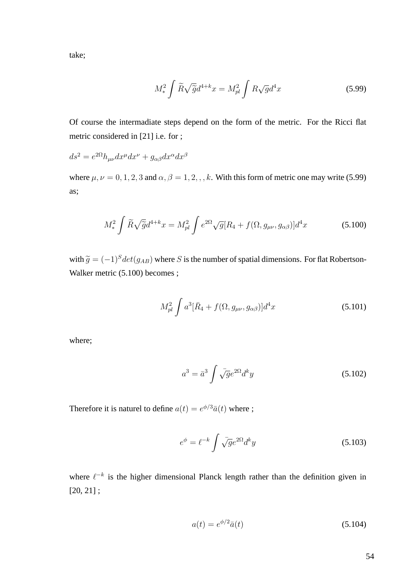take;

$$
M_*^2 \int \widetilde{R} \sqrt{\widetilde{g}} d^{4+k} x = M_{pl}^2 \int R \sqrt{g} d^4 x \tag{5.99}
$$

Of course the intermadiate steps depend on the form of the metric. For the Ricci flat metric considered in [21] i.e. for ;

$$
ds^2 = e^{2\Omega}h_{\mu\nu}dx^{\mu}dx^{\nu} + g_{\alpha\beta}dx^{\alpha}dx^{\beta}
$$

where  $\mu, \nu = 0, 1, 2, 3$  and  $\alpha, \beta = 1, 2, \ldots, k$ . With this form of metric one may write (5.99) as;

$$
M_*^2 \int \widetilde{R}\sqrt{\widetilde{g}}d^{4+k}x = M_{pl}^2 \int e^{2\Omega}\sqrt{g}[R_4 + f(\Omega, g_{\mu\nu}, g_{\alpha\beta})]d^4x \tag{5.100}
$$

with  $\tilde{g} = (-1)^S det(g_{AB})$  where S is the number of spatial dimensions. For flat Robertson-Walker metric (5.100) becomes ;

$$
M_{pl}^2 \int a^3 [\bar{R}_4 + f(\Omega, g_{\mu\nu}, g_{\alpha\beta})] d^4 x \tag{5.101}
$$

where;

$$
a^3 = \bar{a}^3 \int \bar{\sqrt{g}} e^{2\Omega} d^k y \tag{5.102}
$$

Therefore it is naturel to define  $a(t) = e^{\phi/3}\bar{a}(t)$  where;

$$
e^{\phi} = \ell^{-k} \int \bar{\sqrt{g}} e^{2\Omega} d^k y \tag{5.103}
$$

where  $\ell^{-k}$  is the higher dimensional Planck length rather than the definition given in  $[20, 21]$ ;

$$
a(t) = e^{\phi/2}\bar{a}(t) \tag{5.104}
$$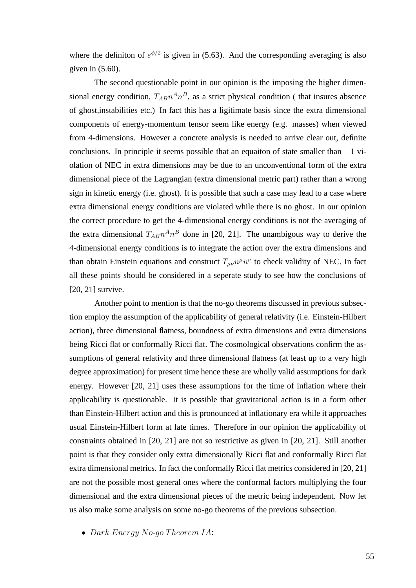where the definiton of  $e^{\phi/2}$  is given in (5.63). And the corresponding averaging is also given in (5.60).

The second questionable point in our opinion is the imposing the higher dimensional energy condition,  $T_{AB}n^A n^B$ , as a strict physical condition (that insures absence of ghost,instabilities etc.) In fact this has a ligitimate basis since the extra dimensional components of energy-momentum tensor seem like energy (e.g. masses) when viewed from 4-dimensions. However a concrete analysis is needed to arrive clear out, definite conclusions. In principle it seems possible that an equaiton of state smaller than −1 violation of NEC in extra dimensions may be due to an unconventional form of the extra dimensional piece of the Lagrangian (extra dimensional metric part) rather than a wrong sign in kinetic energy (i.e. ghost). It is possible that such a case may lead to a case where extra dimensional energy conditions are violated while there is no ghost. In our opinion the correct procedure to get the 4-dimensional energy conditions is not the averaging of the extra dimensional  $T_{AB}n^A n^B$  done in [20, 21]. The unambigous way to derive the 4-dimensional energy conditions is to integrate the action over the extra dimensions and than obtain Einstein equations and construct  $T_{\mu\nu}n^{\mu}n^{\nu}$  to check validity of NEC. In fact all these points should be considered in a seperate study to see how the conclusions of [20, 21] survive.

Another point to mention is that the no-go theorems discussed in previous subsection employ the assumption of the applicability of general relativity (i.e. Einstein-Hilbert action), three dimensional flatness, boundness of extra dimensions and extra dimensions being Ricci flat or conformally Ricci flat. The cosmological observations confirm the assumptions of general relativity and three dimensional flatness (at least up to a very high degree approximation) for present time hence these are wholly valid assumptions for dark energy. However [20, 21] uses these assumptions for the time of inflation where their applicability is questionable. It is possible that gravitational action is in a form other than Einstein-Hilbert action and this is pronounced at inflationary era while it approaches usual Einstein-Hilbert form at late times. Therefore in our opinion the applicability of constraints obtained in [20, 21] are not so restrictive as given in [20, 21]. Still another point is that they consider only extra dimensionally Ricci flat and conformally Ricci flat extra dimensional metrics. In fact the conformally Ricci flat metrics considered in [20, 21] are not the possible most general ones where the conformal factors multiplying the four dimensional and the extra dimensional pieces of the metric being independent. Now let us also make some analysis on some no-go theorems of the previous subsection.

• Dark Energy No-go Theorem  $IA:$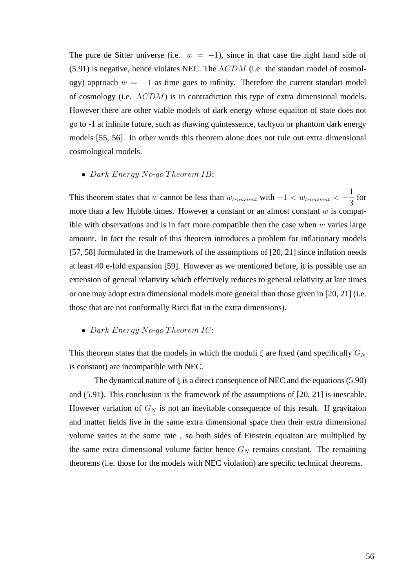The pure de Sitter universe (i.e.  $w = -1$ ), since in that case the right hand side of (5.91) is negative, hence violates NEC. The  $\Lambda CDM$  (i.e. the standart model of cosmology) approach  $w = -1$  as time goes to infinity. Therefore the current standart model of cosmology (i.e. ΛCDM) is in contradiction this type of extra dimensional models. However there are other viable models of dark energy whose equaiton of state does not go to -1 at infinite future, such as thawing quintessence, tachyon or phantom dark energy models [55, 56]. In other words this theorem alone does not rule out extra dimensional cosmological models.

#### • Dark Energy No-go Theorem  $IB$ :

This theorem states that w cannot be less than  $w_{transient}$  with  $-1 < w_{transient} < -\frac{1}{2}$ 3 for more than a few Hubble times. However a constant or an almost constant  $w$  is compatible with observations and is in fact more compatible then the case when  $w$  varies large amount. In fact the result of this theorem introduces a problem for inflationary models [57, 58] formulated in the framework of the assumptions of [20, 21] since inflation needs at least 40 e-fold expansion [59]. However as we mentioned before, it is possible use an extension of general relativity which effectively reduces to general relativity at late times or one may adopt extra dimensional models more general than those given in [20, 21] (i.e. those that are not conformally Ricci flat in the extra dimensions).

• Dark Energy No-go Theorem IC:

This theorem states that the models in which the moduli  $\xi$  are fixed (and specifically  $G_N$ is constant) are incompatible with NEC.

The dynamical nature of  $\xi$  is a direct consequence of NEC and the equations (5.90) and (5.91). This conclusion is the framework of the assumptions of [20, 21] is inescable. However variation of  $G_N$  is not an inevitable consequence of this result. If gravitaion and matter fields live in the same extra dimensional space then their extra dimensional volume varies at the some rate , so both sides of Einstein equaiton are multiplied by the same extra dimensional volume factor hence  $G_N$  remains constant. The remaining theorems (i.e. those for the models with NEC violation) are specific technical theorems.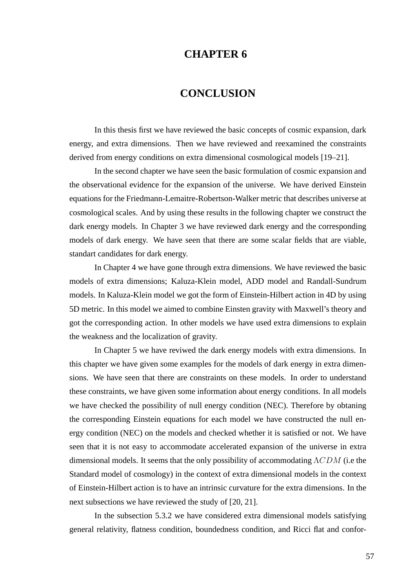## **CHAPTER 6**

## **CONCLUSION**

In this thesis first we have reviewed the basic concepts of cosmic expansion, dark energy, and extra dimensions. Then we have reviewed and reexamined the constraints derived from energy conditions on extra dimensional cosmological models [19–21].

In the second chapter we have seen the basic formulation of cosmic expansion and the observational evidence for the expansion of the universe. We have derived Einstein equations for the Friedmann-Lemaitre-Robertson-Walker metric that describes universe at cosmological scales. And by using these results in the following chapter we construct the dark energy models. In Chapter 3 we have reviewed dark energy and the corresponding models of dark energy. We have seen that there are some scalar fields that are viable, standart candidates for dark energy.

In Chapter 4 we have gone through extra dimensions. We have reviewed the basic models of extra dimensions; Kaluza-Klein model, ADD model and Randall-Sundrum models. In Kaluza-Klein model we got the form of Einstein-Hilbert action in 4D by using 5D metric. In this model we aimed to combine Einsten gravity with Maxwell's theory and got the corresponding action. In other models we have used extra dimensions to explain the weakness and the localization of gravity.

In Chapter 5 we have reviwed the dark energy models with extra dimensions. In this chapter we have given some examples for the models of dark energy in extra dimensions. We have seen that there are constraints on these models. In order to understand these constraints, we have given some information about energy conditions. In all models we have checked the possibility of null energy condition (NEC). Therefore by obtaning the corresponding Einstein equations for each model we have constructed the null energy condition (NEC) on the models and checked whether it is satisfied or not. We have seen that it is not easy to accommodate accelerated expansion of the universe in extra dimensional models. It seems that the only possibility of accommodating  $\Lambda CDM$  (i.e the Standard model of cosmology) in the context of extra dimensional models in the context of Einstein-Hilbert action is to have an intrinsic curvature for the extra dimensions. In the next subsections we have reviewed the study of [20, 21].

In the subsection 5.3.2 we have considered extra dimensional models satisfying general relativity, flatness condition, boundedness condition, and Ricci flat and confor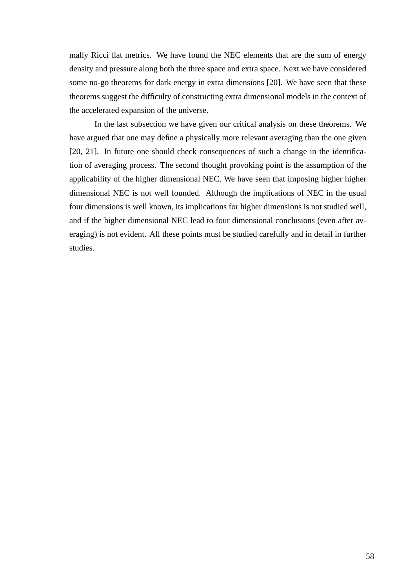mally Ricci flat metrics. We have found the NEC elements that are the sum of energy density and pressure along both the three space and extra space. Next we have considered some no-go theorems for dark energy in extra dimensions [20]. We have seen that these theorems suggest the difficulty of constructing extra dimensional models in the context of the accelerated expansion of the universe.

In the last subsection we have given our critical analysis on these theorems. We have argued that one may define a physically more relevant averaging than the one given [20, 21]. In future one should check consequences of such a change in the identification of averaging process. The second thought provoking point is the assumption of the applicability of the higher dimensional NEC. We have seen that imposing higher higher dimensional NEC is not well founded. Although the implications of NEC in the usual four dimensions is well known, its implications for higher dimensions is not studied well, and if the higher dimensional NEC lead to four dimensional conclusions (even after averaging) is not evident. All these points must be studied carefully and in detail in further studies.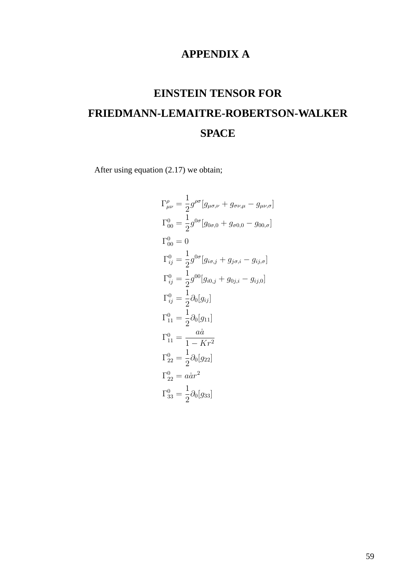## **APPENDIX A**

# **EINSTEIN TENSOR FOR FRIEDMANN-LEMAITRE-ROBERTSON-WALKER SPACE**

After using equation (2.17) we obtain;

$$
\Gamma^{\rho}_{\mu\nu} = \frac{1}{2} g^{\rho\sigma} [g_{\mu\sigma,\nu} + g_{\sigma\nu,\mu} - g_{\mu\nu,\sigma}]
$$
  
\n
$$
\Gamma^{0}_{00} = \frac{1}{2} g^{0\sigma} [g_{0\sigma,0} + g_{\sigma 0,0} - g_{00,\sigma}]
$$
  
\n
$$
\Gamma^{0}_{i0} = 0
$$
  
\n
$$
\Gamma^{0}_{ij} = \frac{1}{2} g^{0\sigma} [g_{i\sigma,j} + g_{j\sigma,i} - g_{ij,\sigma}]
$$
  
\n
$$
\Gamma^{0}_{ij} = \frac{1}{2} g^{00} [g_{i0,j} + g_{0j,i} - g_{ij,0}]
$$
  
\n
$$
\Gamma^{0}_{ij} = \frac{1}{2} \partial_0 [g_{ij}]
$$
  
\n
$$
\Gamma^{0}_{11} = \frac{a\dot{a}}{2} \partial_0 [g_{11}]
$$
  
\n
$$
\Gamma^{0}_{11} = \frac{a\dot{a}}{1 - Kr^2}
$$
  
\n
$$
\Gamma^{0}_{22} = \frac{1}{2} \partial_0 [g_{22}]
$$
  
\n
$$
\Gamma^{0}_{22} = a\dot{a}r^2
$$
  
\n
$$
\Gamma^{0}_{33} = \frac{1}{2} \partial_0 [g_{33}]
$$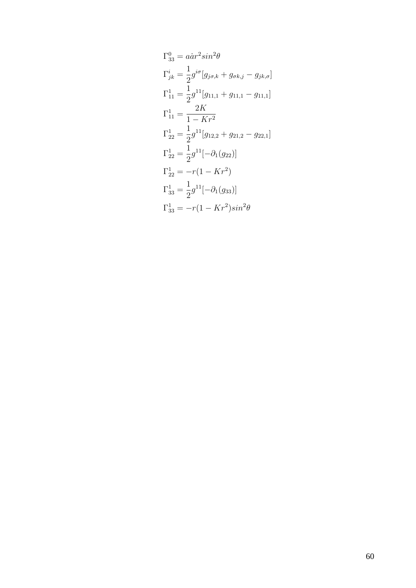$$
\Gamma_{33}^{0} = a\dot{a}r^{2}sin^{2}\theta
$$
\n
$$
\Gamma_{jk}^{i} = \frac{1}{2}g^{i\sigma}[g_{j\sigma,k} + g_{\sigma k,j} - g_{jk,\sigma}]
$$
\n
$$
\Gamma_{11}^{1} = \frac{1}{2}g^{11}[g_{11,1} + g_{11,1} - g_{11,1}]
$$
\n
$$
\Gamma_{11}^{1} = \frac{2K}{1 - Kr^{2}}
$$
\n
$$
\Gamma_{22}^{1} = \frac{1}{2}g^{11}[g_{12,2} + g_{21,2} - g_{22,1}]
$$
\n
$$
\Gamma_{22}^{1} = \frac{1}{2}g^{11}[-\partial_{1}(g_{22})]
$$
\n
$$
\Gamma_{22}^{1} = -r(1 - Kr^{2})
$$
\n
$$
\Gamma_{33}^{1} = \frac{1}{2}g^{11}[-\partial_{1}(g_{33})]
$$
\n
$$
\Gamma_{33}^{1} = -r(1 - Kr^{2})sin^{2}\theta
$$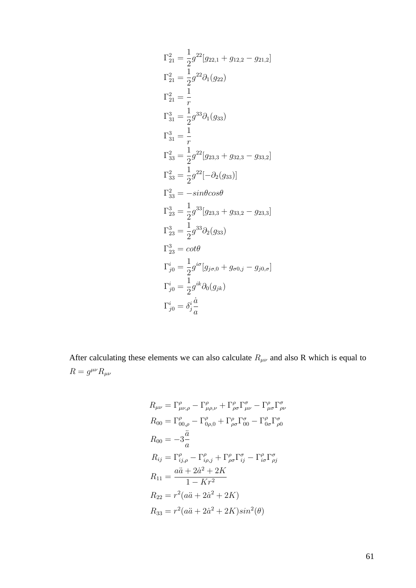$$
\Gamma_{21}^{2} = \frac{1}{2}g^{22}[g_{22,1} + g_{12,2} - g_{21,2}]
$$
  
\n
$$
\Gamma_{21}^{2} = \frac{1}{2}g^{22}\partial_{1}(g_{22})
$$
  
\n
$$
\Gamma_{21}^{2} = \frac{1}{r}
$$
  
\n
$$
\Gamma_{31}^{3} = \frac{1}{2}g^{33}\partial_{1}(g_{33})
$$
  
\n
$$
\Gamma_{31}^{3} = \frac{1}{r}
$$
  
\n
$$
\Gamma_{33}^{2} = \frac{1}{2}g^{22}[g_{23,3} + g_{32,3} - g_{33,2}]
$$
  
\n
$$
\Gamma_{33}^{2} = \frac{1}{2}g^{22}[-\partial_{2}(g_{33})]
$$
  
\n
$$
\Gamma_{33}^{2} = -sin\theta cos\theta
$$
  
\n
$$
\Gamma_{23}^{3} = \frac{1}{2}g^{33}[g_{23,3} + g_{33,2} - g_{23,3}]
$$
  
\n
$$
\Gamma_{23}^{3} = \frac{1}{2}g^{33}\partial_{2}(g_{33})
$$
  
\n
$$
\Gamma_{23}^{3} = cot\theta
$$
  
\n
$$
\Gamma_{j0}^{i} = \frac{1}{2}g^{i\sigma}[g_{j\sigma,0} + g_{\sigma 0,j} - g_{j0,\sigma}]
$$
  
\n
$$
\Gamma_{j0}^{i} = \frac{1}{2}g^{ik}\partial_{0}(g_{jk})
$$
  
\n
$$
\Gamma_{j0}^{i} = \delta_{j}^{i} \frac{\dot{a}}{a}
$$

After calculating these elements we can also calculate  $R_{\mu\nu}$  and also R which is equal to  $R = g^{\mu\nu} R_{\mu\nu}$ 

$$
R_{\mu\nu} = \Gamma^{\rho}_{\mu\nu,\rho} - \Gamma^{\rho}_{\mu\rho,\nu} + \Gamma^{\rho}_{\rho\sigma} \Gamma^{\sigma}_{\mu\nu} - \Gamma^{\rho}_{\mu\sigma} \Gamma^{\sigma}_{\rho\nu}
$$
  
\n
$$
R_{00} = \Gamma^{\rho}_{00,\rho} - \Gamma^{\rho}_{0\rho,0} + \Gamma^{\rho}_{\rho\sigma} \Gamma^{\sigma}_{00} - \Gamma^{\rho}_{0\sigma} \Gamma^{\sigma}_{\rho 0}
$$
  
\n
$$
R_{00} = -3\frac{\ddot{a}}{a}
$$
  
\n
$$
R_{ij} = \Gamma^{\rho}_{ij,\rho} - \Gamma^{\rho}_{i\rho,j} + \Gamma^{\rho}_{\rho\sigma} \Gamma^{\sigma}_{ij} - \Gamma^{\rho}_{i\sigma} \Gamma^{\sigma}_{\rho j}
$$
  
\n
$$
R_{11} = \frac{a\ddot{a} + 2\dot{a}^{2} + 2K}{1 - Kr^{2}}
$$
  
\n
$$
R_{22} = r^{2}(a\ddot{a} + 2\dot{a}^{2} + 2K)
$$
  
\n
$$
R_{33} = r^{2}(a\ddot{a} + 2\dot{a}^{2} + 2K)sin^{2}(\theta)
$$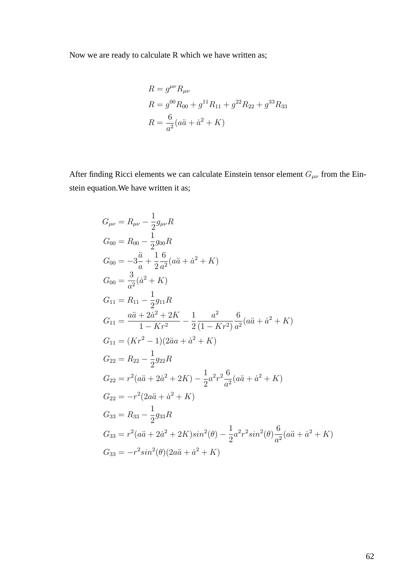Now we are ready to calculate R which we have written as;

$$
R = g^{\mu\nu} R_{\mu\nu}
$$
  
\n
$$
R = g^{00} R_{00} + g^{11} R_{11} + g^{22} R_{22} + g^{33} R_{33}
$$
  
\n
$$
R = \frac{6}{a^2} (a\ddot{a} + \dot{a}^2 + K)
$$

After finding Ricci elements we can calculate Einstein tensor element  $G_{\mu\nu}$  from the Einstein equation.We have written it as;

$$
G_{\mu\nu} = R_{\mu\nu} - \frac{1}{2}g_{\mu\nu}R
$$
  
\n
$$
G_{00} = R_{00} - \frac{1}{2}g_{00}R
$$
  
\n
$$
G_{00} = -3\frac{\ddot{a}}{a} + \frac{1}{2}\frac{6}{a^2}(a\ddot{a} + \dot{a}^2 + K)
$$
  
\n
$$
G_{00} = \frac{3}{a^2}(\dot{a}^2 + K)
$$
  
\n
$$
G_{11} = R_{11} - \frac{1}{2}g_{11}R
$$
  
\n
$$
G_{11} = \frac{a\ddot{a} + 2\dot{a}^2 + 2K}{1 - Kr^2} - \frac{1}{2}\frac{a^2}{(1 - Kr^2)}\frac{6}{a^2}(a\ddot{a} + \dot{a}^2 + K)
$$
  
\n
$$
G_{11} = (Kr^2 - 1)(2\ddot{a}a + \dot{a}^2 + K)
$$
  
\n
$$
G_{22} = R_{22} - \frac{1}{2}g_{22}R
$$
  
\n
$$
G_{22} = r^2(a\ddot{a} + 2\dot{a}^2 + 2K) - \frac{1}{2}a^2r^2\frac{6}{a^2}(a\ddot{a} + \dot{a}^2 + K)
$$
  
\n
$$
G_{22} = -r^2(2a\ddot{a} + \dot{a}^2 + K)
$$
  
\n
$$
G_{33} = R_{33} - \frac{1}{2}g_{33}R
$$
  
\n
$$
G_{33} = r^2(a\ddot{a} + 2\dot{a}^2 + 2K)\sin^2(\theta) - \frac{1}{2}a^2r^2\sin^2(\theta)\frac{6}{a^2}(a\ddot{a} + \dot{a}^2 + K)
$$
  
\n
$$
G_{33} = -r^2\sin^2(\theta)(2a\ddot{a} + \dot{a}^2 + K)
$$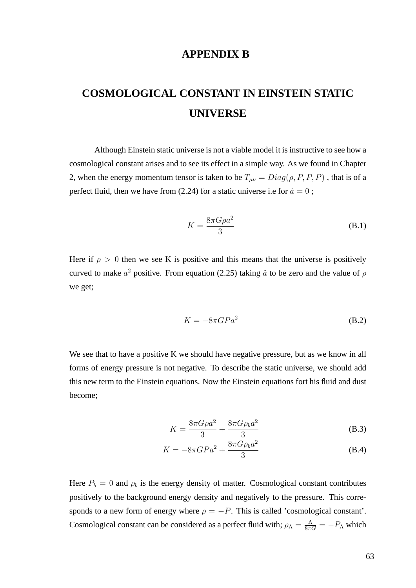#### **APPENDIX B**

# **COSMOLOGICAL CONSTANT IN EINSTEIN STATIC UNIVERSE**

Although Einstein static universe is not a viable model it is instructive to see how a cosmological constant arises and to see its effect in a simple way. As we found in Chapter 2, when the energy momentum tensor is taken to be  $T_{\mu\nu} = Diag(\rho, P, P, P)$ , that is of a perfect fluid, then we have from (2.24) for a static universe i.e for  $\dot{a} = 0$ ;

$$
K = \frac{8\pi G\rho a^2}{3} \tag{B.1}
$$

Here if  $\rho > 0$  then we see K is positive and this means that the universe is positively curved to make  $a^2$  positive. From equation (2.25) taking  $\ddot{a}$  to be zero and the value of  $\rho$ we get;

$$
K = -8\pi G P a^2 \tag{B.2}
$$

We see that to have a positive K we should have negative pressure, but as we know in all forms of energy pressure is not negative. To describe the static universe, we should add this new term to the Einstein equations. Now the Einstein equations fort his fluid and dust become;

$$
K = \frac{8\pi G\rho a^2}{3} + \frac{8\pi G\rho_b a^2}{3}
$$
 (B.3)

$$
K = -8\pi G P a^2 + \frac{8\pi G \rho_b a^2}{3}
$$
 (B.4)

Here  $P_b = 0$  and  $\rho_b$  is the energy density of matter. Cosmological constant contributes positively to the background energy density and negatively to the pressure. This corresponds to a new form of energy where  $\rho = -P$ . This is called 'cosmological constant'. Cosmological constant can be considered as a perfect fluid with;  $\rho_{\Lambda} = \frac{\Lambda}{8\pi G} = -P_{\Lambda}$  which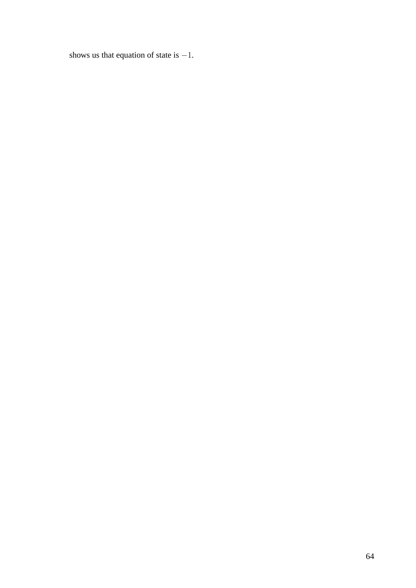shows us that equation of state is  $-1$ .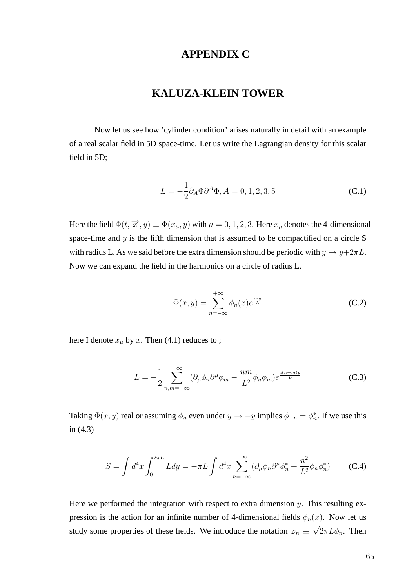## **APPENDIX C**

## **KALUZA-KLEIN TOWER**

Now let us see how 'cylinder condition' arises naturally in detail with an example of a real scalar field in 5D space-time. Let us write the Lagrangian density for this scalar field in 5D;

$$
L = -\frac{1}{2}\partial_A \Phi \partial^A \Phi, A = 0, 1, 2, 3, 5
$$
 (C.1)

Here the field  $\Phi(t, \vec{x}, y) \equiv \Phi(x_u, y)$  with  $\mu = 0, 1, 2, 3$ . Here  $x_u$  denotes the 4-dimensional space-time and  $y$  is the fifth dimension that is assumed to be compactified on a circle S with radius L. As we said before the extra dimension should be periodic with  $y \to y + 2\pi L$ . Now we can expand the field in the harmonics on a circle of radius L.

$$
\Phi(x,y) = \sum_{n=-\infty}^{+\infty} \phi_n(x) e^{\frac{iny}{L}}
$$
 (C.2)

here I denote  $x_{\mu}$  by x. Then (4.1) reduces to;

$$
L = -\frac{1}{2} \sum_{n,m=-\infty}^{+\infty} (\partial_{\mu} \phi_n \partial^{\mu} \phi_m - \frac{nm}{L^2} \phi_n \phi_m) e^{\frac{i(n+m)y}{L}}
$$
(C.3)

Taking  $\Phi(x, y)$  real or assuming  $\phi_n$  even under  $y \to -y$  implies  $\phi_{-n} = \phi_n^*$ . If we use this in (4.3)

$$
S = \int d^4x \int_0^{2\pi L} Ldy = -\pi L \int d^4x \sum_{n=-\infty}^{+\infty} (\partial_\mu \phi_n \partial^\mu \phi_n^* + \frac{n^2}{L^2} \phi_n \phi_n^*) \qquad (C.4)
$$

Here we performed the integration with respect to extra dimension  $y$ . This resulting expression is the action for an infinite number of 4-dimensional fields  $\phi_n(x)$ . Now let us study some properties of these fields. We introduce the notation  $\varphi_n \equiv$ √  $2\pi L\phi_n$ . Then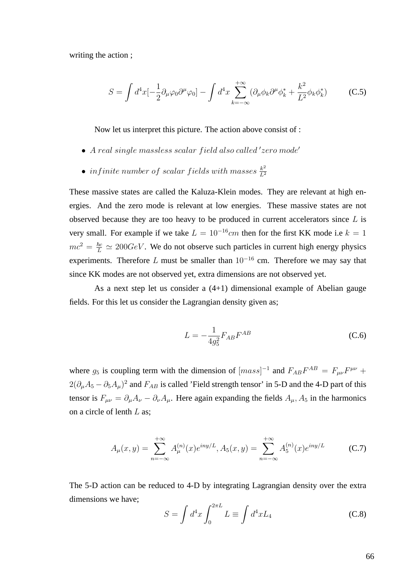writing the action ;

$$
S = \int d^4x \left[-\frac{1}{2}\partial_\mu\varphi_0\partial^\mu\varphi_0\right] - \int d^4x \sum_{k=-\infty}^{+\infty} (\partial_\mu\phi_k\partial^\mu\phi_k^* + \frac{k^2}{L^2}\phi_k\phi_k^*)
$$
 (C.5)

Now let us interpret this picture. The action above consist of :

- $\bullet$  A real single massless scalar field also called 'zero mode'
- infinite number of scalar fields with masses  $\frac{k^2}{l^2}$  $L^2$

These massive states are called the Kaluza-Klein modes. They are relevant at high energies. And the zero mode is relevant at low energies. These massive states are not observed because they are too heavy to be produced in current accelerators since  $L$  is very small. For example if we take  $L = 10^{-16}$ cm then for the first KK mode i.e  $k = 1$  $mc^2 = \frac{\hbar c}{L} \simeq 200 \text{GeV}$ . We do not observe such particles in current high energy physics experiments. Therefore L must be smaller than  $10^{-16}$  cm. Therefore we may say that since KK modes are not observed yet, extra dimensions are not observed yet.

As a next step let us consider a (4+1) dimensional example of Abelian gauge fields. For this let us consider the Lagrangian density given as;

$$
L = -\frac{1}{4g_5^2} F_{AB} F^{AB}
$$
 (C.6)

where  $g_5$  is coupling term with the dimension of  $[mass]^{-1}$  and  $F_{AB}F^{AB} = F_{\mu\nu}F^{\mu\nu} +$  $2(\partial_{\mu}A_5 - \partial_5A_{\mu})^2$  and  $F_{AB}$  is called 'Field strength tensor' in 5-D and the 4-D part of this tensor is  $F_{\mu\nu} = \partial_{\mu}A_{\nu} - \partial_{\nu}A_{\mu}$ . Here again expanding the fields  $A_{\mu}$ ,  $A_{5}$  in the harmonics on a circle of lenth L as;

$$
A_{\mu}(x,y) = \sum_{n=-\infty}^{+\infty} A_{\mu}^{(n)}(x)e^{iny/L}, A_{5}(x,y) = \sum_{n=-\infty}^{+\infty} A_{5}^{(n)}(x)e^{iny/L}
$$
 (C.7)

The 5-D action can be reduced to 4-D by integrating Lagrangian density over the extra dimensions we have;

$$
S = \int d^4x \int_0^{2\pi L} L \equiv \int d^4x L_4
$$
 (C.8)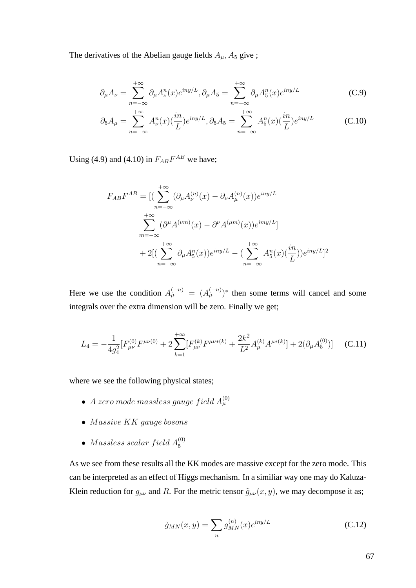The derivatives of the Abelian gauge fields  $A_{\mu}$ ,  $A_5$  give;

$$
\partial_{\mu}A_{\nu} = \sum_{n=-\infty}^{+\infty} \partial_{\mu}A_{\nu}^{n}(x)e^{iny/L}, \partial_{\mu}A_{5} = \sum_{n=-\infty}^{+\infty} \partial_{\mu}A_{5}^{n}(x)e^{iny/L}
$$
(C.9)

$$
\partial_5 A_\mu = \sum_{n=-\infty}^{+\infty} A_\nu^n(x) (\frac{in}{L}) e^{i n y/L}, \partial_5 A_5 = \sum_{n=-\infty}^{+\infty} A_5^n(x) (\frac{in}{L}) e^{i n y/L}
$$
 (C.10)

Using (4.9) and (4.10) in  $F_{AB}F^{AB}$  we have;

$$
F_{AB}F^{AB} = \left[ \left( \sum_{n=-\infty}^{+\infty} (\partial_{\mu}A_{\nu}^{(n)}(x) - \partial_{\nu}A_{\mu}^{(n)}(x))e^{iny/L} \right. \right.\left. \sum_{m=-\infty}^{+\infty} (\partial^{\mu}A^{(\nu m)}(x) - \partial^{\nu}A^{(\mu m)}(x))e^{imy/L} \right]+ 2\left[ \left( \sum_{n=-\infty}^{+\infty} \partial_{\mu}A_{5}^{n}(x)e^{iny/L} - \left( \sum_{n=-\infty}^{+\infty} A_{5}^{n}(x)(\frac{in}{L})\right)e^{iny/L} \right]^{2}
$$

Here we use the condition  $A_{\mu}^{(-n)} = (A_{\mu}^{(-n)})^*$  then some terms will cancel and some integrals over the extra dimension will be zero. Finally we get;

$$
L_4 = -\frac{1}{4g_4^2} [F_{\mu\nu}^{(0)} F^{\mu\nu(0)} + 2 \sum_{k=1}^{+\infty} [F_{\mu\nu}^{(k)} F^{\mu\nu*(k)} + \frac{2k^2}{L^2} A_{\mu}^{(k)} A^{\mu*(k)}] + 2(\partial_{\mu} A_5^{(0)})] \tag{C.11}
$$

where we see the following physical states;

- $\bullet~$  A zero mode massless gauge field  $A^{(0)}_{\mu}$
- Massive KK gauge bosons
- Massless scalar field  $A_5^{(0)}$

As we see from these results all the KK modes are massive except for the zero mode. This can be interpreted as an effect of Higgs mechanism. In a similiar way one may do Kaluza-Klein reduction for  $g_{\mu\nu}$  and R. For the metric tensor  $\tilde{g}_{\mu\nu}(x, y)$ , we may decompose it as;

$$
\tilde{g}_{MN}(x,y) = \sum_{n} g_{MN}^{(n)}(x) e^{i n y / L}
$$
\n(C.12)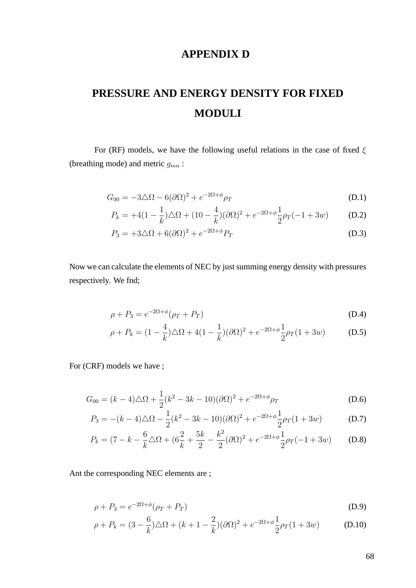## **APPENDIX D**

## **PRESSURE AND ENERGY DENSITY FOR FIXED MODULI**

For (RF) models, we have the following useful relations in the case of fixed  $\xi$ (breathing mode) and metric  $g_{mn}$ :

$$
G_{00} = -3\Delta\Omega - 6(\partial\Omega)^2 + e^{-2\Omega + \phi}\rho_T
$$
\n(D.1)

$$
P_k = +4(1 - \frac{1}{k})\Delta\Omega + (10 - \frac{4}{k})(\partial\Omega)^2 + e^{-2\Omega + \phi}\frac{1}{2}\rho_T(-1 + 3w)
$$
 (D.2)

$$
P_3 = +3\Delta\Omega + 6(\partial\Omega)^2 + e^{-2\Omega + \phi}P_T
$$
\n(D.3)

Now we can calculate the elements of NEC by just summing energy density with pressures respectively. We fnd;

$$
\rho + P_3 = e^{-2\Omega + \phi} (\rho_T + P_T) \tag{D.4}
$$

$$
\rho + P_k = (1 - \frac{4}{k})\Delta\Omega + 4(1 - \frac{1}{k})(\partial\Omega)^2 + e^{-2\Omega + \phi}\frac{1}{2}\rho_T(1 + 3w)
$$
 (D.5)

For (CRF) models we have ;

$$
G_{00} = (k-4)\triangle\Omega + \frac{1}{2}(k^2 - 3k - 10)(\partial\Omega)^2 + e^{-2\Omega + \phi}\rho_T
$$
 (D.6)

$$
P_3 = -(k-4)\triangle\Omega - \frac{1}{2}(k^2 - 3k - 10)(\partial\Omega)^2 + e^{-2\Omega + \phi}\frac{1}{2}\rho_T(1+3w)
$$
 (D.7)

$$
P_k = (7 - k - \frac{6}{k}\Delta\Omega + (6\frac{2}{k} + \frac{5k}{2} - \frac{k^2}{2}(\partial\Omega)^2 + e^{-2\Omega + \phi}\frac{1}{2}\rho_T(-1 + 3w)
$$
 (D.8)

Ant the corresponding NEC elements are ;

$$
\rho + P_3 = e^{-2\Omega + \phi} (\rho_T + P_T) \tag{D.9}
$$

$$
\rho + P_k = (3 - \frac{6}{k})\triangle\Omega + (k + 1 - \frac{2}{k})(\partial\Omega)^2 + e^{-2\Omega + \phi}\frac{1}{2}\rho_T(1 + 3w)
$$
 (D.10)

68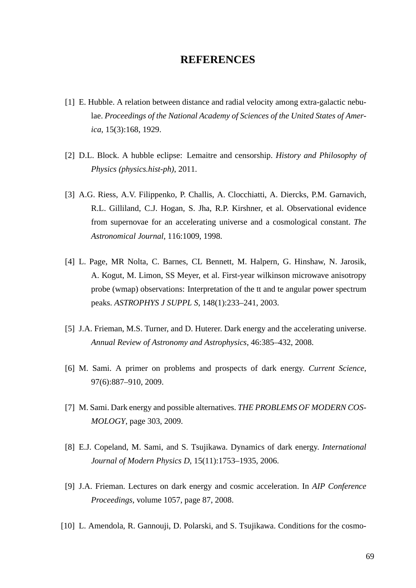## **REFERENCES**

- [1] E. Hubble. A relation between distance and radial velocity among extra-galactic nebulae. *Proceedings of the National Academy of Sciences of the United States of America*, 15(3):168, 1929.
- [2] D.L. Block. A hubble eclipse: Lemaitre and censorship. *History and Philosophy of Physics (physics.hist-ph)*, 2011.
- [3] A.G. Riess, A.V. Filippenko, P. Challis, A. Clocchiatti, A. Diercks, P.M. Garnavich, R.L. Gilliland, C.J. Hogan, S. Jha, R.P. Kirshner, et al. Observational evidence from supernovae for an accelerating universe and a cosmological constant. *The Astronomical Journal*, 116:1009, 1998.
- [4] L. Page, MR Nolta, C. Barnes, CL Bennett, M. Halpern, G. Hinshaw, N. Jarosik, A. Kogut, M. Limon, SS Meyer, et al. First-year wilkinson microwave anisotropy probe (wmap) observations: Interpretation of the tt and te angular power spectrum peaks. *ASTROPHYS J SUPPL S*, 148(1):233–241, 2003.
- [5] J.A. Frieman, M.S. Turner, and D. Huterer. Dark energy and the accelerating universe. *Annual Review of Astronomy and Astrophysics*, 46:385–432, 2008.
- [6] M. Sami. A primer on problems and prospects of dark energy. *Current Science*, 97(6):887–910, 2009.
- [7] M. Sami. Dark energy and possible alternatives. *THE PROBLEMS OF MODERN COS-MOLOGY*, page 303, 2009.
- [8] E.J. Copeland, M. Sami, and S. Tsujikawa. Dynamics of dark energy. *International Journal of Modern Physics D*, 15(11):1753–1935, 2006.
- [9] J.A. Frieman. Lectures on dark energy and cosmic acceleration. In *AIP Conference Proceedings*, volume 1057, page 87, 2008.
- [10] L. Amendola, R. Gannouji, D. Polarski, and S. Tsujikawa. Conditions for the cosmo-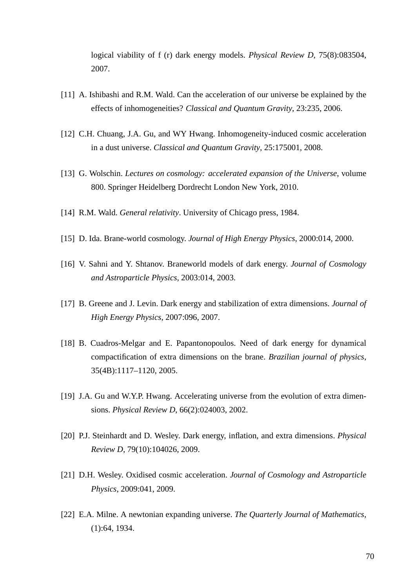logical viability of f (r) dark energy models. *Physical Review D*, 75(8):083504, 2007.

- [11] A. Ishibashi and R.M. Wald. Can the acceleration of our universe be explained by the effects of inhomogeneities? *Classical and Quantum Gravity*, 23:235, 2006.
- [12] C.H. Chuang, J.A. Gu, and WY Hwang. Inhomogeneity-induced cosmic acceleration in a dust universe. *Classical and Quantum Gravity*, 25:175001, 2008.
- [13] G. Wolschin. *Lectures on cosmology: accelerated expansion of the Universe*, volume 800. Springer Heidelberg Dordrecht London New York, 2010.
- [14] R.M. Wald. *General relativity*. University of Chicago press, 1984.
- [15] D. Ida. Brane-world cosmology. *Journal of High Energy Physics*, 2000:014, 2000.
- [16] V. Sahni and Y. Shtanov. Braneworld models of dark energy. *Journal of Cosmology and Astroparticle Physics*, 2003:014, 2003.
- [17] B. Greene and J. Levin. Dark energy and stabilization of extra dimensions. *Journal of High Energy Physics*, 2007:096, 2007.
- [18] B. Cuadros-Melgar and E. Papantonopoulos. Need of dark energy for dynamical compactification of extra dimensions on the brane. *Brazilian journal of physics*, 35(4B):1117–1120, 2005.
- [19] J.A. Gu and W.Y.P. Hwang. Accelerating universe from the evolution of extra dimensions. *Physical Review D*, 66(2):024003, 2002.
- [20] P.J. Steinhardt and D. Wesley. Dark energy, inflation, and extra dimensions. *Physical Review D*, 79(10):104026, 2009.
- [21] D.H. Wesley. Oxidised cosmic acceleration. *Journal of Cosmology and Astroparticle Physics*, 2009:041, 2009.
- [22] E.A. Milne. A newtonian expanding universe. *The Quarterly Journal of Mathematics*, (1):64, 1934.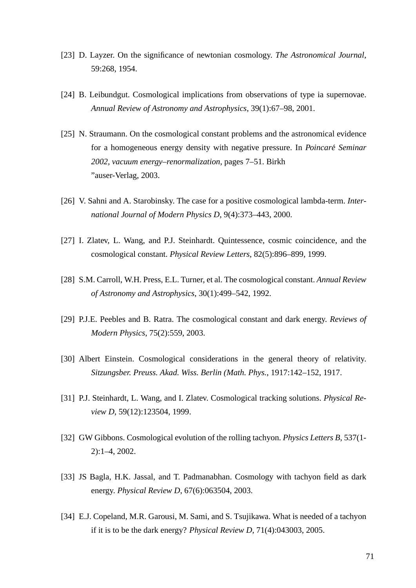- [23] D. Layzer. On the significance of newtonian cosmology. *The Astronomical Journal*, 59:268, 1954.
- [24] B. Leibundgut. Cosmological implications from observations of type ia supernovae. *Annual Review of Astronomy and Astrophysics*, 39(1):67–98, 2001.
- [25] N. Straumann. On the cosmological constant problems and the astronomical evidence for a homogeneous energy density with negative pressure. In *Poincare Seminar ´ 2002, vacuum energy–renormalization*, pages 7–51. Birkh "auser-Verlag, 2003.
- [26] V. Sahni and A. Starobinsky. The case for a positive cosmological lambda-term. *International Journal of Modern Physics D*, 9(4):373–443, 2000.
- [27] I. Zlatev, L. Wang, and P.J. Steinhardt. Quintessence, cosmic coincidence, and the cosmological constant. *Physical Review Letters*, 82(5):896–899, 1999.
- [28] S.M. Carroll, W.H. Press, E.L. Turner, et al. The cosmological constant. *Annual Review of Astronomy and Astrophysics*, 30(1):499–542, 1992.
- [29] P.J.E. Peebles and B. Ratra. The cosmological constant and dark energy. *Reviews of Modern Physics*, 75(2):559, 2003.
- [30] Albert Einstein. Cosmological considerations in the general theory of relativity. *Sitzungsber. Preuss. Akad. Wiss. Berlin (Math. Phys.*, 1917:142–152, 1917.
- [31] P.J. Steinhardt, L. Wang, and I. Zlatev. Cosmological tracking solutions. *Physical Review D*, 59(12):123504, 1999.
- [32] GW Gibbons. Cosmological evolution of the rolling tachyon. *Physics Letters B*, 537(1- 2):1–4, 2002.
- [33] JS Bagla, H.K. Jassal, and T. Padmanabhan. Cosmology with tachyon field as dark energy. *Physical Review D*, 67(6):063504, 2003.
- [34] E.J. Copeland, M.R. Garousi, M. Sami, and S. Tsujikawa. What is needed of a tachyon if it is to be the dark energy? *Physical Review D*, 71(4):043003, 2005.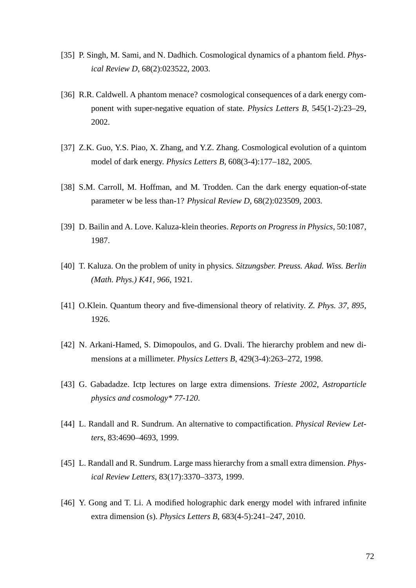- [35] P. Singh, M. Sami, and N. Dadhich. Cosmological dynamics of a phantom field. *Physical Review D*, 68(2):023522, 2003.
- [36] R.R. Caldwell. A phantom menace? cosmological consequences of a dark energy component with super-negative equation of state. *Physics Letters B*, 545(1-2):23–29, 2002.
- [37] Z.K. Guo, Y.S. Piao, X. Zhang, and Y.Z. Zhang. Cosmological evolution of a quintom model of dark energy. *Physics Letters B*, 608(3-4):177–182, 2005.
- [38] S.M. Carroll, M. Hoffman, and M. Trodden. Can the dark energy equation-of-state parameter w be less than-1? *Physical Review D*, 68(2):023509, 2003.
- [39] D. Bailin and A. Love. Kaluza-klein theories. *Reports on Progress in Physics*, 50:1087, 1987.
- [40] T. Kaluza. On the problem of unity in physics. *Sitzungsber. Preuss. Akad. Wiss. Berlin (Math. Phys.) K41, 966*, 1921.
- [41] O.Klein. Quantum theory and five-dimensional theory of relativity. *Z. Phys. 37, 895*, 1926.
- [42] N. Arkani-Hamed, S. Dimopoulos, and G. Dvali. The hierarchy problem and new dimensions at a millimeter. *Physics Letters B*, 429(3-4):263–272, 1998.
- [43] G. Gabadadze. Ictp lectures on large extra dimensions. *Trieste 2002, Astroparticle physics and cosmology\* 77-120*.
- [44] L. Randall and R. Sundrum. An alternative to compactification. *Physical Review Letters*, 83:4690–4693, 1999.
- [45] L. Randall and R. Sundrum. Large mass hierarchy from a small extra dimension. *Physical Review Letters*, 83(17):3370–3373, 1999.
- [46] Y. Gong and T. Li. A modified holographic dark energy model with infrared infinite extra dimension (s). *Physics Letters B*, 683(4-5):241–247, 2010.